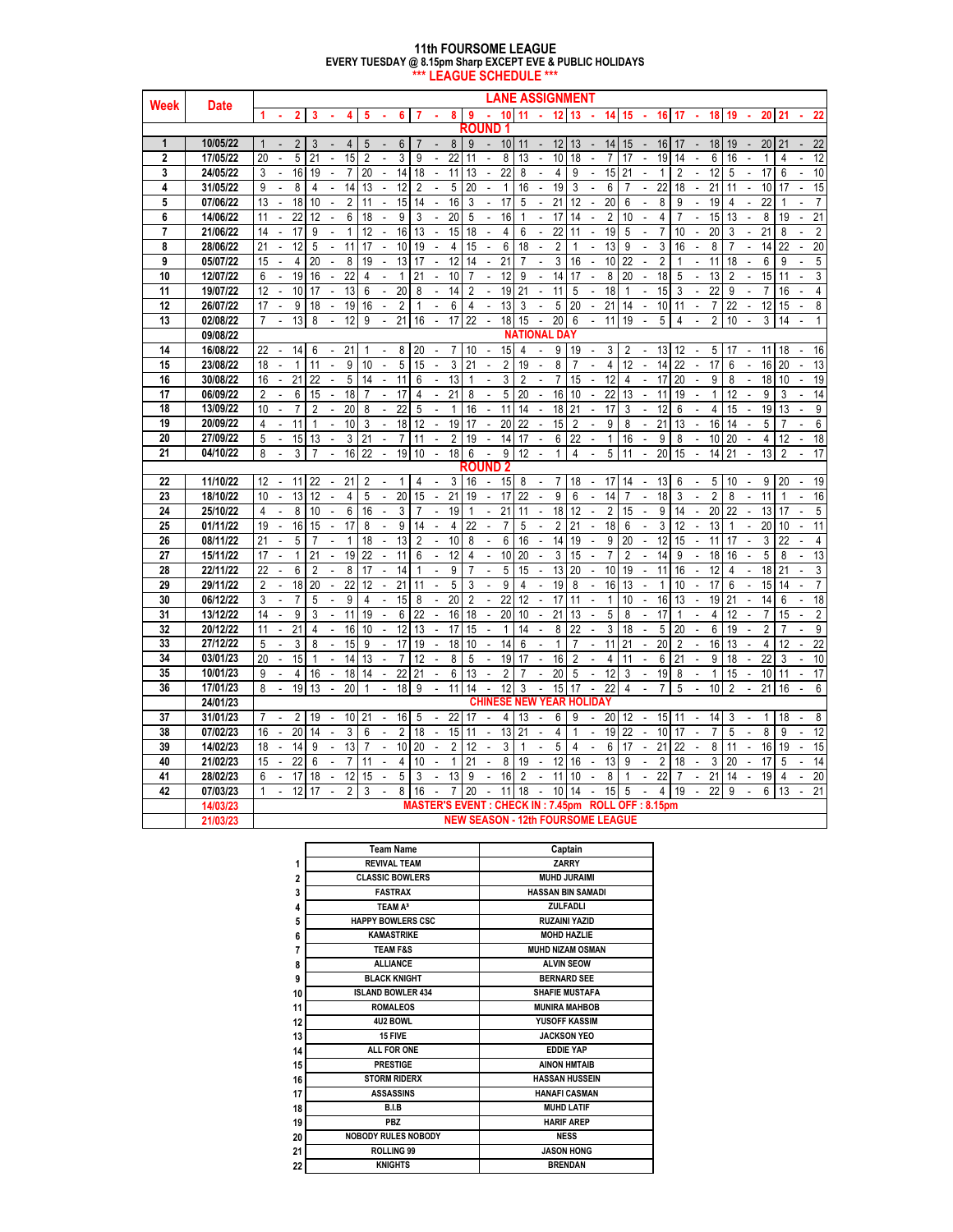#### **11th FOURSOME LEAGUE \*\*\* LEAGUE SCHEDULE \*\*\* EVERY TUESDAY @ 8.15pm Sharp EXCEPT EVE & PUBLIC HOLIDAYS**

| Week           |             | <b>LANE ASSIGNMENT</b>                                                                                                                                                                                                                                                                                                                                               |
|----------------|-------------|----------------------------------------------------------------------------------------------------------------------------------------------------------------------------------------------------------------------------------------------------------------------------------------------------------------------------------------------------------------------|
|                | <b>Date</b> | 22<br>10<br>11<br>12<br>13<br>14<br>15<br>16<br>18<br>19<br>20<br>2<br>8<br>9<br>$\mathbf{r}$<br>$\sim$<br>17<br>21<br>3<br>4<br>5<br>6<br>7<br>×.<br>×<br>×.                                                                                                                                                                                                        |
|                |             | ROUND                                                                                                                                                                                                                                                                                                                                                                |
| $\mathbf{1}$   | 10/05/22    | $\overline{2}$<br>8<br>9<br>10<br>11<br>12<br>13<br>14<br>15<br>16<br>18<br>19<br>20<br>21<br>22<br>$\mathbf{1}$<br>3<br>4<br>5<br>6<br>7<br>$\Box$<br>17                                                                                                                                                                                                            |
| $\mathbf{2}$   | 17/05/22    | 5<br>15<br>$\overline{2}$<br>3<br>22<br>10<br>20<br>21<br>9<br>8<br>13<br>18<br>$\overline{7}$<br>17<br>19<br>14<br>6<br>16<br>12<br>11<br>4<br>1                                                                                                                                                                                                                    |
| 3              | 24/05/22    | 16<br>$\overline{7}$<br>20<br>22<br>8<br>15<br>21<br>$\overline{2}$<br>12<br>17<br>10<br>3<br>19<br>14<br>18<br>11<br>13<br>4<br>9<br>$\mathbf{1}$<br>5<br>6<br>ä,<br>÷,<br>÷,<br>÷,<br>$\Box$                                                                                                                                                                       |
| 4              | 31/05/22    | 8<br>14<br>13<br>12<br>5<br>20<br>16<br>19<br>3<br>6<br>22<br>18<br>21<br>15<br>9<br>4<br>$\overline{2}$<br>$\mathbf{1}$<br>7<br>11<br>10<br>17<br>÷,<br>$\mathcal{L}_{\mathcal{A}}$<br>÷,<br>$\overline{a}$<br>÷,<br>L.<br>÷,                                                                                                                                       |
| 5              | 07/06/22    | 18<br>3<br>17<br>21<br>12<br>20<br>8<br>19<br>22<br>13<br>10<br>$\overline{2}$<br>11<br>15<br>14<br>16<br>5<br>6<br>9<br>4<br>$\overline{7}$<br>÷,<br>ä,<br>÷,<br>ä,<br>÷,<br>ä,<br>ä,<br>÷,                                                                                                                                                                         |
| 6              | 14/06/22    | 22<br>12<br>6<br>9<br>20<br>5<br>16<br>17<br>14<br>$\overline{2}$<br>15<br>13<br>19<br>21<br>18<br>3<br>$\mathbf{1}$<br>10<br>4<br>$\overline{7}$<br>8<br>11<br>÷,<br>$\overline{a}$<br>÷,<br>$\overline{a}$<br>÷,                                                                                                                                                   |
| $\overline{7}$ | 21/06/22    | $\overline{22}$<br>17<br>16<br>13<br>15<br>18<br>6<br>19<br>$\overline{7}$<br>10<br>÷,<br>20<br>3<br>21<br>$\overline{2}$<br>14<br>9<br>$\overline{\phantom{a}}$<br>1<br>12<br>$\overline{\phantom{a}}$<br>ä,<br>4<br>$\overline{\phantom{a}}$<br>11<br>5<br>÷,<br>8<br>$\mathcal{L}$<br>÷.<br>ä,<br>$\overline{a}$<br>÷,                                            |
| 8              | 28/06/22    | 12<br>$\overline{2}$<br>11<br>10<br>4<br>15<br>6<br>18<br>13<br>9<br>3<br>16<br>8<br>22<br>20<br>21<br>5<br>17<br>19<br>7<br>14<br>$\mathbf{r}$<br>÷,<br>÷,<br>$\mathbf{r}$<br>1<br>÷,                                                                                                                                                                               |
| 9              | 05/07/22    | $\overline{4}$<br>20<br>8<br>19<br>13<br>12<br>14<br>21<br>3<br>10<br>22<br>$\overline{2}$<br>11<br>6<br>9<br>15<br>17<br>$\overline{7}$<br>16<br>$\ddot{\phantom{a}}$<br>1<br>18<br>5<br>ä,<br>÷,<br>ä,<br>ä,<br>÷,<br>ä,<br>ä,<br>ä,<br>÷,<br>÷,                                                                                                                   |
| 10             | 12/07/22    | 19<br>16<br>22<br>$\mathbf{1}$<br>10<br>12<br>9<br>14<br>8<br>20<br>18<br>5<br>13<br>15<br>3<br>6<br>21<br>17<br>L.<br>$\overline{2}$<br>11<br>4<br>ä,<br>$\sim$<br>L.<br>ä,<br>$\blacksquare$<br>÷,                                                                                                                                                                 |
| 11             | 19/07/22    | 12<br>10<br>13<br>6<br>20<br>8<br>2<br>19<br>21<br>11<br>5<br>18<br>15<br>3<br>22<br>9<br>4<br>$\omega$<br>17<br>ä,<br>$\Box$<br>ä,<br>14<br>$\Box$<br>÷.<br>1<br>ä,<br>ä,<br>7<br>16<br>$\overline{\phantom{a}}$<br>$\overline{\phantom{a}}$<br>$\Box$                                                                                                              |
| 12             | 26/07/22    | 9<br>19<br>2<br>13<br>3<br>5<br>20<br>21<br>10<br>22<br>12<br>15<br>8<br>18<br>16<br>6<br>4<br>14<br>11<br>7<br>17<br>ä,<br>÷,<br>1<br>ä,<br>÷,<br>÷,<br>L.                                                                                                                                                                                                          |
| 13             | 02/08/22    | 13<br>12<br>9<br>21<br>16<br>17<br>22<br>18<br>15<br>20<br>$6\phantom{1}$<br>11<br>19<br>5<br>$\overline{2}$<br>10<br>3<br>14<br>7<br>÷.<br>8<br>$\epsilon$<br>$\overline{\phantom{a}}$<br>$\mathcal{L}$<br>$\overline{\phantom{a}}$<br>$\omega$<br>÷.<br>$\sim$<br>4<br>$\epsilon$<br>$\overline{a}$<br>$\sim$<br>$\mathbf{1}$                                      |
|                | 09/08/22    | <b>NATIONAL DA</b>                                                                                                                                                                                                                                                                                                                                                   |
| 14             | 16/08/22    | 15<br>22<br>14<br>21<br>20<br>10<br>4<br>9<br>19<br>3<br>2<br>13<br>18<br>16<br>6<br>8<br>7<br>12<br>5<br>17<br>11<br>÷,<br>$\Box$<br>¥,<br>$\blacksquare$<br>$\blacksquare$<br>÷,<br>$\overline{\phantom{a}}$<br>÷,<br>$\blacksquare$<br>÷,                                                                                                                         |
| 15             | 23/08/22    | 5<br>3<br>$\overline{\mathbf{c}}$<br>$\overline{4}$<br>9<br>15<br>21<br>19<br>8<br>12<br>14<br>22<br>17<br>6<br>16<br>20<br>13<br>18<br>$\mathbf{1}$<br>11<br>10<br>$\mathbf{r}$<br>÷,<br>$\blacksquare$<br>7<br>$\sim$<br>$\blacksquare$<br>$\Box$<br>$\sim$<br>ä,                                                                                                  |
| 16             | 30/08/22    | 21<br>12<br>16<br>22<br>5<br>$\overline{\phantom{a}}$<br>11<br>6<br>13<br>3<br>$\overline{2}$<br>7<br>15<br>4<br>17<br>20<br>9<br>8<br>18<br>10<br>19<br>$\omega$<br>ä,<br>14<br>÷.<br>1<br>ä,<br>ä,<br>ä,<br>$\bar{z}$<br>ä,<br>$\overline{a}$                                                                                                                      |
| 17             | 06/09/22    | 6<br>18<br>17<br>21<br>5<br>22<br>13<br>$\overline{2}$<br>15<br>$\overline{4}$<br>8<br>20<br>16<br>10<br>11<br>19<br>12<br>9<br>3<br>14<br>ä,<br>ä,<br>1<br>ä,<br>$\overline{\phantom{a}}$<br>÷.                                                                                                                                                                     |
| 18             | 13/09/22    | $\overline{2}$<br>20<br>8<br>22<br>5<br>11<br>14<br>21<br>17<br>3<br>19<br>13<br>9<br>10<br>$\mathcal{L}^{\mathcal{A}}$<br>7<br>$\overline{\phantom{a}}$<br>$\Box$<br>$\mathcal{L}^{\mathcal{A}}$<br>$\mathbf{1}$<br>16<br>$\overline{\phantom{a}}$<br>$\omega$<br>18<br>$\omega$<br>$\sim$<br>12<br>6<br>4<br>15<br>$\mathbb{Z}^{\mathbb{Z}}$<br>$\omega$<br>$\sim$ |
| 19             | 20/09/22    | 21<br>10<br>3<br>18<br>12<br>19<br>17<br>20<br>22<br>15<br>$\overline{2}$<br>9<br>13<br>16<br>14<br>5<br>6<br>4<br>11<br>÷,<br>ä,<br>8<br>$\Box$<br>ä,<br>$\overline{\phantom{a}}$                                                                                                                                                                                   |
| 20             | 27/09/22    | 13<br>3<br>21<br>$\overline{7}$<br>$\overline{2}$<br>19<br>6<br>22<br>12<br>5<br>15<br>11<br>÷.<br>14<br>17<br>$\Box$<br>$\omega$<br>$\mathbf{1}$<br>16<br>9<br>8<br>10<br>20<br>4<br>18<br>ä,<br>ä,<br>$\Box$<br>$\overline{\phantom{a}}$<br>ä,<br>$\blacksquare$<br>$\blacksquare$<br>$\overline{\phantom{a}}$                                                     |
| 21             | 04/10/22    | 3<br>22<br>9<br>4<br>5<br>20<br>14<br>13<br>2<br>17<br>8<br>16<br>19<br>10<br>18<br>6<br>12<br>1<br>11<br>15<br>21<br>ä,<br>÷,<br>ä,<br>$\blacksquare$<br>$\mathbf{r}$<br>$\Delta$<br>$\Box$<br>$\sim$<br>$\mathbf{r}$<br>ä,                                                                                                                                         |
|                |             | ROUND 2                                                                                                                                                                                                                                                                                                                                                              |
| 22             | 11/10/22    | 11 22<br>21<br>3<br>9<br>20<br>19<br>12<br>$\overline{2}$<br>1<br>16<br>15<br>8<br>7<br>18<br>17<br>14<br>13<br>6<br>5<br>10<br>4<br>$\blacksquare$<br>$\blacksquare$<br>$\blacksquare$<br>÷,                                                                                                                                                                        |
| 23             | 18/10/22    | 10<br>13<br>12<br>4<br>5<br>20<br>21<br>19<br>17<br>22<br>9<br>6<br>14<br>18<br>3<br>2<br>8<br>11<br>16<br>ä,<br>ä,<br>$\overline{a}$<br>15<br>ä,<br>÷,<br>ä,<br>7<br>÷,<br>ä,<br>$\overline{\phantom{a}}$                                                                                                                                                           |
| 24             | 25/10/22    | 21<br>$\overline{2}$<br>9<br>8<br>10<br>6<br>16<br>3<br>19<br>11<br>18<br>12<br>15<br>20<br>22<br>13<br>5<br>$\overline{4}$<br>$\overline{7}$<br>14<br>17<br>ä,                                                                                                                                                                                                      |
| 25             | 01/11/22    | 19<br>16<br>15<br>17<br>8<br>9<br>$\overline{4}$<br>22<br>$\overline{7}$<br>5<br>$\overline{2}$<br>21<br>18<br>6<br>3<br>12<br>13<br>20<br>10<br>11<br>14<br>1<br>ä,<br>÷,<br>$\overline{a}$<br>ä,<br>$\blacksquare$<br>$\blacksquare$<br>$\blacksquare$<br>÷,                                                                                                       |
| 26             | 08/11/22    | 5<br>13<br>$\overline{2}$<br>10<br>6<br>14<br>9<br>20<br>12<br>11<br>3<br>22<br>4<br>21<br>1<br>18<br>8<br>16<br>19<br>15<br>17<br>7<br>ä,<br>$\overline{\phantom{a}}$<br>$\sim$                                                                                                                                                                                     |
| 27             | 15/11/22    | 19<br>22<br>11<br>12<br>10<br>20<br>3<br>15<br>$\overline{7}$<br>$\overline{2}$<br>14<br>9<br>18<br>5<br>13<br>17<br>$\mathbf{1}$<br>21<br>6<br>4<br>16<br>8<br>$\overline{a}$<br>÷,<br>ä,<br>L,<br>÷,<br>ä,<br>L,<br>÷,<br>$\overline{a}$<br>L,                                                                                                                     |
| 28             | 22/11/22    | 6<br>8<br>14<br>9<br>5<br>13<br>20<br>10<br>19<br>11<br>12<br>3<br>22<br>$\overline{2}$<br>17<br>15<br>16<br>$\overline{4}$<br>18<br>21<br>$\mathbf{1}$<br>$\overline{7}$<br>$\blacksquare$<br>$\blacksquare$                                                                                                                                                        |
| 29             | 29/11/22    | 5<br>18<br>22<br>12<br>21<br>9<br>19<br>16<br>13<br>10<br>17<br>15<br>$\overline{7}$<br>$\overline{2}$<br>20<br>11<br>3<br>$\overline{4}$<br>8<br>$\mathbf{1}$<br>6<br>14<br>÷,<br>$\overline{a}$<br>÷,<br>÷,<br>ä,<br>÷,                                                                                                                                            |
| 30             | 06/12/22    | $\overline{7}$<br>9<br>15<br>8<br>20<br>$\overline{2}$<br>22<br>12<br>17<br>11<br>$\mathbf{1}$<br>16<br>13<br>19<br>21<br>18<br>3<br>5<br>$\overline{4}$<br>10<br>14<br>6<br>÷,<br>$\overline{\phantom{a}}$<br>$\overline{\phantom{a}}$<br>$\overline{\phantom{a}}$<br>÷,                                                                                            |
| 31             | 13/12/22    | 9<br>11<br>19<br>6<br>22<br>16<br>18<br>$\overline{20}$<br>10<br>21<br>13<br>5<br>17<br>$\overline{2}$<br>14<br>3<br>8<br>$\mathbf{1}$<br>$\overline{\mathbf{4}}$<br>12<br>$\overline{7}$<br>15<br>ä,<br>$\mathbf{r}$<br>$\overline{\phantom{a}}$<br>$\overline{\phantom{a}}$                                                                                        |
| 32             | 20/12/22    | $\overline{21}$<br>$\overline{3}$<br>16<br>12<br>13<br>17<br>15<br>$\mathbf{1}$<br>14<br>8<br>22<br>18<br>5<br>20<br>6<br>19<br>$\overline{2}$<br>9<br>11<br>4<br>10<br>7<br>$\overline{a}$<br>÷,<br>$\Box$<br>$\overline{\phantom{a}}$                                                                                                                              |
| 33             | 27/12/22    | 3<br>15<br>9<br>17<br>19<br>14<br>6<br>$\mathbf{1}$<br>11<br>21<br>20<br>$\overline{2}$<br>16<br>13<br>$\overline{4}$<br>12<br>22<br>5<br>8<br>18<br>10<br>$\overline{7}$<br>$\overline{a}$<br>÷,<br>ä,<br>ä,<br>÷,<br>$\overline{\phantom{a}}$<br>$\blacksquare$<br>$\sim$<br>÷,<br>÷,                                                                              |
| 34             | 03/01/23    | 15<br>$\overline{7}$<br>12<br>8<br>19<br>16<br>$\overline{2}$<br>$\overline{4}$<br>6<br>9<br>22<br>10<br>20<br>14<br>13<br>5<br>17<br>11<br>21<br>18<br>3<br>1                                                                                                                                                                                                       |
| 35             | 10/01/23    | $\overline{4}$<br>18<br>22<br>21<br>6<br>13<br>$\overline{2}$<br>$\overline{7}$<br>20<br>5<br>12<br>3<br>19<br>8<br>$\mathbf{1}$<br>17<br>9<br>16<br>14<br>15<br>10<br>11<br>÷,<br>$\overline{\phantom{a}}$<br>$\Box$<br>÷,<br>ä,<br>÷,<br>$\overline{\phantom{a}}$<br>$\overline{\phantom{a}}$                                                                      |
| 36             | 17/01/23    | 19<br>13<br>20<br>18<br>9<br>12<br>3<br>15<br>22<br>5<br>10<br>$\overline{2}$<br>21<br>16<br>6<br>8<br>$\mathbf{1}$<br>11<br>14<br>17<br>4<br>$\overline{7}$<br>÷,<br>$\overline{\phantom{a}}$                                                                                                                                                                       |
|                | 24/01/23    | <b>NEW YEAR HOLIDAY</b><br><b>CHINESE</b>                                                                                                                                                                                                                                                                                                                            |
| 37             | 31/01/23    | 2 <sub>1</sub><br>12<br>15<br>19<br>10<br>21<br>16<br>5<br>22<br>17<br>4<br>13<br>6<br>9<br>20<br>11<br>14<br>3<br>18<br>8<br>7<br>÷,<br>1<br>ä,<br>$\overline{\phantom{a}}$<br>$\overline{\phantom{a}}$                                                                                                                                                             |
| 38             | 07/02/23    | 3<br>20<br>6<br>$\overline{2}$<br>15<br>13<br>21<br>$\overline{\mathbf{4}}$<br>19<br>22<br>10<br>$\overline{7}$<br>5<br>8<br>9<br>12<br>16<br>14<br>18<br>11<br>1<br>17<br>ä,<br>÷,<br>÷,<br>$\sim$<br>÷,<br>ä,<br>L.                                                                                                                                                |
| 39             | 14/02/23    | 14<br>13<br>10<br>$\overline{2}$<br>12<br>5<br>6<br>17<br>21<br>22<br>8<br>19<br>15<br>18<br>9<br>7<br>20<br>3<br>4<br>11<br>16<br>÷,<br>ä,<br>÷,<br>1<br>$\sim$<br>$\mathbf{r}$<br>÷,                                                                                                                                                                               |
| 40             | 21/02/23    | 22<br>$\overline{7}$<br>4<br>$\mathbf{1}$<br>21<br>8<br>19<br>12<br>16<br>13<br>9<br>$\overline{2}$<br>18<br>3<br>20<br>17<br>5<br>14<br>15<br>6<br>11<br>ä,<br>10<br>$\overline{\phantom{a}}$<br>ä,<br>÷,<br>÷,<br>$\overline{\phantom{a}}$<br>$\overline{\phantom{a}}$                                                                                             |
| 41             | 28/02/23    | 22<br>20<br>17<br>12<br>5<br>13<br>16<br>$\overline{2}$<br>11<br>8<br>21<br>19<br>6<br>18<br>15<br>3<br>9<br>10<br>$\overline{7}$<br>14<br>4<br>$\bar{a}$<br>÷.                                                                                                                                                                                                      |
| 42             | 07/03/23    | 9<br>12<br>17<br>$\overline{2}$<br>3<br>8<br>11<br>10<br>15<br>5<br>4<br>19<br>22<br>6<br>13<br>21<br>1<br>L.<br>$\mathbf{r}$<br>16<br>7<br>20<br>18<br>14<br>ä,<br>ä,<br>$\blacksquare$                                                                                                                                                                             |
|                | 14/03/23    | <b>MASTER'S EVENT : CHECK IN : 7.45pm</b><br>ROLL OFF: 8.15pm                                                                                                                                                                                                                                                                                                        |
|                | 21/03/23    | <b>NEW SEASON - 12th FOURSOME LEAGUE</b>                                                                                                                                                                                                                                                                                                                             |

|                | <b>Team Name</b>           | Captain                  |
|----------------|----------------------------|--------------------------|
| 1              | <b>REVIVAL TEAM</b>        | ZARRY                    |
| $\overline{2}$ | <b>CLASSIC BOWLERS</b>     | <b>MUHD JURAIMI</b>      |
| 3              | <b>FASTRAX</b>             | <b>HASSAN BIN SAMADI</b> |
| 4              | TEAM A <sup>3</sup>        | ZULFADLI                 |
| 5              | <b>HAPPY BOWLERS CSC</b>   | <b>RUZAINI YAZID</b>     |
| 6              | <b>KAMASTRIKE</b>          | <b>MOHD HAZLIE</b>       |
| 7              | <b>TEAM F&amp;S</b>        | <b>MUHD NIZAM OSMAN</b>  |
| 8              | <b>ALLIANCE</b>            | <b>ALVIN SEOW</b>        |
| 9              | <b>BLACK KNIGHT</b>        | <b>BERNARD SEE</b>       |
| 10             | <b>ISLAND BOWLER 434</b>   | <b>SHAFIE MUSTAFA</b>    |
| 11             | <b>ROMALEOS</b>            | <b>MUNIRA MAHBOB</b>     |
| 12             | 4U2 BOWL                   | YUSOFF KASSIM            |
| 13             | 15 FIVE                    | <b>JACKSON YEO</b>       |
| 14             | ALL FOR ONE                | <b>EDDIE YAP</b>         |
| 15             | <b>PRESTIGE</b>            | <b>AINON HMTAIB</b>      |
| 16             | <b>STORM RIDERX</b>        | <b>HASSAN HUSSEIN</b>    |
| 17             | <b>ASSASSINS</b>           | <b>HANAFI CASMAN</b>     |
| 18             | B.I.B                      | <b>MUHD LATIF</b>        |
| 19             | <b>PBZ</b>                 | <b>HARIF AREP</b>        |
| 20             | <b>NOBODY RULES NOBODY</b> | <b>NESS</b>              |
| 21             | <b>ROLLING 99</b>          | <b>JASON HONG</b>        |
| 22             | <b>KNIGHTS</b>             | <b>BRENDAN</b>           |
|                |                            |                          |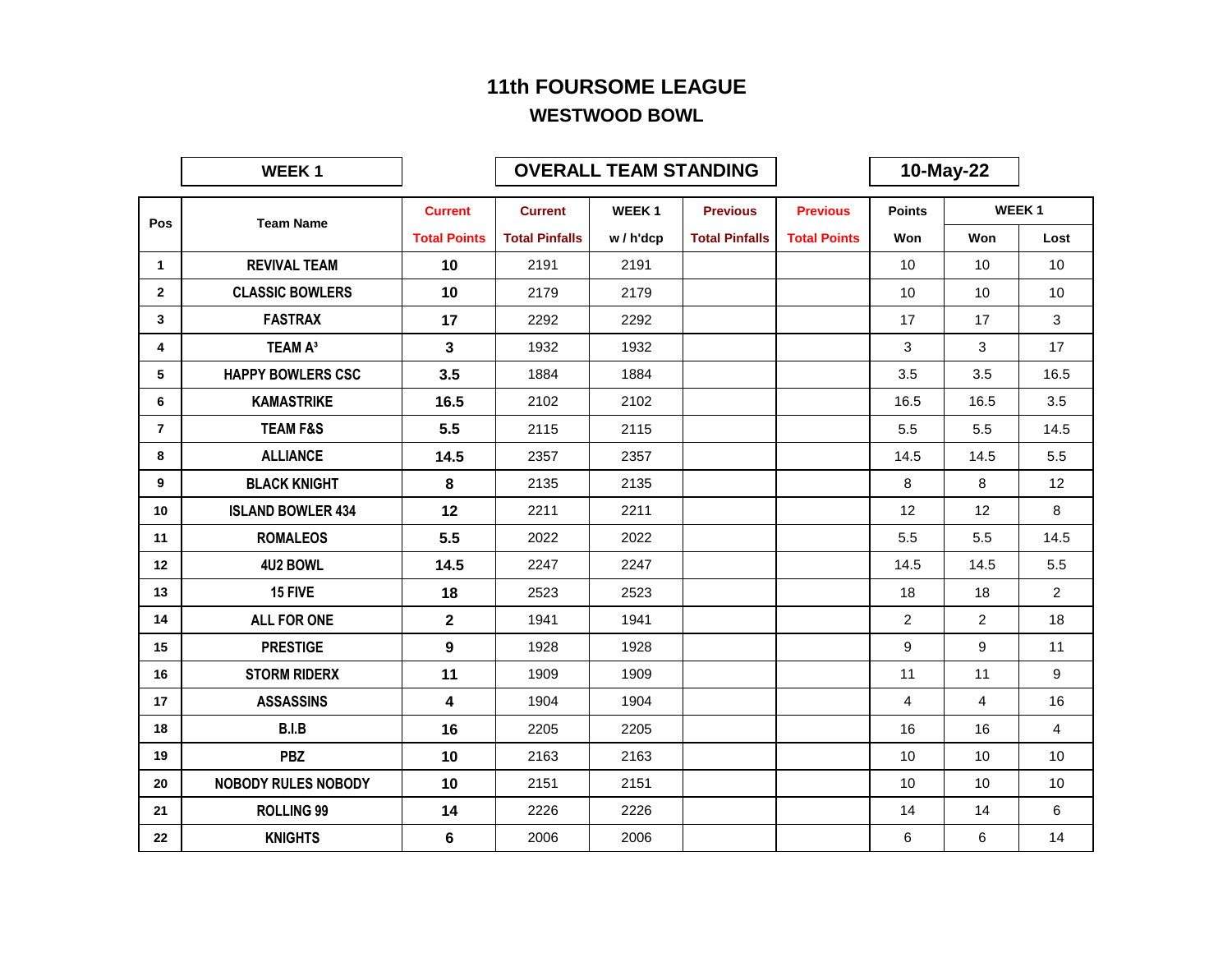|                | <b>WEEK1</b>               |                     |                       | <b>OVERALL TEAM STANDING</b> |                       |                     |                 | 10-May-22      |                   |
|----------------|----------------------------|---------------------|-----------------------|------------------------------|-----------------------|---------------------|-----------------|----------------|-------------------|
|                |                            | <b>Current</b>      | <b>Current</b>        | WEEK <sub>1</sub>            | <b>Previous</b>       | <b>Previous</b>     | <b>Points</b>   |                | WEEK <sub>1</sub> |
| Pos            | <b>Team Name</b>           | <b>Total Points</b> | <b>Total Pinfalls</b> | w/h'dcp                      | <b>Total Pinfalls</b> | <b>Total Points</b> | Won             | Won            | Lost              |
| $\mathbf{1}$   | <b>REVIVAL TEAM</b>        | 10                  | 2191                  | 2191                         |                       |                     | 10 <sup>°</sup> | 10             | 10                |
| $\mathbf{2}$   | <b>CLASSIC BOWLERS</b>     | 10                  | 2179                  | 2179                         |                       |                     | 10              | 10             | 10                |
| 3              | <b>FASTRAX</b>             | 17                  | 2292                  | 2292                         |                       |                     | 17              | 17             | 3                 |
| 4              | <b>TEAM A<sup>3</sup></b>  | 3                   | 1932                  | 1932                         |                       |                     | 3               | 3              | 17                |
| 5              | <b>HAPPY BOWLERS CSC</b>   | 3.5                 | 1884                  | 1884                         |                       |                     | 3.5             | 3.5            | 16.5              |
| 6              | <b>KAMASTRIKE</b>          | 16.5                | 2102                  | 2102                         |                       |                     | 16.5            | 16.5           | 3.5               |
| $\overline{7}$ | <b>TEAM F&amp;S</b>        | 5.5                 | 2115                  | 2115                         |                       |                     | 5.5             | 5.5            | 14.5              |
| 8              | <b>ALLIANCE</b>            | 14.5                | 2357                  | 2357                         |                       |                     | 14.5            | 14.5           | 5.5               |
| 9              | <b>BLACK KNIGHT</b>        | $\bf{8}$            | 2135                  | 2135                         |                       |                     | 8               | 8              | 12                |
| 10             | <b>ISLAND BOWLER 434</b>   | 12                  | 2211                  | 2211                         |                       |                     | 12              | 12             | 8                 |
| 11             | <b>ROMALEOS</b>            | 5.5                 | 2022                  | 2022                         |                       |                     | 5.5             | 5.5            | 14.5              |
| 12             | 4U2 BOWL                   | 14.5                | 2247                  | 2247                         |                       |                     | 14.5            | 14.5           | 5.5               |
| 13             | 15 FIVE                    | 18                  | 2523                  | 2523                         |                       |                     | 18              | 18             | $\overline{2}$    |
| 14             | <b>ALL FOR ONE</b>         | $\mathbf{2}$        | 1941                  | 1941                         |                       |                     | $\overline{2}$  | $\overline{2}$ | 18                |
| 15             | <b>PRESTIGE</b>            | 9                   | 1928                  | 1928                         |                       |                     | 9               | 9              | 11                |
| 16             | <b>STORM RIDERX</b>        | 11                  | 1909                  | 1909                         |                       |                     | 11              | 11             | 9                 |
| 17             | <b>ASSASSINS</b>           | 4                   | 1904                  | 1904                         |                       |                     | $\overline{4}$  | $\overline{4}$ | 16                |
| 18             | B.I.B                      | 16                  | 2205                  | 2205                         |                       |                     | 16              | 16             | $\overline{4}$    |
| 19             | <b>PBZ</b>                 | 10                  | 2163                  | 2163                         |                       |                     | 10 <sup>°</sup> | 10             | 10                |
| 20             | <b>NOBODY RULES NOBODY</b> | 10                  | 2151                  | 2151                         |                       |                     | 10              | 10             | 10                |
| 21             | <b>ROLLING 99</b>          | 14                  | 2226                  | 2226                         |                       |                     | 14              | 14             | 6                 |
| 22             | <b>KNIGHTS</b>             | 6                   | 2006                  | 2006                         |                       |                     | 6               | 6              | 14                |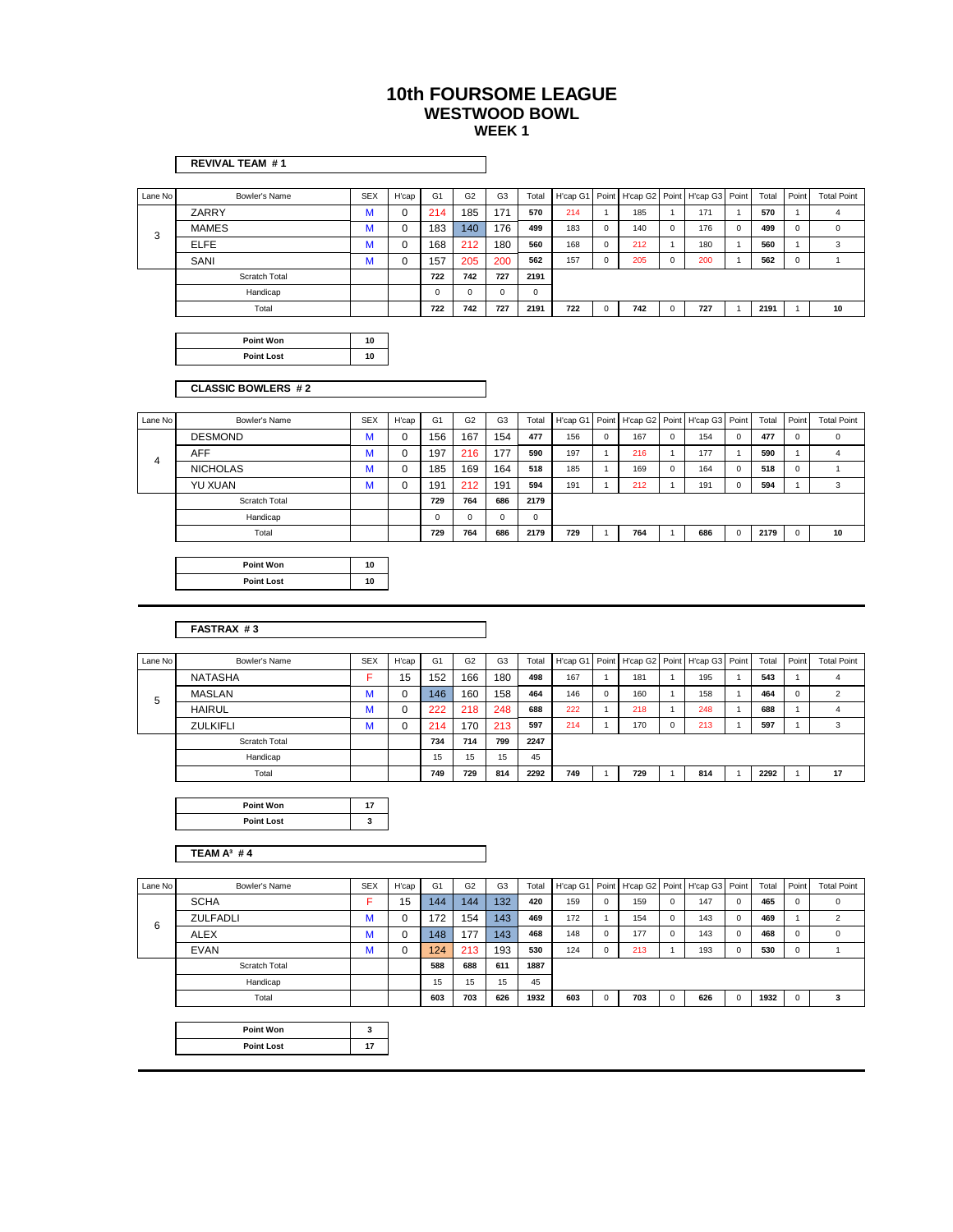|                | <b>REVIVAL TEAM #1</b>          |                 |             |                       |                       |                |              |                 |                       |                 |                       |                 |                       |              |                       |                         |
|----------------|---------------------------------|-----------------|-------------|-----------------------|-----------------------|----------------|--------------|-----------------|-----------------------|-----------------|-----------------------|-----------------|-----------------------|--------------|-----------------------|-------------------------|
| Lane No        | Bowler's Name                   | <b>SEX</b>      | H'cap       | G <sub>1</sub>        | G <sub>2</sub>        | G <sub>3</sub> | Total        | H'cap G1        | Point                 | H'cap G2        | Point                 | H'cap G3        | Point                 | Total        | Point                 | <b>Total Point</b>      |
|                | ZARRY                           | M               | $\mathbf 0$ | 214                   | 185                   | 171            | 570          | 214             | 1                     | 185             | $\mathbf{1}$          | 171             | $\mathbf{1}$          | 570          | $\mathbf{1}$          | 4                       |
|                | <b>MAMES</b>                    | M               | 0           | 183                   | 140                   | 176            | 499          | 183             | $\pmb{0}$             | 140             | $\pmb{0}$             | 176             | $\mathbf 0$           | 499          | $\mathsf 0$           | $\mathsf 0$             |
| 3              | <b>ELFE</b>                     | M               | 0           | 168                   | 212                   | 180            | 560          | 168             | 0                     | 212             | $\mathbf{1}$          | 180             | $\mathbf{1}$          | 560          | $\mathbf{1}$          | 3                       |
|                | SANI                            | M               | $\mathbf 0$ | 157                   | 205                   | 200            | 562          | 157             | $\mathsf 0$           | 205             | $\mathbf 0$           | 200             | $\mathbf{1}$          | 562          | $\mathsf 0$           | $\mathbf{1}$            |
|                | Scratch Total                   |                 |             | 722                   | 742                   | 727            | 2191         |                 |                       |                 |                       |                 |                       |              |                       |                         |
|                | Handicap                        |                 |             | $\mathsf 0$           | $\mathbf 0$           | $\mathsf 0$    | $\mathsf 0$  |                 |                       |                 |                       |                 |                       |              |                       |                         |
|                | Total                           |                 |             | 722                   | 742                   | 727            | 2191         | 722             | $\mathbf 0$           | 742             | $\mathbf 0$           | 727             | $\mathbf{1}$          | 2191         | $\mathbf{1}$          | 10                      |
|                |                                 |                 |             |                       |                       |                |              |                 |                       |                 |                       |                 |                       |              |                       |                         |
|                | Point Won                       | 10              |             |                       |                       |                |              |                 |                       |                 |                       |                 |                       |              |                       |                         |
|                | <b>Point Lost</b>               | 10              |             |                       |                       |                |              |                 |                       |                 |                       |                 |                       |              |                       |                         |
|                |                                 |                 |             |                       |                       |                |              |                 |                       |                 |                       |                 |                       |              |                       |                         |
|                | <b>CLASSIC BOWLERS #2</b>       |                 |             |                       |                       |                |              |                 |                       |                 |                       |                 |                       |              |                       |                         |
|                |                                 |                 |             |                       |                       |                |              |                 |                       |                 |                       |                 |                       |              |                       |                         |
| Lane No        | Bowler's Name                   | <b>SEX</b>      | H'cap       | G <sub>1</sub>        | G <sub>2</sub>        | G <sub>3</sub> | Total        | H'cap G1        | Point                 | H'cap G2        | Point                 | H'cap G3        | Point                 | Total        | Point                 | <b>Total Point</b>      |
|                | <b>DESMOND</b>                  | M               | 0           | 156                   | 167                   | 154            | 477          | 156             | $\mathsf 0$           | 167             | $\mathbf 0$           | 154             | $\mathsf 0$           | 477          | $\mathbf 0$           | 0                       |
| $\overline{4}$ | AFF                             | M               | 0           | 197                   | 216                   | 177            | 590          | 197             | $\mathbf{1}$          | 216             | $\mathbf{1}$          | 177             | $\mathbf{1}$          | 590          | $\mathbf{1}$          | $\overline{4}$          |
|                | <b>NICHOLAS</b>                 | M               | 0           | 185                   | 169                   | 164            | 518          | 185             | $\mathbf{1}$          | 169             | $\pmb{0}$             | 164             | $\mathsf 0$           | 518          | $\mathbf 0$           | $\mathbf{1}$            |
|                | YU XUAN                         | M               | 0           | 191                   | 212                   | 191            | 594          | 191             | $\mathbf{1}$          | 212             | $\mathbf{1}$          | 191             | $\mathbf 0$           | 594          | $\mathbf 1$           | 3                       |
|                | Scratch Total                   |                 |             | 729                   | 764                   | 686            | 2179         |                 |                       |                 |                       |                 |                       |              |                       |                         |
|                | Handicap                        |                 |             | $\mathsf 0$           | $\pmb{0}$             | $\mathbf 0$    | $\mathsf 0$  |                 |                       |                 |                       |                 |                       |              |                       |                         |
|                | Total                           |                 |             | 729                   | 764                   | 686            | 2179         | 729             | $\mathbf{1}$          | 764             | $\mathbf{1}$          | 686             | $\mathsf 0$           | 2179         | $\pmb{0}$             | 10                      |
|                |                                 |                 |             |                       |                       |                |              |                 |                       |                 |                       |                 |                       |              |                       |                         |
|                | Point Won                       | 10              |             |                       |                       |                |              |                 |                       |                 |                       |                 |                       |              |                       |                         |
|                | <b>Point Lost</b>               | 10              |             |                       |                       |                |              |                 |                       |                 |                       |                 |                       |              |                       |                         |
|                |                                 |                 |             |                       |                       |                |              |                 |                       |                 |                       |                 |                       |              |                       |                         |
|                |                                 |                 |             |                       |                       |                |              |                 |                       |                 |                       |                 |                       |              |                       |                         |
|                | <b>FASTRAX #3</b>               |                 |             |                       |                       |                |              |                 |                       |                 |                       |                 |                       |              |                       |                         |
|                |                                 |                 |             |                       |                       |                |              |                 |                       |                 |                       |                 |                       |              |                       |                         |
| Lane No        | Bowler's Name<br><b>NATASHA</b> | <b>SEX</b><br>F | H'cap<br>15 | G <sub>1</sub><br>152 | G <sub>2</sub><br>166 | G <sub>3</sub> | Total<br>498 | H'cap G1<br>167 | Point<br>$\mathbf{1}$ | H'cap G2<br>181 | Point<br>$\mathbf{1}$ | H'cap G3<br>195 | Point<br>$\mathbf{1}$ | Total<br>543 | Point<br>$\mathbf{1}$ | <b>Total Point</b><br>4 |
|                | <b>MASLAN</b>                   | M               | $\mathbf 0$ | 146                   | 160                   | 180<br>158     | 464          | 146             | $\mathsf 0$           | 160             | $\mathbf{1}$          | 158             | $\mathbf{1}$          | 464          | $\mathsf 0$           | $\boldsymbol{2}$        |
| 5              | <b>HAIRUL</b>                   | M               | $\mathbf 0$ | 222                   | 218                   | 248            | 688          | 222             | $\mathbf{1}$          | 218             | $\mathbf{1}$          | 248             | $\mathbf{1}$          | 688          | $\mathbf{1}$          | $\overline{4}$          |
|                | ZULKIFLI                        | M               | 0           | 214                   | 170                   | 213            | 597          | 214             | $\mathbf{1}$          | 170             | $\mathsf 0$           | 213             | $\mathbf{1}$          | 597          | $\mathbf{1}$          | 3                       |
|                | Scratch Total                   |                 |             | 734                   | 714                   | 799            | 2247         |                 |                       |                 |                       |                 |                       |              |                       |                         |
|                | Handicap                        |                 |             | 15                    | 15                    | 15             | 45           |                 |                       |                 |                       |                 |                       |              |                       |                         |
|                | Total                           |                 |             | 749                   | 729                   | 814            | 2292         | 749             | $\mathbf{1}$          | 729             | $\mathbf{1}$          | 814             | $\mathbf{1}$          | 2292         | $\mathbf{1}$          | 17                      |
|                |                                 |                 |             |                       |                       |                |              |                 |                       |                 |                       |                 |                       |              |                       |                         |
|                | <b>Point Won</b>                | 17              |             |                       |                       |                |              |                 |                       |                 |                       |                 |                       |              |                       |                         |
|                | <b>Point Lost</b>               | 3               |             |                       |                       |                |              |                 |                       |                 |                       |                 |                       |              |                       |                         |
|                |                                 |                 |             |                       |                       |                |              |                 |                       |                 |                       |                 |                       |              |                       |                         |
|                | TEAM A <sup>3</sup> #4          |                 |             |                       |                       |                |              |                 |                       |                 |                       |                 |                       |              |                       |                         |
|                |                                 |                 |             |                       |                       |                |              |                 |                       |                 |                       |                 |                       |              |                       |                         |
| Lane No        | Bowler's Name                   | <b>SEX</b>      | H'cap       | G <sub>1</sub>        | G <sub>2</sub>        | G3             | Total        | H'cap G1        |                       | Point H'cap G2  |                       | Point H'cap G3  | Point                 | Total        | Point                 | <b>Total Point</b>      |
|                |                                 |                 |             |                       |                       |                |              |                 |                       |                 |                       |                 |                       |              |                       |                         |

| Lane No | Bowler's Name   | <b>SEX</b> | H'cap | G <sub>1</sub> | G <sub>2</sub> | G <sub>3</sub>   | Total |     |             | H'cap G1 Point H'cap G2 Point H'cap G3 Point |     |          | Total | Point    | <b>Total Point</b> |
|---------|-----------------|------------|-------|----------------|----------------|------------------|-------|-----|-------------|----------------------------------------------|-----|----------|-------|----------|--------------------|
|         | <b>SCHA</b>     |            | 15    | 144            | 144            | 132 <sup>2</sup> | 420   | 159 | $\mathbf 0$ | 159                                          | 147 | $\Omega$ | 465   | 0        | 0                  |
| 6       | <b>ZULFADLI</b> | м          |       | 172            | 154            | 143              | 469   | 172 |             | 154                                          | 143 | $\Omega$ | 469   |          | $\mathfrak{p}$     |
|         | <b>ALEX</b>     | м          |       | 148            | 177            | 143              | 468   | 148 | $\mathbf 0$ | 177                                          | 143 | $\Omega$ | 468   | 0        | 0                  |
|         | <b>EVAN</b>     | М          |       | 124            | 213            | 193              | 530   | 124 | $\mathbf 0$ | 213                                          | 193 | $\Omega$ | 530   | 0        |                    |
|         | Scratch Total   |            |       | 588            | 688            | 611              | 1887  |     |             |                                              |     |          |       |          |                    |
|         | Handicap        |            |       | 15             | 15             | 15               | 45    |     |             |                                              |     |          |       |          |                    |
|         | Total           |            |       | 603            | 703            | 626              | 1932  | 603 | $\mathbf 0$ | 703                                          | 626 | 0        | 1932  | $\Omega$ |                    |
|         |                 |            |       |                |                |                  |       |     |             |                                              |     |          |       |          |                    |

| Point Won         |  |
|-------------------|--|
| <b>Point Lost</b> |  |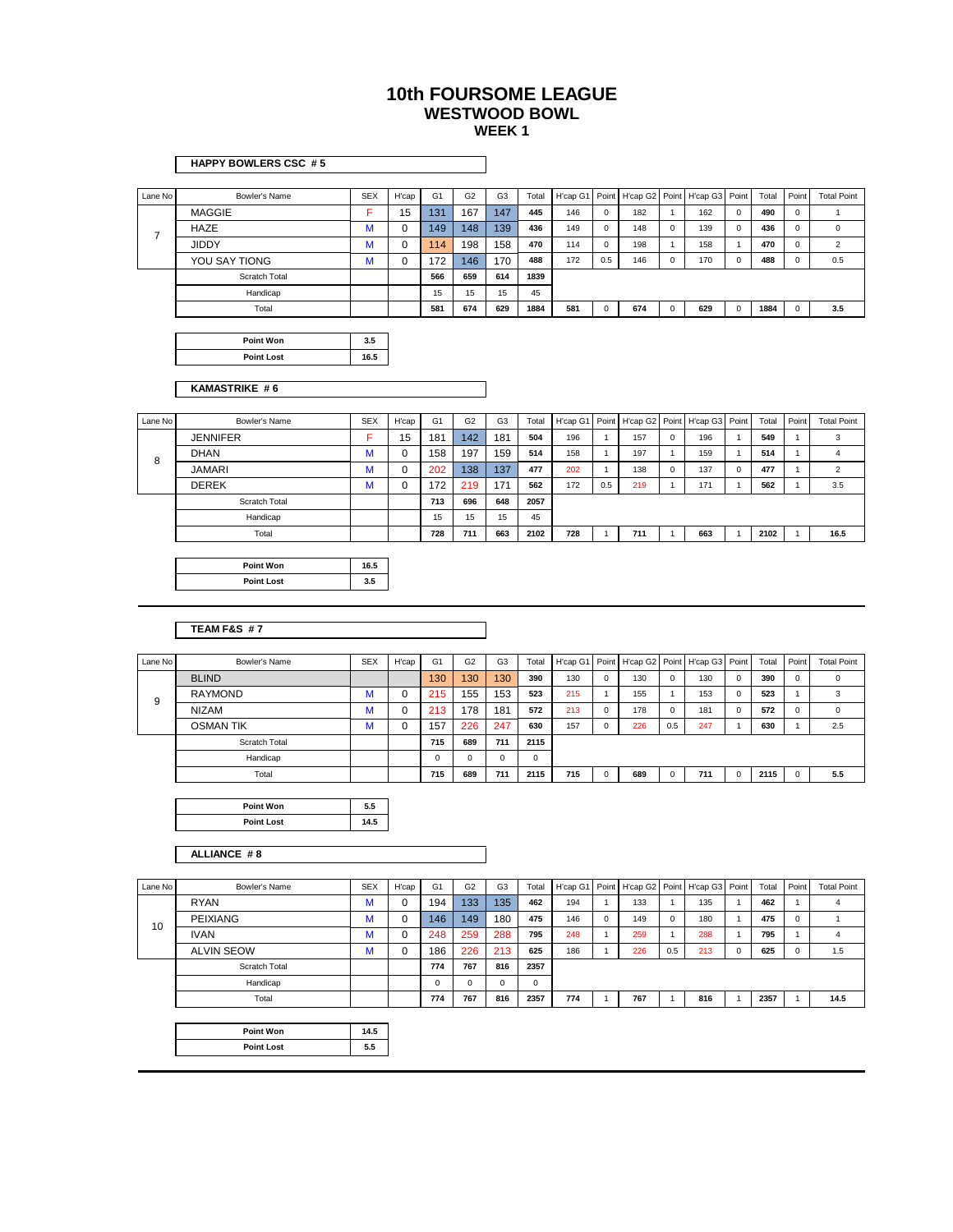#### Lane No Bowler's Name SEX H'cap G1 G2 G3 Total H'cap G1 Point H'cap G2 Point H'cap G3 Point Total Point Total Point MAGGIE F 15 131 167 147 **445** 146 0 182 1 162 0 **490** 0 1 HAZE M 0 149 148 139 **436** 149 0 148 0 139 0 **436** 0 0 JIDDY M 0 114 198 158 **470** 114 0 198 1 158 1 **470** 0 2 YOU SAY TIONG M 0 172 146 170 **488** 172 0.5 146 0 170 0 **488** 0 0.5 Scratch Total **566 659 614 1839** Handicap 15 15 15 45 Total **581 674 629 1884 581** 0 **674** 0 **629** 0 **1884** 0 **3.5 Point Won 3.5 Point Lost 16.5** Lane No Bowler's Name SEX | H'cap | G1 | G2 | G3 | Total | H'cap G1 | Point | H'cap G2 | Point | H'cap G3 | Point | Total | Point | Total Point JENNIFER F 15 181 142 181 **504** 196 1 157 0 196 1 **549** 1 3 DHAN M 0 158 197 159 **514** 158 1 197 1 159 1 **514** 1 4 JAMARI M 0 202 138 137 **477** 202 1 138 0 137 0 **477** 1 2 DEREK M 0 172 219 171 **562** 172 0.5 219 1 171 1 **562** 1 3.5 Scratch Total **713 696 648 2057** Handicap 15 15 15 15 45 Total **728 711 663 2102 728** 1 **711** 1 **663** 1 **2102** 1 **16.5 Point Won 16.5 Point Lost 3.5** Lane No **Inter Secure Sextem** Secure Cape of SEX | H'cap | G1 | G2 | G3 | Total | H'cap G1 | Point | H'cap G2 | Point | Total | Point | Total Point | Total Point Total Point Total Point BLIND 130 130 130 **390** 130 0 130 0 130 0 **390** 0 0 RAYMOND M 0 215 155 153 523 215 1 155 1 155 0 523 1 3 NIZAM M 0 213 178 181 **572** 213 0 178 0 181 0 **572** 0 0 OSMAN TIK M 0 157 226 247 **630** 157 0 226 0.5 247 1 **630** 1 2.5 Scratch Total **715 689 711 2115** Handicap **1** 0 0 0 0 0 Total **715 689 711 2115 715** 0 **689** 0 **711** 0 **2115** 0 **5.5 Point Won 5.5 Point Lost 14.5 KAMASTRIKE # 6** 8 **TEAM F&S # 7 HAPPY BOWLERS CSC # 5** 9 7

#### **ALLIANCE # 8**

| Lane No | Bowler's Name     | <b>SEX</b> | H'cap | G <sub>1</sub> | G <sub>2</sub> | G <sub>3</sub> | Total    |     |   | H'cap G1 Point   H'cap G2 Point   H'cap G3   Point |     |     | Total | Point    | <b>Total Point</b> |
|---------|-------------------|------------|-------|----------------|----------------|----------------|----------|-----|---|----------------------------------------------------|-----|-----|-------|----------|--------------------|
|         | <b>RYAN</b>       | м          | v     | 194            | 133            | 135            | 462      | 194 |   | 133                                                |     | 135 | 462   |          | 4                  |
| 10      | PEIXIANG          |            | υ     | 146            | 149            | 180            | 475      | 146 | 0 | 149                                                |     | 180 | 475   | $\Omega$ |                    |
|         | <b>IVAN</b>       | ١A<br>w    | 0     | 248            | 259            | 288            | 795      | 248 |   | 259                                                |     | 288 | 795   |          | 4                  |
|         | <b>ALVIN SEOW</b> |            | v     | 186            | 226            | 213            | 625      | 186 |   | 226                                                | 0.5 | 213 | 625   | $\Omega$ | 1.5                |
|         | Scratch Total     |            |       | 774            | 767            | 816            | 2357     |     |   |                                                    |     |     |       |          |                    |
|         | Handicap          |            |       |                | 0              | 0              | $\Omega$ |     |   |                                                    |     |     |       |          |                    |
|         | Total             |            |       | 774            | 767            | 816            | 2357     | 774 |   | 767                                                |     | 816 | 2357  |          | 14.5               |
|         |                   |            |       |                |                |                |          |     |   |                                                    |     |     |       |          |                    |

| Point Won         | 14.: |
|-------------------|------|
| <b>Point Lost</b> |      |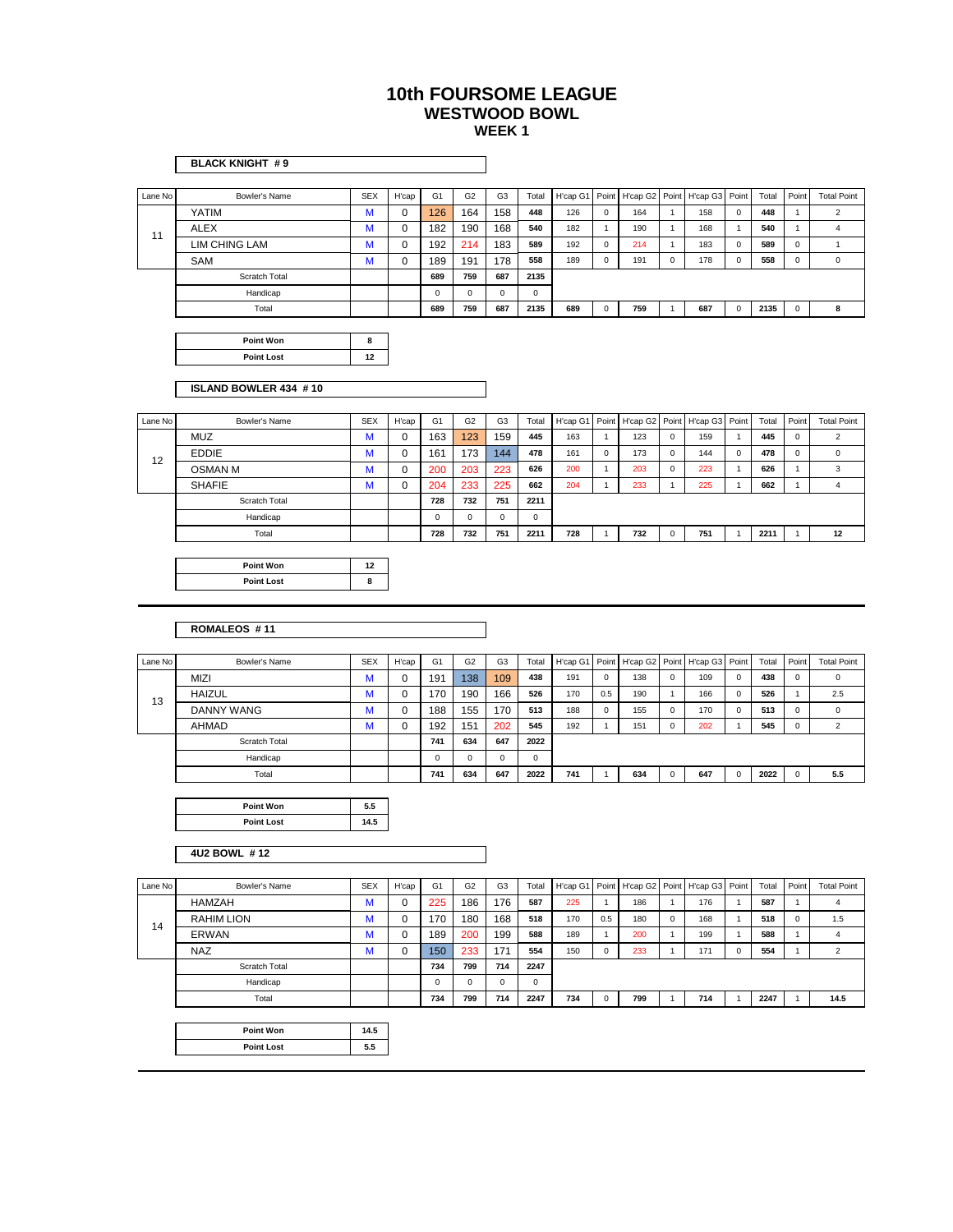|         | <b>BLACK KNIGHT #9</b> |            |             |                |                |                |       |          |              |                |                |                      |              |       |              |                     |
|---------|------------------------|------------|-------------|----------------|----------------|----------------|-------|----------|--------------|----------------|----------------|----------------------|--------------|-------|--------------|---------------------|
| Lane No | Bowler's Name          | <b>SEX</b> | H'cap       | G <sub>1</sub> | G <sub>2</sub> | G <sub>3</sub> | Total | H'cap G1 | Point        | H'cap G2       | Point          | H'cap G3             | Point        | Total | Point        | <b>Total Point</b>  |
|         | YATIM                  | M          | 0           | 126            | 164            | 158            | 448   | 126      | $\mathbf 0$  | 164            | $\overline{1}$ | 158                  | $\mathsf 0$  | 448   | $\mathbf{1}$ | $\overline{2}$      |
|         | ALEX                   | M          | 0           | 182            | 190            | 168            | 540   | 182      | $\mathbf{1}$ | 190            | $\mathbf{1}$   | 168                  | $\mathbf{1}$ | 540   | $\mathbf{1}$ | $\overline{4}$      |
| 11      | <b>LIM CHING LAM</b>   | M          | $\mathbf 0$ | 192            | 214            | 183            | 589   | 192      | $\mathbf 0$  | 214            | $\overline{1}$ | 183                  | $\mathsf 0$  | 589   | 0            | 1                   |
|         | SAM                    | M          | 0           | 189            | 191            | 178            | 558   | 189      | $\mathbf 0$  | 191            | $\mathbf 0$    | 178                  | $\mathsf 0$  | 558   | 0            | $\mathsf{O}\xspace$ |
|         | Scratch Total          |            |             | 689            | 759            | 687            | 2135  |          |              |                |                |                      |              |       |              |                     |
|         | Handicap               |            |             | $\mathbf 0$    | $\mathbf 0$    | 0              | 0     |          |              |                |                |                      |              |       |              |                     |
|         | Total                  |            |             | 689            | 759            | 687            | 2135  | 689      | 0            | 759            | $\overline{1}$ | 687                  | 0            | 2135  | $\mathsf 0$  | 8                   |
|         |                        |            |             |                |                |                |       |          |              |                |                |                      |              |       |              |                     |
|         | Point Won              | 8          |             |                |                |                |       |          |              |                |                |                      |              |       |              |                     |
|         | <b>Point Lost</b>      | 12         |             |                |                |                |       |          |              |                |                |                      |              |       |              |                     |
|         | ISLAND BOWLER 434 #10  |            |             |                |                |                |       |          |              |                |                |                      |              |       |              |                     |
| Lane No | Bowler's Name          | <b>SEX</b> | H'cap       | G1             | G <sub>2</sub> | G <sub>3</sub> | Total | H'cap G1 | Point        | H'cap G2       | Point          | H'cap G3             | Point        | Total | Point        | <b>Total Point</b>  |
|         | MUZ                    | M          | 0           | 163            | 123            | 159            | 445   | 163      | $\mathbf{1}$ | 123            | 0              | 159                  | $\mathbf{1}$ | 445   | 0            | $\overline{2}$      |
| 12      | <b>EDDIE</b>           | M          | 0           | 161            | 173            | 144            | 478   | 161      | 0            | 173            | $\mathbf 0$    | 144                  | 0            | 478   | 0            | 0                   |
|         | <b>OSMAN M</b>         | M          | $\mathbf 0$ | 200            | 203            | 223            | 626   | 200      | $\mathbf{1}$ | 203            | $\mathbf 0$    | 223                  | $\mathbf{1}$ | 626   | $\mathbf{1}$ | 3                   |
|         | <b>SHAFIE</b>          | М          | 0           | 204            | 233            | 225            | 662   | 204      | $\mathbf{1}$ | 233            | $\mathbf{1}$   | 225                  | 1            | 662   | $\mathbf{1}$ | $\overline{4}$      |
|         | Scratch Total          |            |             | 728            | 732            | 751            | 2211  |          |              |                |                |                      |              |       |              |                     |
|         | Handicap               |            |             | 0              | $\mathbf 0$    | 0              | 0     |          |              |                |                |                      |              |       |              |                     |
|         | Total                  |            |             | 728            | 732            | 751            | 2211  | 728      | $\mathbf{1}$ | 732            | $\mathbf 0$    | 751                  | $\mathbf{1}$ | 2211  | $\mathbf{1}$ | 12                  |
|         |                        |            |             |                |                |                |       |          |              |                |                |                      |              |       |              |                     |
|         | <b>Point Won</b>       | 12         |             |                |                |                |       |          |              |                |                |                      |              |       |              |                     |
|         | <b>Point Lost</b>      | 8          |             |                |                |                |       |          |              |                |                |                      |              |       |              |                     |
|         | ROMALEOS #11           |            |             |                |                |                |       |          |              |                |                |                      |              |       |              |                     |
| Lane No | Bowler's Name          | <b>SEX</b> | H'cap       | G1             | G <sub>2</sub> | G3             | Total | H'cap G1 | Point        | H'cap G2       | Point          | H'cap G3             | Point        | Total | Point        | <b>Total Point</b>  |
|         | MIZI                   | M          | 0           | 191            | 138            | 109            | 438   | 191      | 0            | 138            | 0              | 109                  | 0            | 438   | 0            | 0                   |
| 13      | <b>HAIZUL</b>          | M          | 0           | 170            | 190            | 166            | 526   | 170      | 0.5          | 190            | $\overline{1}$ | 166                  | $\mathsf 0$  | 526   | $\mathbf{1}$ | 2.5                 |
|         | DANNY WANG             | M          | 0           | 188            | 155            | 170            | 513   | 188      | 0            | 155            | $\mathbf 0$    | 170                  | 0            | 513   | 0            | 0                   |
|         | AHMAD                  | M          | 0           | 192            | 151            | 202            | 545   | 192      | $\mathbf{1}$ | 151            | $\mathbf 0$    | 202                  | $\mathbf{1}$ | 545   | 0            | $\overline{2}$      |
|         | Scratch Total          |            |             | 741            | 634            | 647            | 2022  |          |              |                |                |                      |              |       |              |                     |
|         | Handicap               |            |             | $\mathbf 0$    | $\mathbf 0$    | 0              | 0     |          |              |                |                |                      |              |       |              |                     |
|         | Total                  |            |             | 741            | 634            | 647            | 2022  | 741      | $\mathbf{1}$ | 634            | $\mathbf 0$    | 647                  | $\mathbf 0$  | 2022  | $\mathsf 0$  | 5.5                 |
|         |                        |            |             |                |                |                |       |          |              |                |                |                      |              |       |              |                     |
|         | <b>Point Won</b>       | 5.5        |             |                |                |                |       |          |              |                |                |                      |              |       |              |                     |
|         | <b>Point Lost</b>      | 14.5       |             |                |                |                |       |          |              |                |                |                      |              |       |              |                     |
|         | 4U2 BOWL #12           |            |             |                |                |                |       |          |              |                |                |                      |              |       |              |                     |
| Lane No | Bowler's Name          | <b>SEX</b> | H'cap       | G <sub>1</sub> | G <sub>2</sub> | G <sub>3</sub> | Total | H'cap G1 |              | Point H'cap G2 |                | Point H'cap G3 Point |              | Total | Point        | <b>Total Point</b>  |
|         | HAMZAH                 | M          | $\mathbf 0$ | 225            | 186            | 176            | 587   | 225      | $\mathbf{1}$ | 186            | $\overline{1}$ | 176                  | $\mathbf{1}$ | 587   | $\mathbf{1}$ | $\overline{4}$      |
|         | <b>RAHIM LION</b>      | M          | 0           | 170            | 180            | 168            | 518   | 170      | 0.5          | 180            | $\mathbf 0$    | 168                  | $\mathbf{1}$ | 518   | $\mathsf 0$  | 1.5                 |
| 14      | ERWAN                  | M          | $\mathbf 0$ | 189            | 200            | 199            | 588   | 189      | $\,$ 1 $\,$  | 200            | $\mathbf{1}$   | 199                  | $\mathbf{1}$ | 588   | $\mathbf{1}$ | $\overline{4}$      |
|         | <b>NAZ</b>             | М          | $\pmb{0}$   | 150            | 233            | 171            | 554   | 150      | 0            | 233            | $\mathbf{1}$   | 171                  | $\mathbf 0$  | 554   | $\mathbf{1}$ | $\overline{2}$      |
|         | Scratch Total          |            |             | 734            | 799            | 714            | 2247  |          |              |                |                |                      |              |       |              |                     |

Total **734 799 714 2247 734** 0 **799** 1 **714** 1 **2247** 1 **14.5**

| Point Won         | 14.5 |
|-------------------|------|
| <b>Point Lost</b> | 5.5  |

Handicap | | | 0 0 0 0 0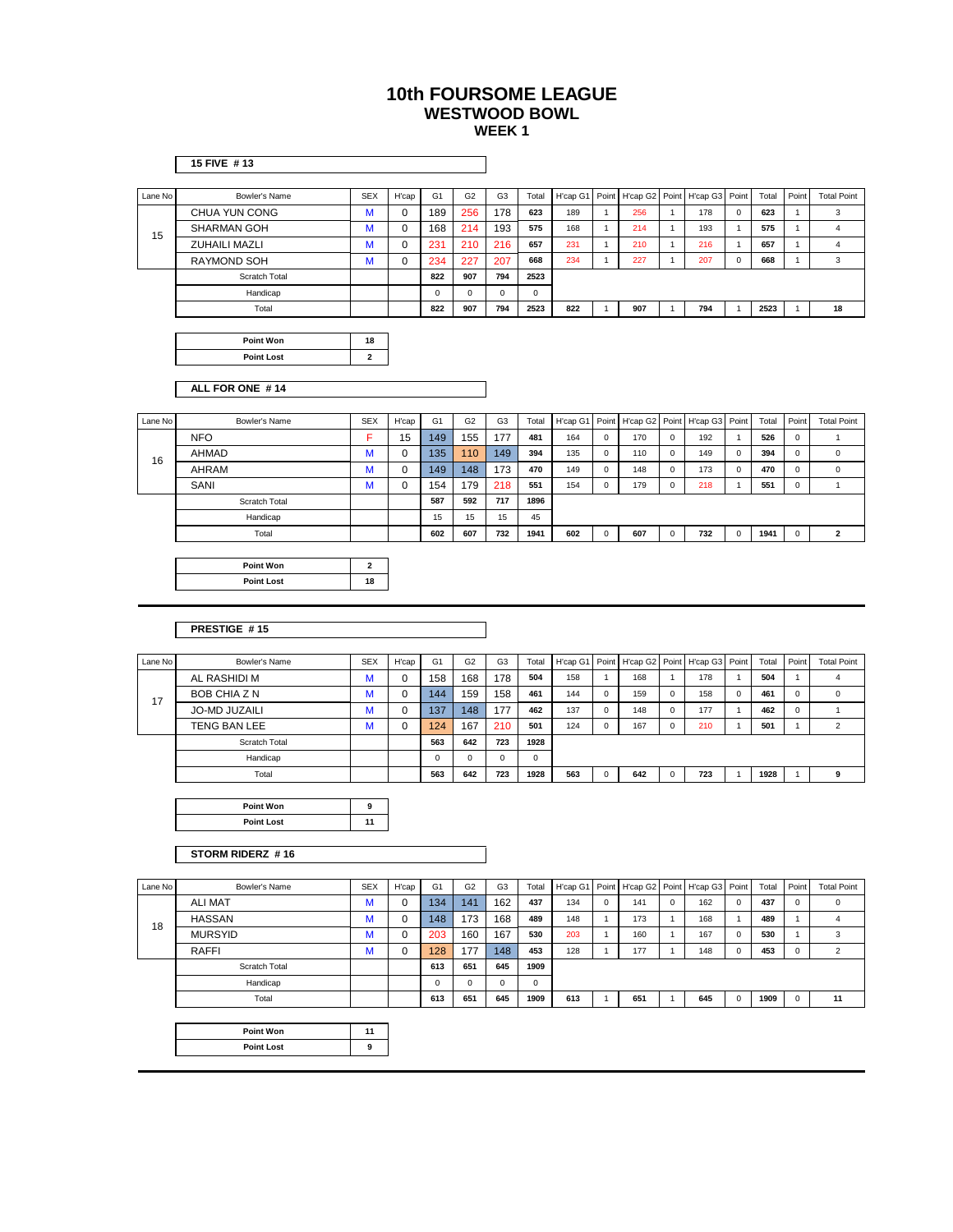|         | 15 FIVE #13          |                         |             |                |                |                |             |          |              |          |                |          |              |       |              |                         |
|---------|----------------------|-------------------------|-------------|----------------|----------------|----------------|-------------|----------|--------------|----------|----------------|----------|--------------|-------|--------------|-------------------------|
| Lane No | <b>Bowler's Name</b> | <b>SEX</b>              | H'cap       | G <sub>1</sub> | G <sub>2</sub> | G <sub>3</sub> | Total       | H'cap G1 | Point        | H'cap G2 | Point          | H'cap G3 | Point        | Total | Point        | <b>Total Point</b>      |
|         | CHUA YUN CONG        | M                       | 0           | 189            | 256            | 178            | 623         | 189      | $\mathbf{1}$ | 256      | $\mathbf{1}$   | 178      | $\mathbf 0$  | 623   | $\mathbf{1}$ | 3                       |
|         | <b>SHARMAN GOH</b>   | M                       | 0           | 168            | 214            | 193            | 575         | 168      | $\mathbf{1}$ | 214      | $\overline{1}$ | 193      | $\mathbf{1}$ | 575   | $\mathbf{1}$ | $\overline{4}$          |
| 15      | <b>ZUHAILI MAZLI</b> | M                       | $\mathbf 0$ | 231            | 210            | 216            | 657         | 231      | $\mathbf{1}$ | 210      | $\overline{1}$ | 216      | $\mathbf{1}$ | 657   | $\mathbf{1}$ | 4                       |
|         | <b>RAYMOND SOH</b>   | M                       | 0           | 234            | 227            | 207            | 668         | 234      | $\mathbf{1}$ | 227      | $\overline{1}$ | 207      | $\mathsf 0$  | 668   | 1            | 3                       |
|         | Scratch Total        |                         |             | 822            | 907            | 794            | 2523        |          |              |          |                |          |              |       |              |                         |
|         | Handicap             |                         |             | $\mathsf 0$    | $\mathsf 0$    | $\mathsf 0$    | 0           |          |              |          |                |          |              |       |              |                         |
|         | Total                |                         |             | 822            | 907            | 794            | 2523        | 822      | $\mathbf{1}$ | 907      | $\mathbf{1}$   | 794      | $\mathbf{1}$ | 2523  | $\mathbf{1}$ | 18                      |
|         |                      |                         |             |                |                |                |             |          |              |          |                |          |              |       |              |                         |
|         | <b>Point Won</b>     | 18                      |             |                |                |                |             |          |              |          |                |          |              |       |              |                         |
|         | <b>Point Lost</b>    | $\overline{\mathbf{2}}$ |             |                |                |                |             |          |              |          |                |          |              |       |              |                         |
|         |                      |                         |             |                |                |                |             |          |              |          |                |          |              |       |              |                         |
|         | ALL FOR ONE #14      |                         |             |                |                |                |             |          |              |          |                |          |              |       |              |                         |
| Lane No | Bowler's Name        | <b>SEX</b>              | H'cap       | G <sub>1</sub> | G <sub>2</sub> | G <sub>3</sub> | Total       | H'cap G1 | Point        | H'cap G2 | Point          | H'cap G3 | Point        | Total | Point        | <b>Total Point</b>      |
|         | <b>NFO</b>           | F                       | 15          | 149            | 155            | 177            | 481         | 164      | $\mathbf 0$  | 170      | $\mathbf 0$    | 192      | 1            | 526   | 0            | 1                       |
|         | <b>AHMAD</b>         | M                       | 0           | 135            | 110            | 149            | 394         | 135      | $\mathbf 0$  | 110      | $\mathbf 0$    | 149      | $\mathsf 0$  | 394   | 0            | $\mathsf 0$             |
| 16      | AHRAM                | M                       | 0           | 149            | 148            | 173            | 470         | 149      | 0            | 148      | $\mathbf 0$    | 173      | $\mathsf 0$  | 470   | 0            | $\mathsf 0$             |
|         | SANI                 | M                       | 0           | 154            | 179            | 218            | 551         | 154      | $\mathsf 0$  | 179      | $\mathbf 0$    | 218      | $\mathbf{1}$ | 551   | 0            | $\mathbf{1}$            |
|         | Scratch Total        |                         |             | 587            | 592            | 717            | 1896        |          |              |          |                |          |              |       |              |                         |
|         | Handicap             |                         |             | 15             | 15             | 15             | 45          |          |              |          |                |          |              |       |              |                         |
|         | Total                |                         |             | 602            | 607            | 732            | 1941        | 602      | $\mathsf 0$  | 607      | $\mathbf 0$    | 732      | $\mathsf 0$  | 1941  | 0            | 2                       |
|         |                      |                         |             |                |                |                |             |          |              |          |                |          |              |       |              |                         |
|         | Point Won            | $\mathbf{2}$            |             |                |                |                |             |          |              |          |                |          |              |       |              |                         |
|         | <b>Point Lost</b>    | 18                      |             |                |                |                |             |          |              |          |                |          |              |       |              |                         |
|         |                      |                         |             |                |                |                |             |          |              |          |                |          |              |       |              |                         |
|         |                      |                         |             |                |                |                |             |          |              |          |                |          |              |       |              |                         |
|         | PRESTIGE #15         |                         |             |                |                |                |             |          |              |          |                |          |              |       |              |                         |
|         |                      |                         |             |                |                |                |             |          |              |          |                |          |              |       |              |                         |
| Lane No | Bowler's Name        | <b>SEX</b>              | H'cap       | G <sub>1</sub> | G <sub>2</sub> | G <sub>3</sub> | Total       | H'cap G1 | Point        | H'cap G2 | Point          | H'cap G3 | Point        | Total | Point        | <b>Total Point</b>      |
|         | AL RASHIDI M         | M                       | 0           | 158            | 168            | 178            | 504         | 158      | $\mathbf{1}$ | 168      | $\overline{1}$ | 178      | $\mathbf{1}$ | 504   | $\mathbf{1}$ | $\overline{\mathbf{4}}$ |
| 17      | BOB CHIA Z N         | M                       | 0           | 144            | 159            | 158            | 461         | 144      | $\mathbf 0$  | 159      | $\mathbf 0$    | 158      | $\mathbf 0$  | 461   | 0            | 0                       |
|         | <b>JO-MD JUZAILI</b> | M                       | 0           | 137            | 148            | 177            | 462         | 137      | $\mathsf 0$  | 148      | $\mathbf 0$    | 177      | $\mathbf{1}$ | 462   | 0            | $\mathbf{1}$            |
|         | TENG BAN LEE         | M                       | 0           | 124            | 167            | 210            | 501         | 124      | $\mathsf 0$  | 167      | $\mathbf 0$    | 210      | $\mathbf{1}$ | 501   | $\mathbf{1}$ | $\overline{2}$          |
|         | Scratch Total        |                         |             | 563            | 642            | 723            | 1928        |          |              |          |                |          |              |       |              |                         |
|         | Handicap             |                         |             | 0              | 0              | 0              | 0           |          |              |          |                |          |              |       |              |                         |
|         | Total                |                         |             | 563            | 642            | 723            | 1928        | 563      | $\mathbf 0$  | 642      | $\mathbf 0$    | 723      | $\mathbf{1}$ | 1928  | $\mathbf{1}$ | 9                       |
|         |                      |                         |             |                |                |                |             |          |              |          |                |          |              |       |              |                         |
|         | Point Won            | 9                       |             |                |                |                |             |          |              |          |                |          |              |       |              |                         |
|         | <b>Point Lost</b>    | 11                      |             |                |                |                |             |          |              |          |                |          |              |       |              |                         |
|         |                      |                         |             |                |                |                |             |          |              |          |                |          |              |       |              |                         |
|         | STORM RIDERZ #16     |                         |             |                |                |                |             |          |              |          |                |          |              |       |              |                         |
| Lane No | Bowler's Name        | <b>SEX</b>              | H'cap       | G <sub>1</sub> | G <sub>2</sub> | G <sub>3</sub> | Total       | H'cap G1 | Point        | H'cap G2 | Point          | H'cap G3 | Point        | Total | Point        | <b>Total Point</b>      |
|         | <b>ALI MAT</b>       | M                       | 0           | 134            | 141            | 162            | 437         | 134      | $\mathbf 0$  | 141      | 0              | 162      | $\mathbf 0$  | 437   | 0            | 0                       |
|         | <b>HASSAN</b>        | M                       | 0           | 148            | 173            | 168            | 489         | 148      | $\mathbf{1}$ | 173      | $\mathbf{1}$   | 168      | $\mathbf{1}$ | 489   | $\mathbf{1}$ | $\overline{4}$          |
| 18      | <b>MURSYID</b>       | M                       | 0           | 203            | 160            | 167            | 530         | 203      | $\mathbf{1}$ | 160      | $\overline{1}$ | 167      | $\mathbf 0$  | 530   | $\mathbf{1}$ | 3                       |
|         | <b>RAFFI</b>         | M                       | 0           | 128            | 177            | 148            | 453         | 128      | $\mathbf{1}$ | 177      | $\overline{1}$ | 148      | $\mathsf 0$  | 453   | 0            | $\overline{2}$          |
|         | Scratch Total        |                         |             | 613            | 651            | 645            | 1909        |          |              |          |                |          |              |       |              |                         |
|         | Handicap             |                         |             | $\mathsf 0$    | $\mathbf 0$    | $\mathsf 0$    | $\mathsf 0$ |          |              |          |                |          |              |       |              |                         |

Total **613 651 645 1909 613** 1 **651** 1 **645** 0 **1909** 0 **11**

| Point Won         |   |
|-------------------|---|
| <b>Point Lost</b> | ۰ |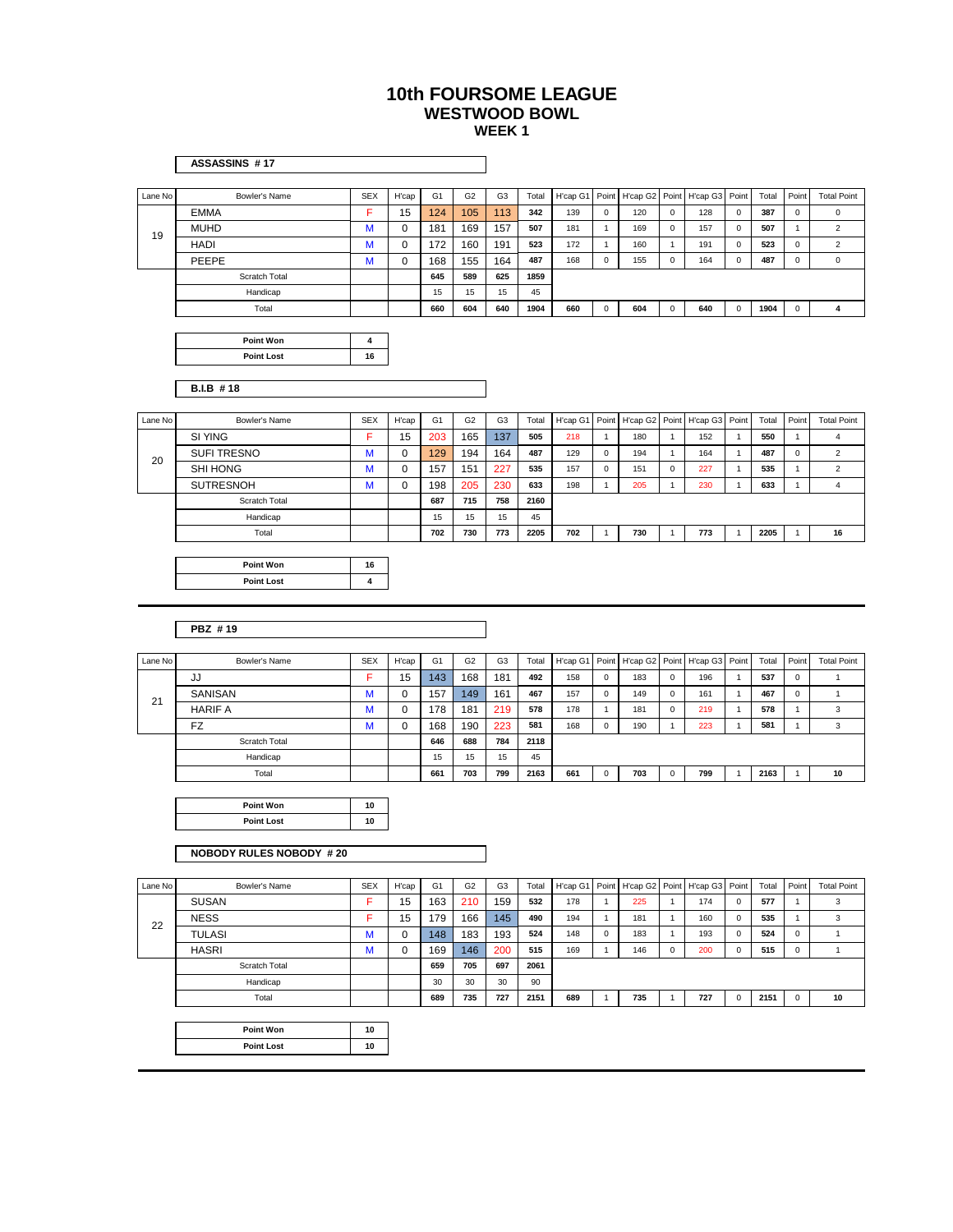|         | ASSASSINS #17                         |            |       |                |                |                |       |          |              |          |              |                |              |       |                     |                    |
|---------|---------------------------------------|------------|-------|----------------|----------------|----------------|-------|----------|--------------|----------|--------------|----------------|--------------|-------|---------------------|--------------------|
| Lane No | Bowler's Name                         | <b>SEX</b> | H'cap | G <sub>1</sub> | G <sub>2</sub> | G <sub>3</sub> | Total | H'cap G1 | Point        | H'cap G2 | Point        | H'cap G3       | Point        | Total | Point               | <b>Total Point</b> |
|         | <b>EMMA</b>                           | F          | 15    | 124            | 105            | 113            | 342   | 139      | $\mathbf 0$  | 120      | $\mathbf 0$  | 128            | $\mathsf 0$  | 387   | 0                   | $\mathsf 0$        |
|         | <b>MUHD</b>                           | M          | 0     | 181            | 169            | 157            | 507   | 181      | $\mathbf{1}$ | 169      | 0            | 157            | 0            | 507   | $\mathbf{1}$        | $\overline{c}$     |
| 19      | <b>HADI</b>                           | M          | 0     | 172            | 160            | 191            | 523   | 172      | $\mathbf{1}$ | 160      | $\mathbf{1}$ | 191            | $\mathsf 0$  | 523   | 0                   | $\sqrt{2}$         |
|         | PEEPE                                 | М          | 0     | 168            | 155            | 164            | 487   | 168      | $\mathbf 0$  | 155      | $\mathbf 0$  | 164            | 0            | 487   | 0                   | $\mathsf 0$        |
|         | Scratch Total                         |            |       | 645            | 589            | 625            | 1859  |          |              |          |              |                |              |       |                     |                    |
|         | Handicap                              |            |       | 15             | 15             | 15             | 45    |          |              |          |              |                |              |       |                     |                    |
|         | Total                                 |            |       | 660            | 604            | 640            | 1904  | 660      | $\mathsf 0$  | 604      | $\mathbf 0$  | 640            | $\mathsf 0$  | 1904  | $\mathsf{O}\xspace$ | 4                  |
|         |                                       |            |       |                |                |                |       |          |              |          |              |                |              |       |                     |                    |
|         | <b>Point Won</b>                      | 4          |       |                |                |                |       |          |              |          |              |                |              |       |                     |                    |
|         | <b>Point Lost</b>                     | 16         |       |                |                |                |       |          |              |          |              |                |              |       |                     |                    |
|         |                                       |            |       |                |                |                |       |          |              |          |              |                |              |       |                     |                    |
|         | <b>B.I.B #18</b>                      |            |       |                |                |                |       |          |              |          |              |                |              |       |                     |                    |
|         |                                       |            |       |                |                |                |       |          |              |          |              |                |              |       |                     |                    |
| Lane No | Bowler's Name                         | <b>SEX</b> | H'cap | G <sub>1</sub> | G <sub>2</sub> | G3             | Total | H'cap G1 | Point        | H'cap G2 |              | Point H'cap G3 | Point        | Total | Point               | <b>Total Point</b> |
|         | SI YING                               | F          | 15    | 203            | 165            | 137            | 505   | 218      | $\mathbf{1}$ | 180      | $\mathbf{1}$ | 152            | $\mathbf{1}$ | 550   | $\mathbf{1}$        | 4                  |
| 20      | <b>SUFI TRESNO</b>                    | М          | 0     | 129            | 194            | 164            | 487   | 129      | $\mathsf 0$  | 194      | $\mathbf{1}$ | 164            | $\mathbf{1}$ | 487   | 0                   | $\sqrt{2}$         |
|         | <b>SHI HONG</b>                       | M          | 0     | 157            | 151            | 227            | 535   | 157      | $\mathsf 0$  | 151      | 0            | 227            | $\mathbf{1}$ | 535   | $\mathbf{1}$        | $\overline{2}$     |
|         | <b>SUTRESNOH</b>                      | М          | 0     | 198            | 205            | 230            | 633   | 198      | $\mathbf{1}$ | 205      | $\mathbf{1}$ | 230            | 1            | 633   | $\mathbf{1}$        | 4                  |
|         | Scratch Total                         |            |       | 687            | 715            | 758            | 2160  |          |              |          |              |                |              |       |                     |                    |
|         | Handicap                              |            |       | 15             | 15             | 15             | 45    |          |              |          |              |                |              |       |                     |                    |
|         | Total                                 |            |       | 702            | 730            | 773            | 2205  | 702      | $\mathbf{1}$ | 730      | $\mathbf{1}$ | 773            | $\mathbf{1}$ | 2205  | $\mathbf{1}$        | 16                 |
|         |                                       |            |       |                |                |                |       |          |              |          |              |                |              |       |                     |                    |
|         | <b>Point Won</b><br><b>Point Lost</b> | 16<br>4    |       |                |                |                |       |          |              |          |              |                |              |       |                     |                    |
|         |                                       |            |       |                |                |                |       |          |              |          |              |                |              |       |                     |                    |
|         |                                       |            |       |                |                |                |       |          |              |          |              |                |              |       |                     |                    |
|         | PBZ #19                               |            |       |                |                |                |       |          |              |          |              |                |              |       |                     |                    |
|         |                                       |            |       |                |                |                |       |          |              |          |              |                |              |       |                     |                    |
| Lane No | Bowler's Name                         | <b>SEX</b> | H'cap | G <sub>1</sub> | G <sub>2</sub> | G <sub>3</sub> | Total | H'cap G1 | Point        | H'cap G2 |              | Point H'cap G3 | Point        | Total | Point               | <b>Total Point</b> |
|         | JJ                                    | F          | 15    | 143            | 168            | 181            | 492   | 158      | $\pmb{0}$    | 183      | 0            | 196            | $\mathbf{1}$ | 537   | $\mathsf 0$         | 1                  |
|         | SANISAN                               | M          | 0     | 157            | 149            | 161            | 467   | 157      | $\pmb{0}$    | 149      | 0            | 161            | 1            | 467   | 0                   | $\mathbf{1}$       |
| 21      | <b>HARIF A</b>                        | М          | 0     | 178            | 181            | 219            | 578   | 178      | $\mathbf{1}$ | 181      | 0            | 219            | 1            | 578   | $\mathbf{1}$        | 3                  |
|         | FZ                                    | M          | 0     | 168            | 190            | 223            | 581   | 168      | $\mathsf 0$  | 190      | $\mathbf{1}$ | 223            | $\mathbf{1}$ | 581   | $\mathbf{1}$        | 3                  |
|         | Scratch Total                         |            |       | 646            | 688            | 784            | 2118  |          |              |          |              |                |              |       |                     |                    |
|         | Handicap                              |            |       | 15             | 15             | 15             | 45    |          |              |          |              |                |              |       |                     |                    |
|         | Total                                 |            |       | 661            | 703            | 799            | 2163  | 661      | $\pmb{0}$    | 703      | $\mathsf 0$  | 799            | $\mathbf{1}$ | 2163  | $\mathbf{1}$        | 10                 |
|         |                                       |            |       |                |                |                |       |          |              |          |              |                |              |       |                     |                    |
|         | <b>Point Won</b>                      | 10         |       |                |                |                |       |          |              |          |              |                |              |       |                     |                    |
|         | <b>Point Lost</b>                     | 10         |       |                |                |                |       |          |              |          |              |                |              |       |                     |                    |
|         |                                       |            |       |                |                |                |       |          |              |          |              |                |              |       |                     |                    |
|         | <b>NOBODY RULES NOBODY #20</b>        |            |       |                |                |                |       |          |              |          |              |                |              |       |                     |                    |
|         |                                       |            |       |                |                |                |       |          |              |          |              |                |              |       |                     |                    |
| Lane No | Bowler's Name                         | <b>SEX</b> | H'cap | G <sub>1</sub> | G <sub>2</sub> | G <sub>3</sub> | Total | H'cap G1 | Point        | H'cap G2 |              | Point H'cap G3 | Point        | Total | Point               | <b>Total Point</b> |
|         | <b>SUSAN</b>                          | F          | 15    | 163            | 210            | 159            | 532   | 178      | $\mathbf{1}$ | 225      | $\mathbf{1}$ | 174            | $\mathbf 0$  | 577   | $\mathbf{1}$        | 3                  |
| 22      | <b>NESS</b>                           | F          | 15    | 179            | 166            | 145            | 490   | 194      | $\mathbf{1}$ | 181      | $\mathbf{1}$ | 160            | 0            | 535   | $\mathbf{1}$        | 3                  |
|         | <b>TULASI</b>                         | M          | 0     | 148            | 183            | 193            | 524   | 148      | $\mathbf 0$  | 183      | $\mathbf{1}$ | 193            | 0            | 524   | 0                   | $\mathbf{1}$       |
|         | <b>HASRI</b>                          | M          | 0     | 169            | 146            | 200            | 515   | 169      | $\mathbf{1}$ | 146      | $\mathsf 0$  | 200            | $\mathbf 0$  | 515   | $\mathsf{O}\xspace$ | $\mathbf{1}$       |
|         | Scratch Total                         |            |       | 659            | 705            | 697            | 2061  |          |              |          |              |                |              |       |                     |                    |
|         | Handicap                              |            |       | 30             | 30             | 30             | 90    |          |              |          |              |                |              |       |                     |                    |
|         | Total                                 |            |       | 689            | 735            | 727            | 2151  | 689      | $\mathbf{1}$ | 735      | $\mathbf{1}$ | 727            | 0            | 2151  | $\mathsf 0$         | 10                 |

**Point Lost 10**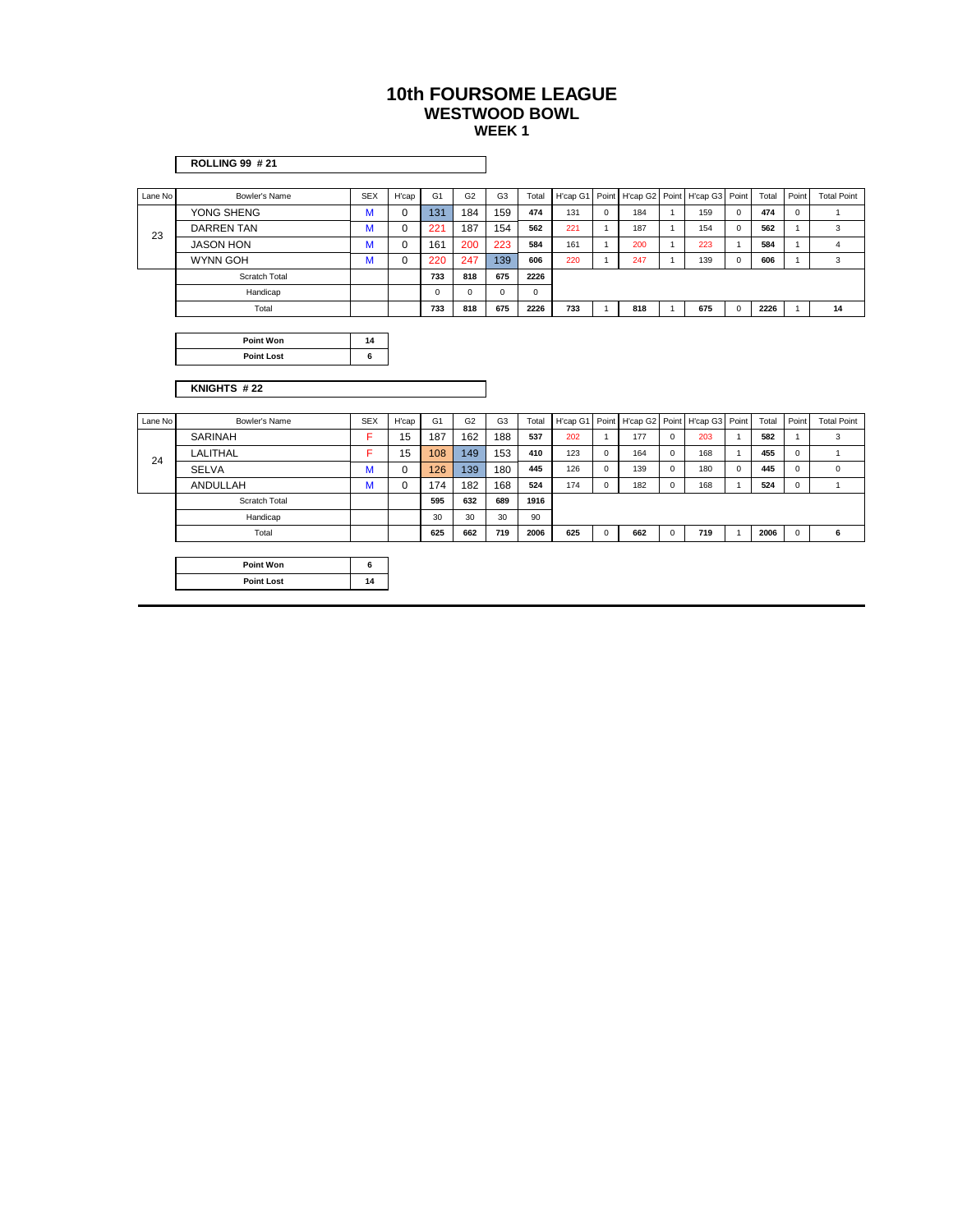|               | <b>ROLLING 99 #21</b> |     |             |                |                |                |             |                                              |                |     |                |                                              |                         |       |                                                     |                    |  |
|---------------|-----------------------|-----|-------------|----------------|----------------|----------------|-------------|----------------------------------------------|----------------|-----|----------------|----------------------------------------------|-------------------------|-------|-----------------------------------------------------|--------------------|--|
|               |                       |     |             |                |                |                |             |                                              |                |     |                |                                              |                         |       |                                                     |                    |  |
|               | Bowler's Name         | SEX | H'cap       | G <sub>1</sub> | G <sub>2</sub> | G <sub>3</sub> | Total       |                                              |                |     |                | H'cap G1 Point H'cap G2 Point H'cap G3 Point |                         | Total | Point                                               | <b>Total Point</b> |  |
|               | YONG SHENG            | M   | $\mathbf 0$ | 131            | 184            | 159            | 474         | 131                                          | $\mathbf{0}$   | 184 |                | 159                                          | $\overline{0}$          | 474   | $\mathbf 0$                                         |                    |  |
| 23            | <b>DARREN TAN</b>     | M   | 0           | 221            | 187            | 154            | 562         | 221                                          |                | 187 |                | 154                                          | $\overline{0}$          | 562   |                                                     | $\mathbf{3}$       |  |
|               | <b>JASON HON</b>      | M   | $\mathbf 0$ | 161            | 200            | 223            | 584         | 161                                          |                | 200 |                | 223                                          |                         | 584   | $\overline{A}$                                      | $\overline{4}$     |  |
|               | <b>WYNN GOH</b>       | M   | $\mathsf 0$ | 220            | 247            | 139            | 606         | 220                                          |                | 247 |                | 139                                          | $\overline{0}$          | 606   | $\overline{1}$                                      | $\mathbf{3}$       |  |
|               | Scratch Total         |     |             | 733            | 818            | 675            | 2226        |                                              |                |     |                |                                              |                         |       |                                                     |                    |  |
|               | Handicap              |     |             | $\overline{0}$ | $\overline{0}$ | $\mathbf{0}$   | $\mathbf 0$ |                                              |                |     |                |                                              |                         |       |                                                     |                    |  |
|               | Total                 |     |             | 733            | 818            | 675            | 2226        | 733                                          |                | 818 |                | 675                                          | $\overline{\mathbf{0}}$ | 2226  |                                                     | 14                 |  |
|               |                       |     |             |                |                |                |             |                                              |                |     |                |                                              |                         |       |                                                     |                    |  |
|               | Point Won             | 14  |             |                |                |                |             |                                              |                |     |                |                                              |                         |       |                                                     |                    |  |
|               | <b>Point Lost</b>     | 6   |             |                |                |                |             |                                              |                |     |                |                                              |                         |       |                                                     |                    |  |
|               |                       |     |             |                |                |                |             |                                              |                |     |                |                                              |                         |       |                                                     |                    |  |
|               | KNIGHTS #22           |     |             |                |                |                |             |                                              |                |     |                |                                              |                         |       |                                                     |                    |  |
|               |                       |     |             |                |                |                |             |                                              |                |     |                |                                              |                         |       |                                                     |                    |  |
| Lane No       | Bowler's Name         | SEX | H'cap       | G <sub>1</sub> | G <sub>2</sub> | G <sub>3</sub> | Total       | H'cap G1 Point H'cap G2 Point H'cap G3 Point |                |     |                |                                              |                         |       | Point                                               | <b>Total Point</b> |  |
| Lane No<br>24 |                       |     |             |                |                |                |             |                                              |                |     |                |                                              |                         | Total |                                                     |                    |  |
|               | <b>SARINAH</b>        | F.  | 15          | 187            | 162            | 188            | 537         | 202                                          |                | 177 | $\mathbf 0$    | 203                                          |                         | 582   |                                                     | $\overline{3}$     |  |
|               | LALITHAL              | F.  | 15          | 108            | 149            | 153            | 410         | 123                                          | $\Omega$       | 164 | $\Omega$       | 168                                          |                         | 455   | $\mathbf 0$                                         |                    |  |
|               | SELVA                 | M   | $\mathbf 0$ | 126            | 139            | 180            | 445         | 126                                          | $^{\circ}$     | 139 | $\mathbf 0$    | 180                                          | $\overline{0}$          | 445   | $\overline{0}$                                      | $\overline{0}$     |  |
|               | ANDULLAH              | M   | $\mathbf 0$ | 174            | 182            | 168            | 524         | 174                                          | $\overline{0}$ | 182 | $\mathbf{0}$   | 168                                          |                         | 524   | $\overline{0}$                                      | $\overline{1}$     |  |
|               | Scratch Total         |     |             | 595            | 632            | 689            | 1916        |                                              |                |     |                |                                              |                         |       |                                                     |                    |  |
|               | Handicap              |     |             | 30             | 30             | 30             | 90          |                                              |                |     |                |                                              |                         |       |                                                     |                    |  |
|               | Total                 |     |             | 625            | 662            | 719            | 2006        | 625                                          | $\overline{0}$ | 662 | $\overline{0}$ | 719                                          |                         | 2006  | $\overline{\phantom{a}}$ 0 $\overline{\phantom{a}}$ | 6                  |  |
|               |                       |     |             |                |                |                |             |                                              |                |     |                |                                              |                         |       |                                                     |                    |  |
|               | Point Won             | 6   |             |                |                |                |             |                                              |                |     |                |                                              |                         |       |                                                     |                    |  |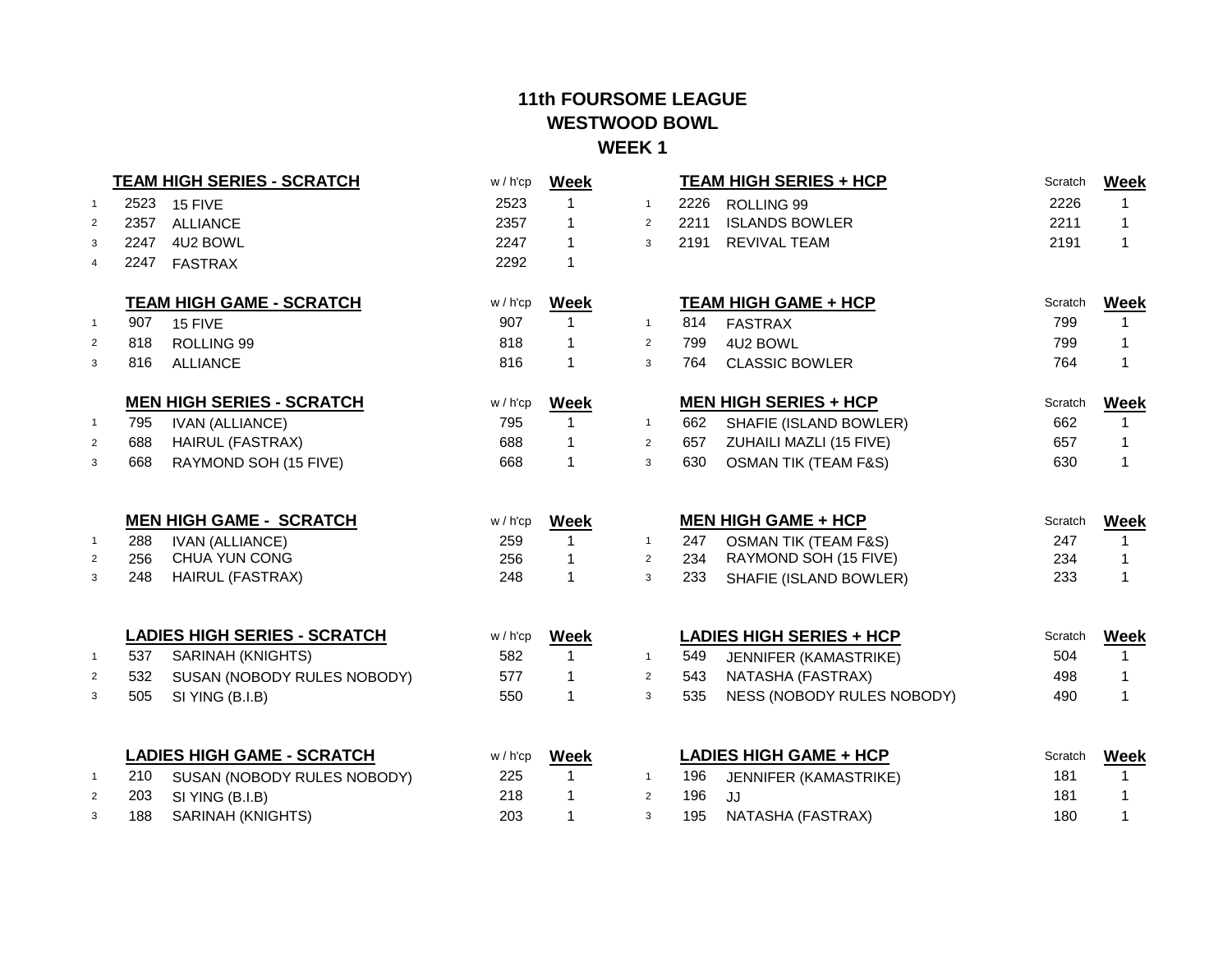|                                  |            | <b>TEAM HIGH SERIES - SCRATCH</b>              | $w / h'$ cp | <b>Week</b>      |                                |            | <b>TEAM HIGH SERIES + HCP</b>                   | Scratch    | <b>Week</b>                 |
|----------------------------------|------------|------------------------------------------------|-------------|------------------|--------------------------------|------------|-------------------------------------------------|------------|-----------------------------|
| $\overline{1}$                   | 2523       | 15 FIVE                                        | 2523        | 1                | $\mathbf{1}$                   | 2226       | ROLLING 99                                      | 2226       | 1                           |
| 2                                | 2357       | <b>ALLIANCE</b>                                | 2357        | 1                | 2                              | 2211       | <b>ISLANDS BOWLER</b>                           | 2211       | $\mathbf{1}$                |
| 3                                | 2247       | 4U2 BOWL                                       | 2247        | 1                | 3                              | 2191       | <b>REVIVAL TEAM</b>                             | 2191       | 1                           |
| $\overline{4}$                   | 2247       | <b>FASTRAX</b>                                 | 2292        | 1                |                                |            |                                                 |            |                             |
|                                  |            | <b>TEAM HIGH GAME - SCRATCH</b>                | $w / h'$ cp | Week             |                                |            | <b>TEAM HIGH GAME + HCP</b>                     | Scratch    | <b>Week</b>                 |
| $\mathbf{1}$                     | 907        | 15 FIVE                                        | 907         | 1                | $\mathbf{1}$                   | 814        | <b>FASTRAX</b>                                  | 799        | 1                           |
| $\overline{2}$                   | 818        | ROLLING 99                                     | 818         | 1                | $\overline{2}$                 | 799        | 4U2 BOWL                                        | 799        | 1                           |
| 3                                | 816        | <b>ALLIANCE</b>                                | 816         | 1                | 3                              | 764        | <b>CLASSIC BOWLER</b>                           | 764        | 1                           |
|                                  |            | <b>MEN HIGH SERIES - SCRATCH</b>               | w / h'cp    | <b>Week</b>      |                                |            | <b>MEN HIGH SERIES + HCP</b>                    | Scratch    | <b>Week</b>                 |
| $\overline{1}$                   | 795        | <b>IVAN (ALLIANCE)</b>                         | 795         | 1                | $\mathbf{1}$                   | 662        | SHAFIE (ISLAND BOWLER)                          | 662        | 1                           |
| $\overline{2}$                   | 688        | <b>HAIRUL (FASTRAX)</b>                        | 688         | 1                | $\overline{2}$                 | 657        | ZUHAILI MAZLI (15 FIVE)                         | 657        | 1                           |
| 3                                | 668        | RAYMOND SOH (15 FIVE)                          | 668         | $\mathbf{1}$     | 3                              | 630        | <b>OSMAN TIK (TEAM F&amp;S)</b>                 | 630        | 1                           |
|                                  |            |                                                |             |                  |                                |            |                                                 |            |                             |
|                                  |            |                                                |             |                  |                                |            |                                                 | Scratch    |                             |
|                                  |            | <b>MEN HIGH GAME - SCRATCH</b>                 | $w / h'$ cp | <b>Week</b>      |                                |            | <b>MEN HIGH GAME + HCP</b>                      |            | <b>Week</b>                 |
| $\overline{1}$<br>$\overline{2}$ | 288<br>256 | <b>IVAN (ALLIANCE)</b><br>CHUA YUN CONG        | 259<br>256  | 1<br>1           | $\mathbf{1}$<br>$\overline{2}$ | 247        | <b>OSMAN TIK (TEAM F&amp;S)</b>                 | 247        | 1<br>1                      |
| 3                                | 248        | <b>HAIRUL (FASTRAX)</b>                        | 248         | $\mathbf{1}$     | 3                              | 234<br>233 | RAYMOND SOH (15 FIVE)<br>SHAFIE (ISLAND BOWLER) | 234<br>233 | 1                           |
|                                  |            |                                                |             |                  |                                |            |                                                 |            |                             |
|                                  |            | <b>LADIES HIGH SERIES - SCRATCH</b>            | $w / h'$ cp | <b>Week</b>      |                                |            | <b>LADIES HIGH SERIES + HCP</b>                 | Scratch    | <b>Week</b>                 |
| $\overline{1}$                   | 537        | SARINAH (KNIGHTS)                              | 582         | $\mathbf{1}$     | $\mathbf{1}$                   | 549        | <b>JENNIFER (KAMASTRIKE)</b>                    | 504        | $\mathbf{1}$                |
| $\overline{2}$                   | 532        | SUSAN (NOBODY RULES NOBODY)                    | 577         | 1                | 2                              | 543        | NATASHA (FASTRAX)                               | 498        | $\mathbf{1}$                |
| 3                                | 505        | SI YING (B.I.B)                                | 550         | $\mathbf{1}$     | 3                              | 535        | NESS (NOBODY RULES NOBODY)                      | 490        | 1                           |
|                                  |            |                                                | $w / h'$ cp |                  |                                |            |                                                 | Scratch    |                             |
| $\mathbf{1}$                     |            | <b>LADIES HIGH GAME - SCRATCH</b>              | 225         | <b>Week</b><br>1 | $\mathbf{1}$                   |            | <b>LADIES HIGH GAME + HCP</b>                   | 181        | <b>Week</b><br>$\mathbf{1}$ |
| $\overline{2}$                   | 210<br>203 | SUSAN (NOBODY RULES NOBODY)<br>SI YING (B.I.B) | 218         | 1                | 2                              | 196<br>196 | JENNIFER (KAMASTRIKE)<br>JJ                     | 181        | 1                           |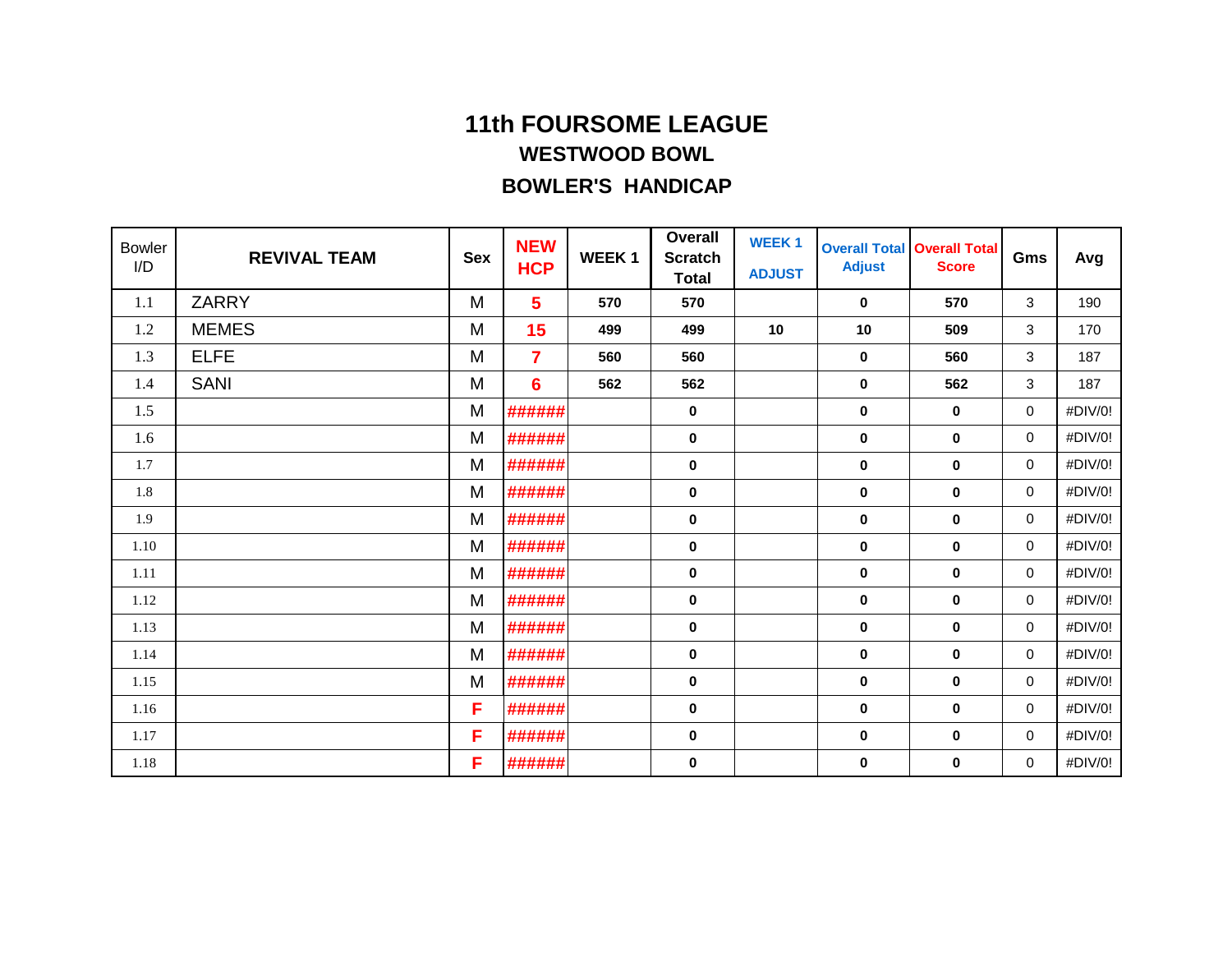| <b>Bowler</b><br>I/D | <b>REVIVAL TEAM</b> | <b>Sex</b> | <b>NEW</b><br><b>HCP</b> | <b>WEEK1</b> | <b>Overall</b><br><b>Scratch</b><br><b>Total</b> | <b>WEEK1</b><br><b>ADJUST</b> | <b>Adjust</b> | <b>Overall Total Overall Total</b><br><b>Score</b> | Gms         | Avg     |
|----------------------|---------------------|------------|--------------------------|--------------|--------------------------------------------------|-------------------------------|---------------|----------------------------------------------------|-------------|---------|
| 1.1                  | <b>ZARRY</b>        | M          | 5                        | 570          | 570                                              |                               | 0             | 570                                                | 3           | 190     |
| 1.2                  | <b>MEMES</b>        | M          | 15                       | 499          | 499                                              | 10                            | 10            | 509                                                | 3           | 170     |
| 1.3                  | <b>ELFE</b>         | M          | $\overline{7}$           | 560          | 560                                              |                               | $\mathbf 0$   | 560                                                | 3           | 187     |
| 1.4                  | <b>SANI</b>         | M          | 6                        | 562          | 562                                              |                               | $\mathbf 0$   | 562                                                | 3           | 187     |
| 1.5                  |                     | M          | ######                   |              | $\mathbf 0$                                      |                               | $\mathbf 0$   | $\bf{0}$                                           | 0           | #DIV/0! |
| 1.6                  |                     | M          | ######                   |              | 0                                                |                               | $\mathbf 0$   | $\mathbf 0$                                        | 0           | #DIV/0! |
| 1.7                  |                     | M          | ######                   |              | 0                                                |                               | $\mathbf 0$   | $\mathbf 0$                                        | 0           | #DIV/0! |
| 1.8                  |                     | M          | ######                   |              | 0                                                |                               | $\mathbf 0$   | $\mathbf 0$                                        | 0           | #DIV/0! |
| 1.9                  |                     | M          | ######                   |              | $\pmb{0}$                                        |                               | $\mathbf 0$   | $\mathbf 0$                                        | $\mathbf 0$ | #DIV/0! |
| 1.10                 |                     | M          | ######                   |              | 0                                                |                               | $\mathbf 0$   | 0                                                  | 0           | #DIV/0! |
| 1.11                 |                     | M          | ######                   |              | 0                                                |                               | $\mathbf 0$   | $\mathbf 0$                                        | 0           | #DIV/0! |
| 1.12                 |                     | M          | ######                   |              | 0                                                |                               | $\mathbf 0$   | $\mathbf 0$                                        | 0           | #DIV/0! |
| 1.13                 |                     | M          | ######                   |              | 0                                                |                               | $\mathbf 0$   | $\mathbf 0$                                        | 0           | #DIV/0! |
| 1.14                 |                     | M          | ######                   |              | 0                                                |                               | 0             | $\mathbf 0$                                        | 0           | #DIV/0! |
| 1.15                 |                     | M          | ######                   |              | 0                                                |                               | $\mathbf 0$   | $\mathbf 0$                                        | 0           | #DIV/0! |
| 1.16                 |                     | F          | ######                   |              | 0                                                |                               | $\mathbf 0$   | $\mathbf 0$                                        | 0           | #DIV/0! |
| 1.17                 |                     | F          | ######                   |              | 0                                                |                               | $\mathbf 0$   | $\mathbf 0$                                        | 0           | #DIV/0! |
| 1.18                 |                     | F          | ######                   |              | 0                                                |                               | 0             | 0                                                  | 0           | #DIV/0! |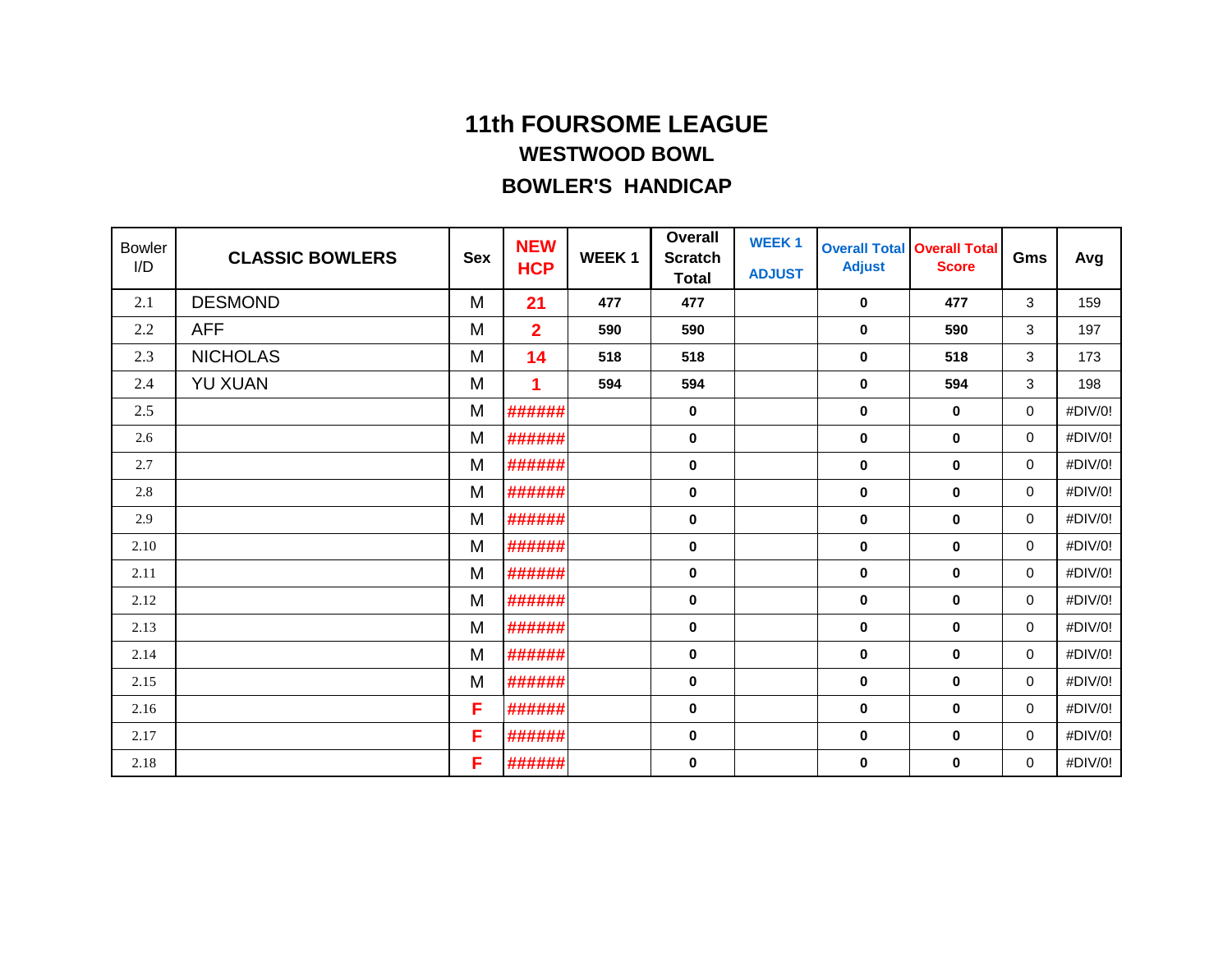| <b>Bowler</b><br>I/D | <b>CLASSIC BOWLERS</b> | <b>Sex</b> | <b>NEW</b><br><b>HCP</b> | <b>WEEK1</b> | <b>Overall</b><br><b>Scratch</b><br><b>Total</b> | <b>WEEK1</b><br><b>ADJUST</b> | <b>Adjust</b> | <b>Overall Total Overall Total</b><br><b>Score</b> | Gms      | Avg     |
|----------------------|------------------------|------------|--------------------------|--------------|--------------------------------------------------|-------------------------------|---------------|----------------------------------------------------|----------|---------|
| 2.1                  | <b>DESMOND</b>         | M          | 21                       | 477          | 477                                              |                               | $\mathbf 0$   | 477                                                | 3        | 159     |
| 2.2                  | <b>AFF</b>             | M          | $\overline{2}$           | 590          | 590                                              |                               | $\mathbf 0$   | 590                                                | 3        | 197     |
| 2.3                  | <b>NICHOLAS</b>        | M          | 14                       | 518          | 518                                              |                               | $\mathbf 0$   | 518                                                | 3        | 173     |
| 2.4                  | <b>YU XUAN</b>         | M          | 1                        | 594          | 594                                              |                               | $\mathbf 0$   | 594                                                | 3        | 198     |
| 2.5                  |                        | M          | ######                   |              | 0                                                |                               | $\mathbf 0$   | $\mathbf 0$                                        | 0        | #DIV/0! |
| 2.6                  |                        | M          | ######                   |              | 0                                                |                               | $\mathbf 0$   | $\mathbf 0$                                        | 0        | #DIV/0! |
| 2.7                  |                        | M          | ######                   |              | 0                                                |                               | $\mathbf 0$   | $\mathbf 0$                                        | 0        | #DIV/0! |
| 2.8                  |                        | M          | ######                   |              | 0                                                |                               | $\mathbf 0$   | $\mathbf 0$                                        | 0        | #DIV/0! |
| 2.9                  |                        | M          | ######                   |              | 0                                                |                               | $\mathbf 0$   | $\mathbf 0$                                        | 0        | #DIV/0! |
| 2.10                 |                        | M          | ######                   |              | 0                                                |                               | $\mathbf 0$   | $\mathbf 0$                                        | 0        | #DIV/0! |
| 2.11                 |                        | M          | ######                   |              | 0                                                |                               | $\mathbf 0$   | $\mathbf 0$                                        | 0        | #DIV/0! |
| 2.12                 |                        | M          | ######                   |              | 0                                                |                               | $\mathbf 0$   | $\bf{0}$                                           | 0        | #DIV/0! |
| 2.13                 |                        | M          | ######                   |              | 0                                                |                               | $\mathbf 0$   | $\mathbf 0$                                        | 0        | #DIV/0! |
| 2.14                 |                        | M          | ######                   |              | 0                                                |                               | $\mathbf 0$   | $\mathbf 0$                                        | 0        | #DIV/0! |
| 2.15                 |                        | M          | ######                   |              | 0                                                |                               | $\bf{0}$      | $\bf{0}$                                           | $\Omega$ | #DIV/0! |
| 2.16                 |                        | F          | ######                   |              | 0                                                |                               | 0             | $\mathbf 0$                                        | 0        | #DIV/0! |
| 2.17                 |                        | F          | ######                   |              | 0                                                |                               | $\mathbf 0$   | $\mathbf 0$                                        | 0        | #DIV/0! |
| 2.18                 |                        | F          | ######                   |              | 0                                                |                               | 0             | 0                                                  | 0        | #DIV/0! |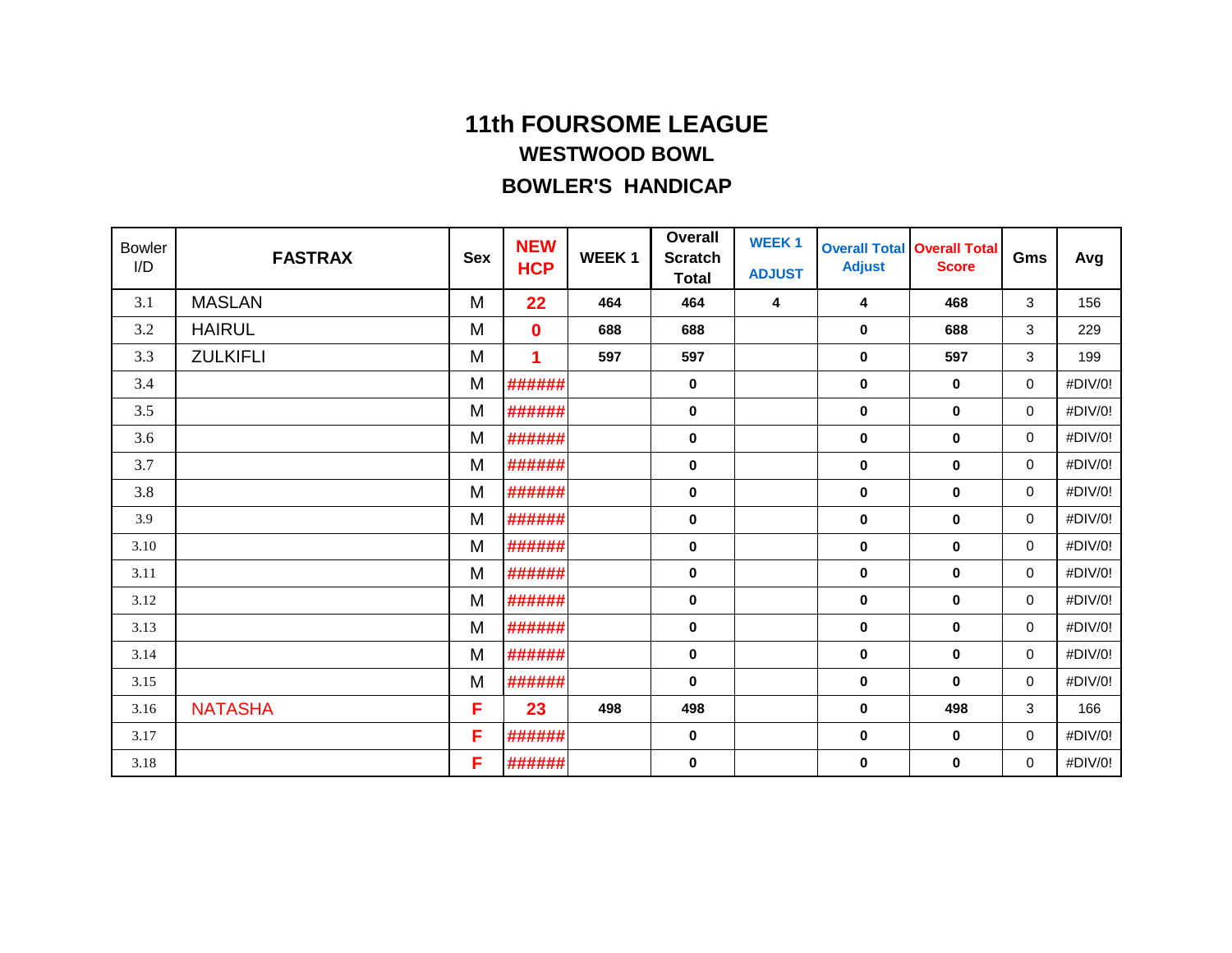| <b>Bowler</b><br>I/D | <b>FASTRAX</b>  | <b>Sex</b> | <b>NEW</b><br><b>HCP</b> | <b>WEEK1</b> | <b>Overall</b><br><b>Scratch</b><br><b>Total</b> | <b>WEEK1</b><br><b>ADJUST</b> | <b>Adjust</b> | <b>Overall Total Overall Total</b><br><b>Score</b> | Gms | Avg     |
|----------------------|-----------------|------------|--------------------------|--------------|--------------------------------------------------|-------------------------------|---------------|----------------------------------------------------|-----|---------|
| 3.1                  | <b>MASLAN</b>   | M          | 22                       | 464          | 464                                              | 4                             | 4             | 468                                                | 3   | 156     |
| 3.2                  | <b>HAIRUL</b>   | M          | $\bf{0}$                 | 688          | 688                                              |                               | $\pmb{0}$     | 688                                                | 3   | 229     |
| 3.3                  | <b>ZULKIFLI</b> | M          | 1                        | 597          | 597                                              |                               | $\mathbf 0$   | 597                                                | 3   | 199     |
| 3.4                  |                 | M          | ######                   |              | 0                                                |                               | $\mathbf 0$   | $\mathbf 0$                                        | 0   | #DIV/0! |
| 3.5                  |                 | M          | ######                   |              | 0                                                |                               | $\mathbf 0$   | $\mathbf 0$                                        | 0   | #DIV/0! |
| 3.6                  |                 | M          | ######                   |              | 0                                                |                               | $\mathbf 0$   | $\mathbf 0$                                        | 0   | #DIV/0! |
| 3.7                  |                 | M          | ######                   |              | 0                                                |                               | $\mathbf 0$   | $\mathbf 0$                                        | 0   | #DIV/0! |
| 3.8                  |                 | M          | ######                   |              | 0                                                |                               | $\mathbf 0$   | $\mathbf 0$                                        | 0   | #DIV/0! |
| 3.9                  |                 | M          | ######                   |              | $\pmb{0}$                                        |                               | $\mathbf 0$   | $\mathbf 0$                                        | 0   | #DIV/0! |
| 3.10                 |                 | M          | ######                   |              | 0                                                |                               | $\mathbf 0$   | $\mathbf 0$                                        | 0   | #DIV/0! |
| 3.11                 |                 | M          | ######                   |              | 0                                                |                               | $\mathbf 0$   | $\mathbf 0$                                        | 0   | #DIV/0! |
| 3.12                 |                 | M          | ######                   |              | 0                                                |                               | $\mathbf 0$   | 0                                                  | 0   | #DIV/0! |
| 3.13                 |                 | M          | ######                   |              | 0                                                |                               | $\mathbf 0$   | $\mathbf 0$                                        | 0   | #DIV/0! |
| 3.14                 |                 | M          | ######                   |              | 0                                                |                               | $\mathbf 0$   | $\mathbf 0$                                        | 0   | #DIV/0! |
| 3.15                 |                 | M          | ######                   |              | 0                                                |                               | $\mathbf 0$   | $\bf{0}$                                           | 0   | #DIV/0! |
| 3.16                 | <b>NATASHA</b>  | F          | 23                       | 498          | 498                                              |                               | $\mathbf 0$   | 498                                                | 3   | 166     |
| 3.17                 |                 | F          | ######                   |              | 0                                                |                               | $\mathbf 0$   | $\mathbf 0$                                        | 0   | #DIV/0! |
| 3.18                 |                 | F          | ######                   |              | 0                                                |                               | $\mathbf 0$   | $\bf{0}$                                           | 0   | #DIV/0! |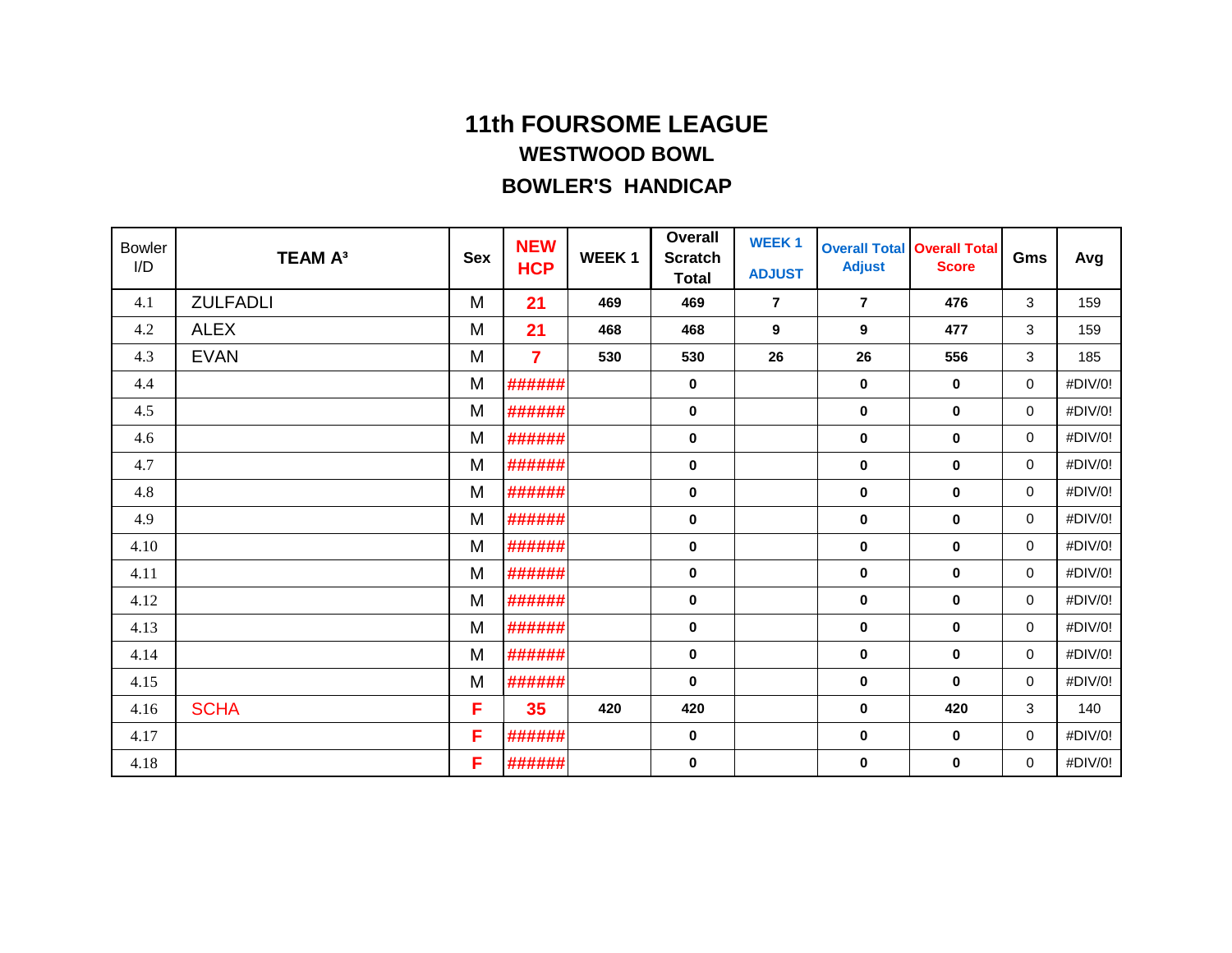| <b>Bowler</b><br>I/D | <b>TEAM A3</b>  | <b>Sex</b> | <b>NEW</b><br><b>HCP</b> | <b>WEEK1</b> | Overall<br><b>Scratch</b><br><b>Total</b> | <b>WEEK1</b><br><b>ADJUST</b> | <b>Adjust</b>  | <b>Overall Total Overall Total</b><br><b>Score</b> | Gms         | Avg     |
|----------------------|-----------------|------------|--------------------------|--------------|-------------------------------------------|-------------------------------|----------------|----------------------------------------------------|-------------|---------|
| 4.1                  | <b>ZULFADLI</b> | M          | 21                       | 469          | 469                                       | $\overline{7}$                | $\overline{7}$ | 476                                                | 3           | 159     |
| 4.2                  | <b>ALEX</b>     | M          | 21                       | 468          | 468                                       | 9                             | 9              | 477                                                | 3           | 159     |
| 4.3                  | <b>EVAN</b>     | M          | $\overline{7}$           | 530          | 530                                       | 26                            | 26             | 556                                                | 3           | 185     |
| 4.4                  |                 | M          | ######                   |              | 0                                         |                               | $\mathbf 0$    | $\mathbf 0$                                        | $\mathbf 0$ | #DIV/0! |
| 4.5                  |                 | M          | ######                   |              | 0                                         |                               | $\mathbf 0$    | $\mathbf 0$                                        | $\mathbf 0$ | #DIV/0! |
| 4.6                  |                 | M          | ######                   |              | 0                                         |                               | $\mathbf 0$    | $\mathbf 0$                                        | $\mathbf 0$ | #DIV/0! |
| 4.7                  |                 | M          | ######                   |              | 0                                         |                               | 0              | $\mathbf 0$                                        | $\mathbf 0$ | #DIV/0! |
| 4.8                  |                 | M          | ######                   |              | 0                                         |                               | $\bf{0}$       | $\mathbf 0$                                        | $\mathbf 0$ | #DIV/0! |
| 4.9                  |                 | M          | ######                   |              | 0                                         |                               | $\mathbf 0$    | $\mathbf 0$                                        | $\mathbf 0$ | #DIV/0! |
| 4.10                 |                 | M          | ######                   |              | 0                                         |                               | $\mathbf 0$    | $\bf{0}$                                           | $\mathbf 0$ | #DIV/0! |
| 4.11                 |                 | M          | ######                   |              | 0                                         |                               | $\mathbf 0$    | $\mathbf 0$                                        | $\mathbf 0$ | #DIV/0! |
| 4.12                 |                 | M          | ######                   |              | 0                                         |                               | $\mathbf 0$    | $\mathbf 0$                                        | 0           | #DIV/0! |
| 4.13                 |                 | M          | ######                   |              | 0                                         |                               | $\mathbf 0$    | $\mathbf 0$                                        | $\mathbf 0$ | #DIV/0! |
| 4.14                 |                 | M          | ######                   |              | 0                                         |                               | $\mathbf 0$    | $\mathbf 0$                                        | $\mathbf 0$ | #DIV/0! |
| 4.15                 |                 | M          | ######                   |              | 0                                         |                               | 0              | $\mathbf 0$                                        | $\mathbf 0$ | #DIV/0! |
| 4.16                 | <b>SCHA</b>     | F          | 35                       | 420          | 420                                       |                               | $\mathbf 0$    | 420                                                | 3           | 140     |
| 4.17                 |                 | F          | ######                   |              | 0                                         |                               | 0              | $\mathbf 0$                                        | 0           | #DIV/0! |
| 4.18                 |                 | F          | ######                   |              | 0                                         |                               | 0              | 0                                                  | 0           | #DIV/0! |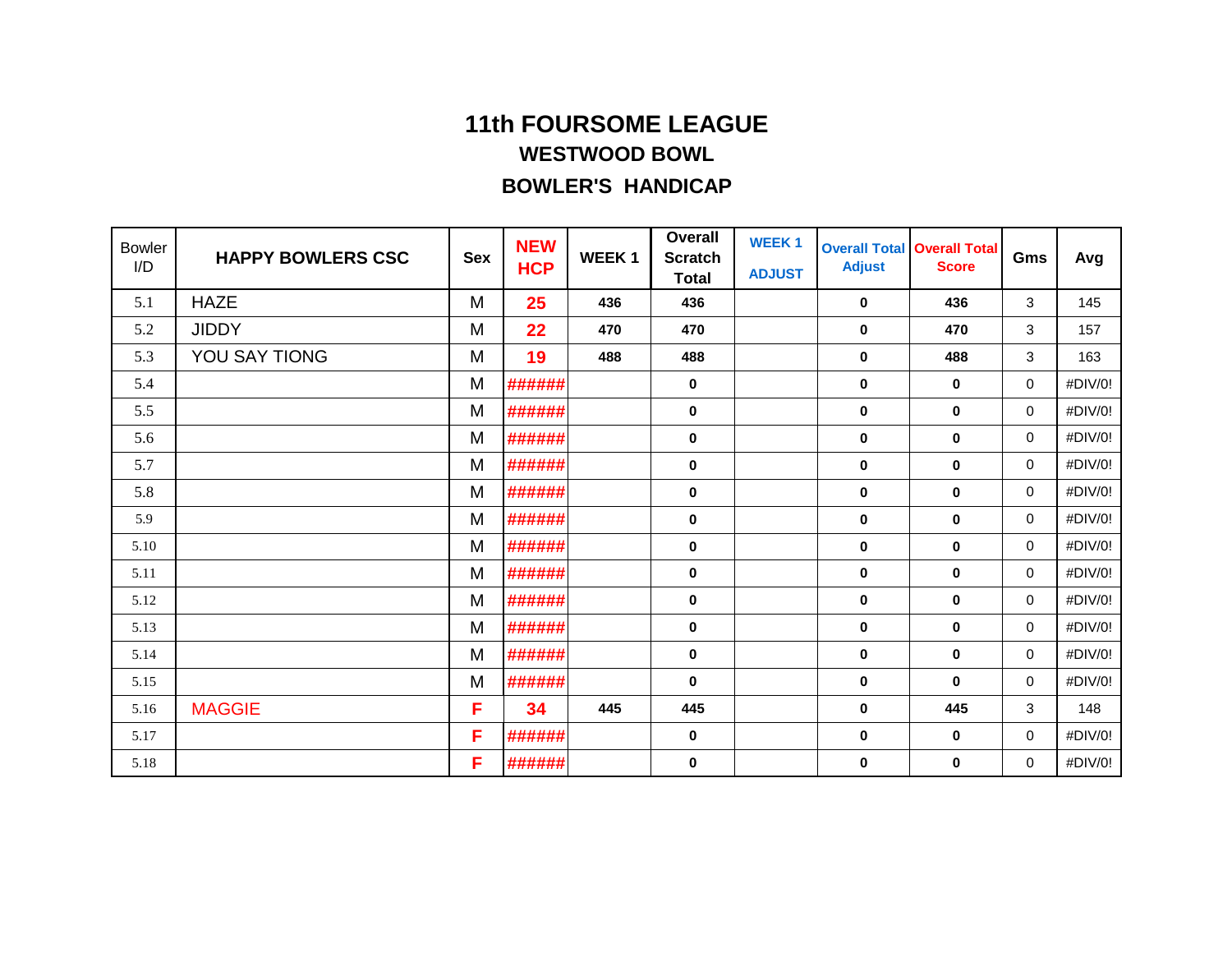| <b>Bowler</b><br>I/D | <b>HAPPY BOWLERS CSC</b> | <b>Sex</b> | <b>NEW</b><br><b>HCP</b> | <b>WEEK1</b> | <b>Overall</b><br><b>Scratch</b><br><b>Total</b> | <b>WEEK1</b><br><b>ADJUST</b> | <b>Overall Total</b><br><b>Adjust</b> | <b>Overall Total</b><br><b>Score</b> | Gms | Avg     |
|----------------------|--------------------------|------------|--------------------------|--------------|--------------------------------------------------|-------------------------------|---------------------------------------|--------------------------------------|-----|---------|
| 5.1                  | <b>HAZE</b>              | M          | 25                       | 436          | 436                                              |                               | $\mathbf 0$                           | 436                                  | 3   | 145     |
| 5.2                  | <b>JIDDY</b>             | M          | 22                       | 470          | 470                                              |                               | $\mathbf 0$                           | 470                                  | 3   | 157     |
| 5.3                  | YOU SAY TIONG            | M          | 19                       | 488          | 488                                              |                               | $\mathbf 0$                           | 488                                  | 3   | 163     |
| 5.4                  |                          | M          | ######                   |              | 0                                                |                               | $\mathbf 0$                           | $\mathbf 0$                          | 0   | #DIV/0! |
| 5.5                  |                          | M          | ######                   |              | $\bf{0}$                                         |                               | $\mathbf{0}$                          | $\bf{0}$                             | 0   | #DIV/0! |
| 5.6                  |                          | M          | ######                   |              | 0                                                |                               | $\mathbf 0$                           | $\mathbf 0$                          | 0   | #DIV/0! |
| 5.7                  |                          | M          | ######                   |              | 0                                                |                               | $\mathbf 0$                           | $\mathbf 0$                          | 0   | #DIV/0! |
| 5.8                  |                          | M          | ######                   |              | 0                                                |                               | 0                                     | $\bf{0}$                             | 0   | #DIV/0! |
| 5.9                  |                          | M          | ######                   |              | $\pmb{0}$                                        |                               | $\mathbf 0$                           | $\mathbf 0$                          | 0   | #DIV/0! |
| 5.10                 |                          | M          | ######                   |              | 0                                                |                               | $\mathbf 0$                           | $\mathbf 0$                          | 0   | #DIV/0! |
| 5.11                 |                          | M          | ######                   |              | 0                                                |                               | $\mathbf 0$                           | $\mathbf 0$                          | 0   | #DIV/0! |
| 5.12                 |                          | M          | ######                   |              | 0                                                |                               | $\mathbf 0$                           | $\mathbf 0$                          | 0   | #DIV/0! |
| 5.13                 |                          | M          | ######                   |              | 0                                                |                               | $\mathbf 0$                           | $\mathbf 0$                          | 0   | #DIV/0! |
| 5.14                 |                          | M          | ######                   |              | 0                                                |                               | $\mathbf 0$                           | $\mathbf 0$                          | 0   | #DIV/0! |
| 5.15                 |                          | M          | ######                   |              | $\bf{0}$                                         |                               | $\bf{0}$                              | $\bf{0}$                             | 0   | #DIV/0! |
| 5.16                 | <b>MAGGIE</b>            | F          | 34                       | 445          | 445                                              |                               | $\mathbf 0$                           | 445                                  | 3   | 148     |
| 5.17                 |                          | F          | ######                   |              | 0                                                |                               | $\mathbf 0$                           | $\mathbf 0$                          | 0   | #DIV/0! |
| 5.18                 |                          | F          | ######                   |              | 0                                                |                               | $\mathbf 0$                           | 0                                    | 0   | #DIV/0! |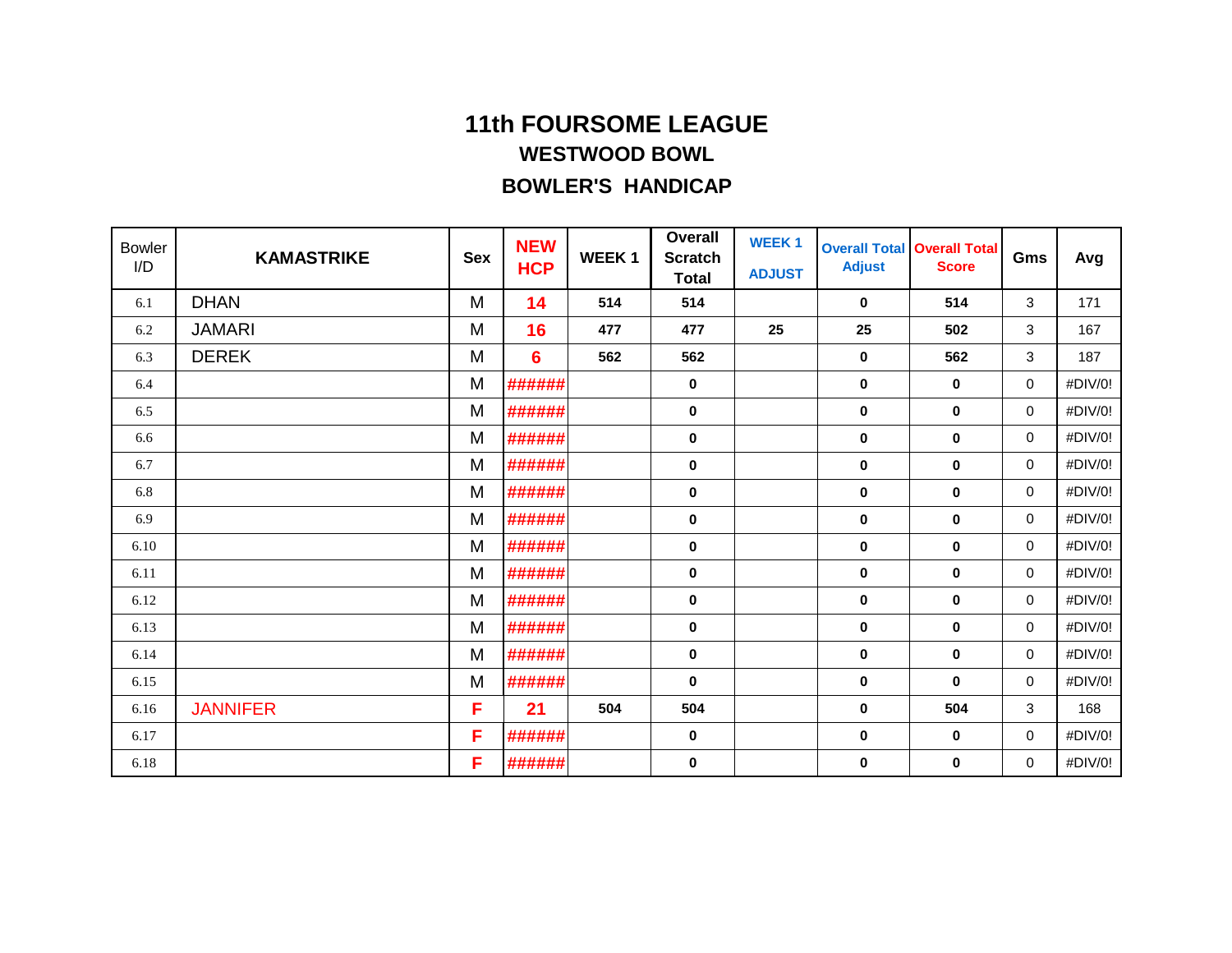| <b>Bowler</b><br>I/D | <b>KAMASTRIKE</b> | <b>Sex</b> | <b>NEW</b><br><b>HCP</b> | <b>WEEK1</b> | <b>Overall</b><br><b>Scratch</b><br><b>Total</b> | <b>WEEK1</b><br><b>ADJUST</b> | <b>Adjust</b> | <b>Overall Total Overall Total</b><br><b>Score</b> | Gms | Avg     |
|----------------------|-------------------|------------|--------------------------|--------------|--------------------------------------------------|-------------------------------|---------------|----------------------------------------------------|-----|---------|
| 6.1                  | <b>DHAN</b>       | M          | 14                       | 514          | 514                                              |                               | $\bf{0}$      | 514                                                | 3   | 171     |
| 6.2                  | <b>JAMARI</b>     | M          | 16                       | 477          | 477                                              | 25                            | 25            | 502                                                | 3   | 167     |
| 6.3                  | <b>DEREK</b>      | M          | 6                        | 562          | 562                                              |                               | $\mathbf 0$   | 562                                                | 3   | 187     |
| 6.4                  |                   | M          | ######                   |              | 0                                                |                               | $\mathbf 0$   | $\mathbf 0$                                        | 0   | #DIV/0! |
| 6.5                  |                   | M          | ######                   |              | 0                                                |                               | $\mathbf 0$   | $\mathbf 0$                                        | 0   | #DIV/0! |
| 6.6                  |                   | M          | ######                   |              | 0                                                |                               | $\mathbf 0$   | $\mathbf 0$                                        | 0   | #DIV/0! |
| 6.7                  |                   | M          | ######                   |              | 0                                                |                               | $\mathbf 0$   | $\mathbf 0$                                        | 0   | #DIV/0! |
| 6.8                  |                   | M          | ######                   |              | 0                                                |                               | $\mathbf{0}$  | $\mathbf 0$                                        | 0   | #DIV/0! |
| 6.9                  |                   | M          | ######                   |              | 0                                                |                               | $\mathbf 0$   | $\mathbf 0$                                        | 0   | #DIV/0! |
| 6.10                 |                   | M          | ######                   |              | 0                                                |                               | $\mathbf 0$   | $\bf{0}$                                           | 0   | #DIV/0! |
| 6.11                 |                   | M          | ######                   |              | 0                                                |                               | $\mathbf 0$   | $\mathbf 0$                                        | 0   | #DIV/0! |
| 6.12                 |                   | M          | ######                   |              | 0                                                |                               | $\mathbf 0$   | $\mathbf 0$                                        | 0   | #DIV/0! |
| 6.13                 |                   | M          | ######                   |              | 0                                                |                               | $\mathbf 0$   | $\mathbf 0$                                        | 0   | #DIV/0! |
| 6.14                 |                   | M          | ######                   |              | 0                                                |                               | $\mathbf 0$   | $\mathbf 0$                                        | 0   | #DIV/0! |
| 6.15                 |                   | M          | ######                   |              | 0                                                |                               | $\mathbf 0$   | $\mathbf 0$                                        | 0   | #DIV/0! |
| 6.16                 | <b>JANNIFER</b>   | F          | 21                       | 504          | 504                                              |                               | $\mathbf 0$   | 504                                                | 3   | 168     |
| 6.17                 |                   | F          | ######                   |              | 0                                                |                               | $\mathbf 0$   | $\mathbf 0$                                        | 0   | #DIV/0! |
| 6.18                 |                   | F          | ######                   |              | 0                                                |                               | $\mathbf 0$   | 0                                                  | 0   | #DIV/0! |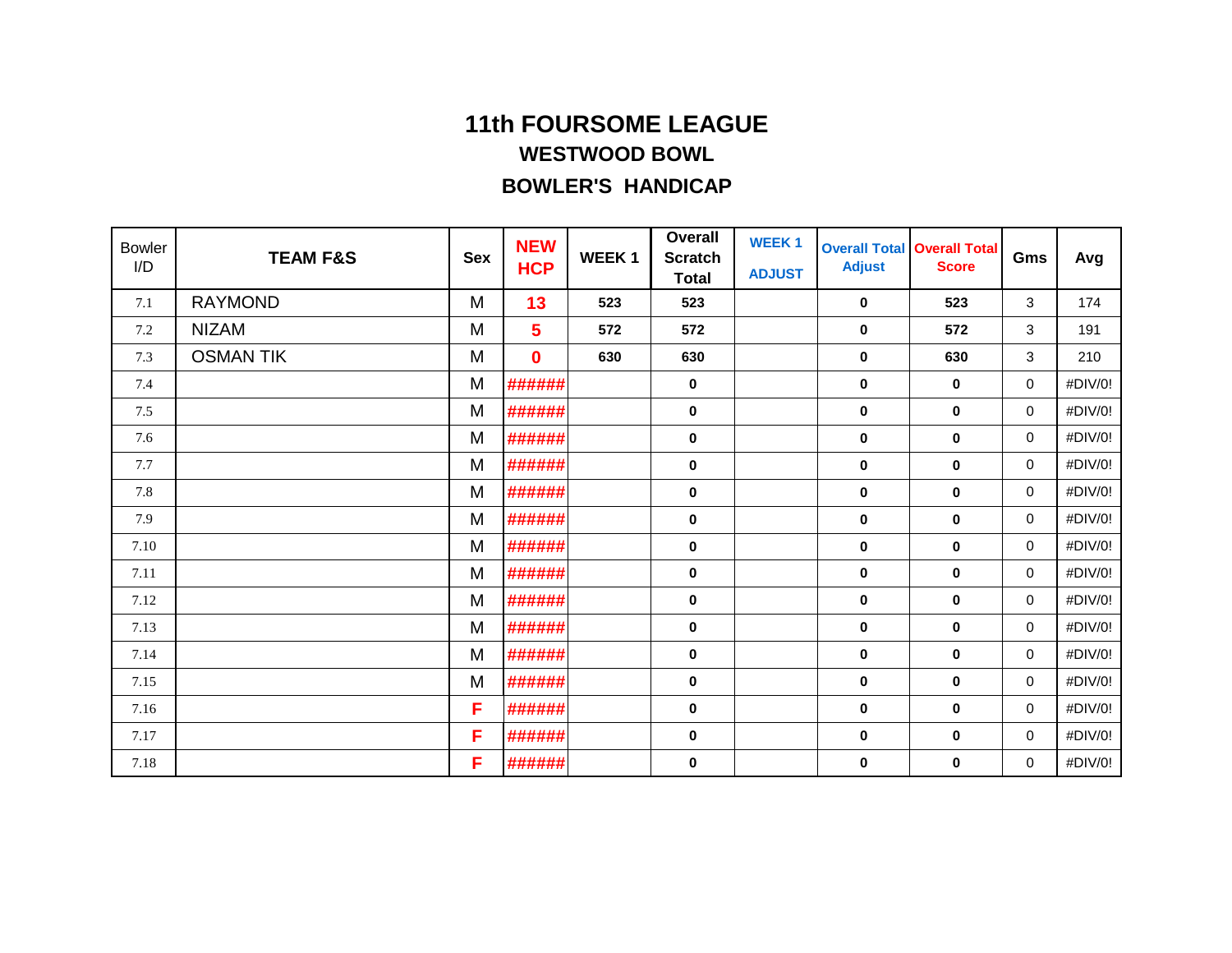| <b>Bowler</b><br>I/D | <b>TEAM F&amp;S</b> | <b>Sex</b> | <b>NEW</b><br><b>HCP</b> | <b>WEEK1</b> | <b>Overall</b><br><b>Scratch</b><br><b>Total</b> | <b>WEEK1</b><br><b>ADJUST</b> | <b>Adjust</b> | <b>Overall Total Overall Total</b><br><b>Score</b> | Gms         | Avg     |
|----------------------|---------------------|------------|--------------------------|--------------|--------------------------------------------------|-------------------------------|---------------|----------------------------------------------------|-------------|---------|
| 7.1                  | <b>RAYMOND</b>      | M          | 13                       | 523          | 523                                              |                               | $\mathbf 0$   | 523                                                | 3           | 174     |
| 7.2                  | <b>NIZAM</b>        | M          | 5                        | 572          | 572                                              |                               | $\pmb{0}$     | 572                                                | 3           | 191     |
| 7.3                  | <b>OSMAN TIK</b>    | M          | $\bf{0}$                 | 630          | 630                                              |                               | $\mathbf 0$   | 630                                                | 3           | 210     |
| 7.4                  |                     | M          | ######                   |              | 0                                                |                               | $\mathbf 0$   | $\mathbf 0$                                        | 0           | #DIV/0! |
| 7.5                  |                     | M          | ######                   |              | $\bf{0}$                                         |                               | $\mathbf 0$   | $\bf{0}$                                           | 0           | #DIV/0! |
| 7.6                  |                     | M          | ######                   |              | 0                                                |                               | $\mathbf 0$   | $\mathbf 0$                                        | 0           | #DIV/0! |
| 7.7                  |                     | M          | ######                   |              | 0                                                |                               | $\mathbf 0$   | $\mathbf 0$                                        | 0           | #DIV/0! |
| 7.8                  |                     | M          | ######                   |              | 0                                                |                               | $\mathbf 0$   | $\mathbf 0$                                        | 0           | #DIV/0! |
| 7.9                  |                     | M          | ######                   |              | $\pmb{0}$                                        |                               | $\mathbf 0$   | $\mathbf 0$                                        | $\mathbf 0$ | #DIV/0! |
| 7.10                 |                     | M          | ######                   |              | 0                                                |                               | $\mathbf 0$   | $\bf{0}$                                           | 0           | #DIV/0! |
| 7.11                 |                     | M          | ######                   |              | 0                                                |                               | $\mathbf 0$   | $\mathbf 0$                                        | 0           | #DIV/0! |
| 7.12                 |                     | M          | ######                   |              | 0                                                |                               | $\mathbf 0$   | $\mathbf 0$                                        | 0           | #DIV/0! |
| 7.13                 |                     | M          | ######                   |              | 0                                                |                               | $\mathbf 0$   | $\mathbf 0$                                        | 0           | #DIV/0! |
| 7.14                 |                     | M          | ######                   |              | 0                                                |                               | 0             | $\mathbf 0$                                        | 0           | #DIV/0! |
| 7.15                 |                     | M          | ######                   |              | 0                                                |                               | $\mathbf 0$   | $\mathbf 0$                                        | 0           | #DIV/0! |
| 7.16                 |                     | F          | ######                   |              | 0                                                |                               | $\mathbf 0$   | $\mathbf 0$                                        | 0           | #DIV/0! |
| 7.17                 |                     | F          | ######                   |              | 0                                                |                               | $\mathbf 0$   | 0                                                  | 0           | #DIV/0! |
| 7.18                 |                     | F          | ######                   |              | 0                                                |                               | 0             | 0                                                  | 0           | #DIV/0! |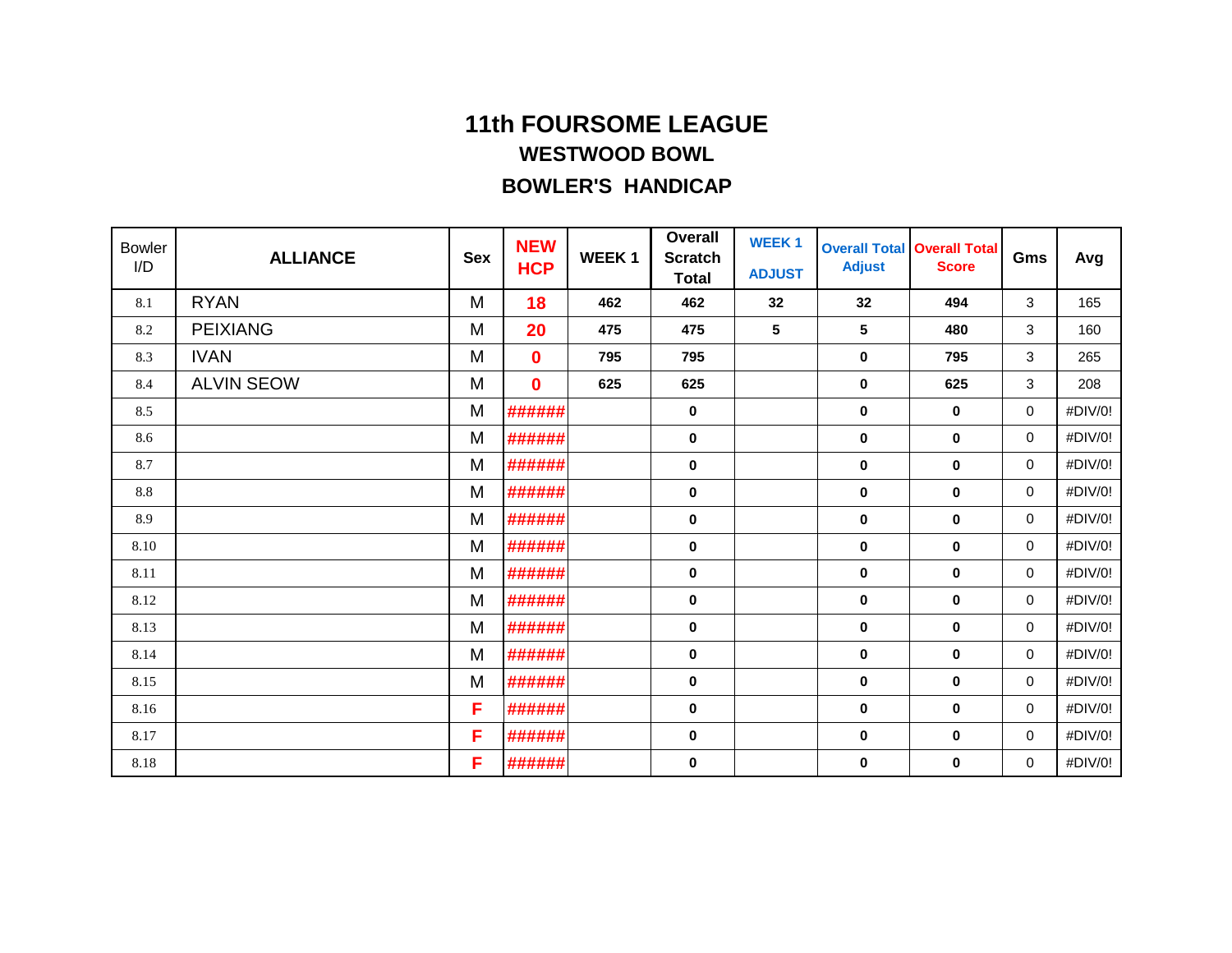| <b>Bowler</b><br>I/D | <b>ALLIANCE</b>   | <b>Sex</b> | <b>NEW</b><br><b>HCP</b> | <b>WEEK1</b> | <b>Overall</b><br><b>Scratch</b><br><b>Total</b> | <b>WEEK1</b><br><b>ADJUST</b> | <b>Adjust</b>  | <b>Overall Total Overall Total</b><br><b>Score</b> | Gms          | Avg     |
|----------------------|-------------------|------------|--------------------------|--------------|--------------------------------------------------|-------------------------------|----------------|----------------------------------------------------|--------------|---------|
| 8.1                  | <b>RYAN</b>       | M          | 18                       | 462          | 462                                              | 32                            | 32             | 494                                                | 3            | 165     |
| 8.2                  | <b>PEIXIANG</b>   | M          | 20                       | 475          | 475                                              | 5                             | $5\phantom{a}$ | 480                                                | 3            | 160     |
| 8.3                  | <b>IVAN</b>       | M          | $\bf{0}$                 | 795          | 795                                              |                               | 0              | 795                                                | 3            | 265     |
| 8.4                  | <b>ALVIN SEOW</b> | M          | $\bf{0}$                 | 625          | 625                                              |                               | 0              | 625                                                | 3            | 208     |
| 8.5                  |                   | M          | ######                   |              | 0                                                |                               | 0              | 0                                                  | 0            | #DIV/0! |
| 8.6                  |                   | M          | ######                   |              | 0                                                |                               | 0              | 0                                                  | $\mathbf 0$  | #DIV/0! |
| 8.7                  |                   | M          | ######                   |              | $\bf{0}$                                         |                               | 0              | 0                                                  | 0            | #DIV/0! |
| 8.8                  |                   | M          | ######                   |              | 0                                                |                               | 0              | 0                                                  | 0            | #DIV/0! |
| 8.9                  |                   | M          | ######                   |              | 0                                                |                               | 0              | 0                                                  | $\mathbf 0$  | #DIV/0! |
| 8.10                 |                   | M          | ######                   |              | 0                                                |                               | 0              | 0                                                  | 0            | #DIV/0! |
| 8.11                 |                   | M          | ######                   |              | 0                                                |                               | 0              | 0                                                  | $\mathbf 0$  | #DIV/0! |
| 8.12                 |                   | M          | ######                   |              | 0                                                |                               | 0              | 0                                                  | $\mathbf 0$  | #DIV/0! |
| 8.13                 |                   | M          | ######                   |              | 0                                                |                               | $\bf{0}$       | $\bf{0}$                                           | $\mathbf 0$  | #DIV/0! |
| 8.14                 |                   | M          | ######                   |              | 0                                                |                               | 0              | 0                                                  | $\mathbf 0$  | #DIV/0! |
| 8.15                 |                   | M          | ######                   |              | 0                                                |                               | 0              | 0                                                  | $\mathbf 0$  | #DIV/0! |
| 8.16                 |                   | F          | ######                   |              | 0                                                |                               | $\bf{0}$       | 0                                                  | $\mathbf{0}$ | #DIV/0! |
| 8.17                 |                   | F          | ######                   |              | 0                                                |                               | 0              | 0                                                  | $\mathbf 0$  | #DIV/0! |
| 8.18                 |                   | F          | ######                   |              | 0                                                |                               | 0              | 0                                                  | 0            | #DIV/0! |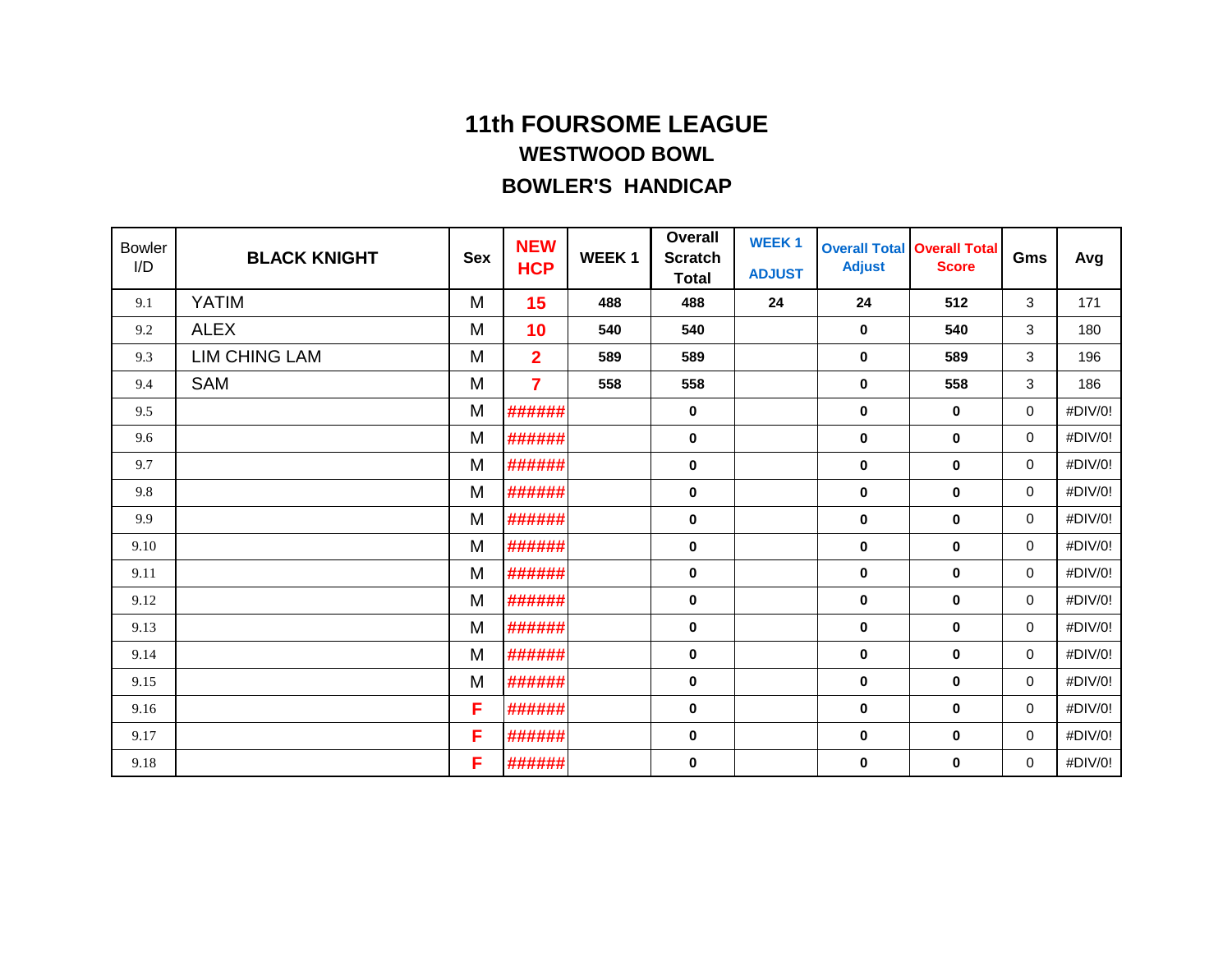| <b>Bowler</b><br>I/D | <b>BLACK KNIGHT</b>  | <b>Sex</b> | <b>NEW</b><br><b>HCP</b> | <b>WEEK1</b> | <b>Overall</b><br><b>Scratch</b><br><b>Total</b> | <b>WEEK1</b><br><b>ADJUST</b> | <b>Adjust</b> | <b>Overall Total Overall Total</b><br><b>Score</b> | Gms      | Avg     |
|----------------------|----------------------|------------|--------------------------|--------------|--------------------------------------------------|-------------------------------|---------------|----------------------------------------------------|----------|---------|
| 9.1                  | <b>YATIM</b>         | M          | 15                       | 488          | 488                                              | 24                            | 24            | 512                                                | 3        | 171     |
| 9.2                  | <b>ALEX</b>          | M          | 10                       | 540          | 540                                              |                               | $\mathbf 0$   | 540                                                | 3        | 180     |
| 9.3                  | <b>LIM CHING LAM</b> | M          | $\overline{2}$           | 589          | 589                                              |                               | $\mathbf 0$   | 589                                                | 3        | 196     |
| 9.4                  | <b>SAM</b>           | M          | 7                        | 558          | 558                                              |                               | $\mathbf 0$   | 558                                                | 3        | 186     |
| 9.5                  |                      | M          | ######                   |              | 0                                                |                               | $\mathbf 0$   | $\mathbf 0$                                        | 0        | #DIV/0! |
| 9.6                  |                      | M          | ######                   |              | 0                                                |                               | $\mathbf 0$   | $\mathbf 0$                                        | 0        | #DIV/0! |
| 9.7                  |                      | M          | ######                   |              | 0                                                |                               | $\mathbf 0$   | $\mathbf 0$                                        | 0        | #DIV/0! |
| 9.8                  |                      | M          | ######                   |              | 0                                                |                               | $\mathbf 0$   | $\mathbf 0$                                        | 0        | #DIV/0! |
| 9.9                  |                      | M          | ######                   |              | 0                                                |                               | $\mathbf 0$   | $\mathbf 0$                                        | 0        | #DIV/0! |
| 9.10                 |                      | M          | ######                   |              | 0                                                |                               | $\mathbf 0$   | $\mathbf 0$                                        | 0        | #DIV/0! |
| 9.11                 |                      | M          | ######                   |              | 0                                                |                               | $\mathbf 0$   | $\mathbf 0$                                        | 0        | #DIV/0! |
| 9.12                 |                      | M          | ######                   |              | 0                                                |                               | $\mathbf 0$   | $\bf{0}$                                           | 0        | #DIV/0! |
| 9.13                 |                      | M          | ######                   |              | 0                                                |                               | $\mathbf 0$   | $\mathbf 0$                                        | 0        | #DIV/0! |
| 9.14                 |                      | M          | ######                   |              | 0                                                |                               | $\mathbf 0$   | $\mathbf 0$                                        | 0        | #DIV/0! |
| 9.15                 |                      | M          | ######                   |              | 0                                                |                               | $\bf{0}$      | $\bf{0}$                                           | $\Omega$ | #DIV/0! |
| 9.16                 |                      | F          | ######                   |              | 0                                                |                               | $\mathbf 0$   | $\mathbf 0$                                        | 0        | #DIV/0! |
| 9.17                 |                      | F          | ######                   |              | 0                                                |                               | $\pmb{0}$     | $\mathbf 0$                                        | 0        | #DIV/0! |
| 9.18                 |                      | F          | ######                   |              | 0                                                |                               | 0             | 0                                                  | 0        | #DIV/0! |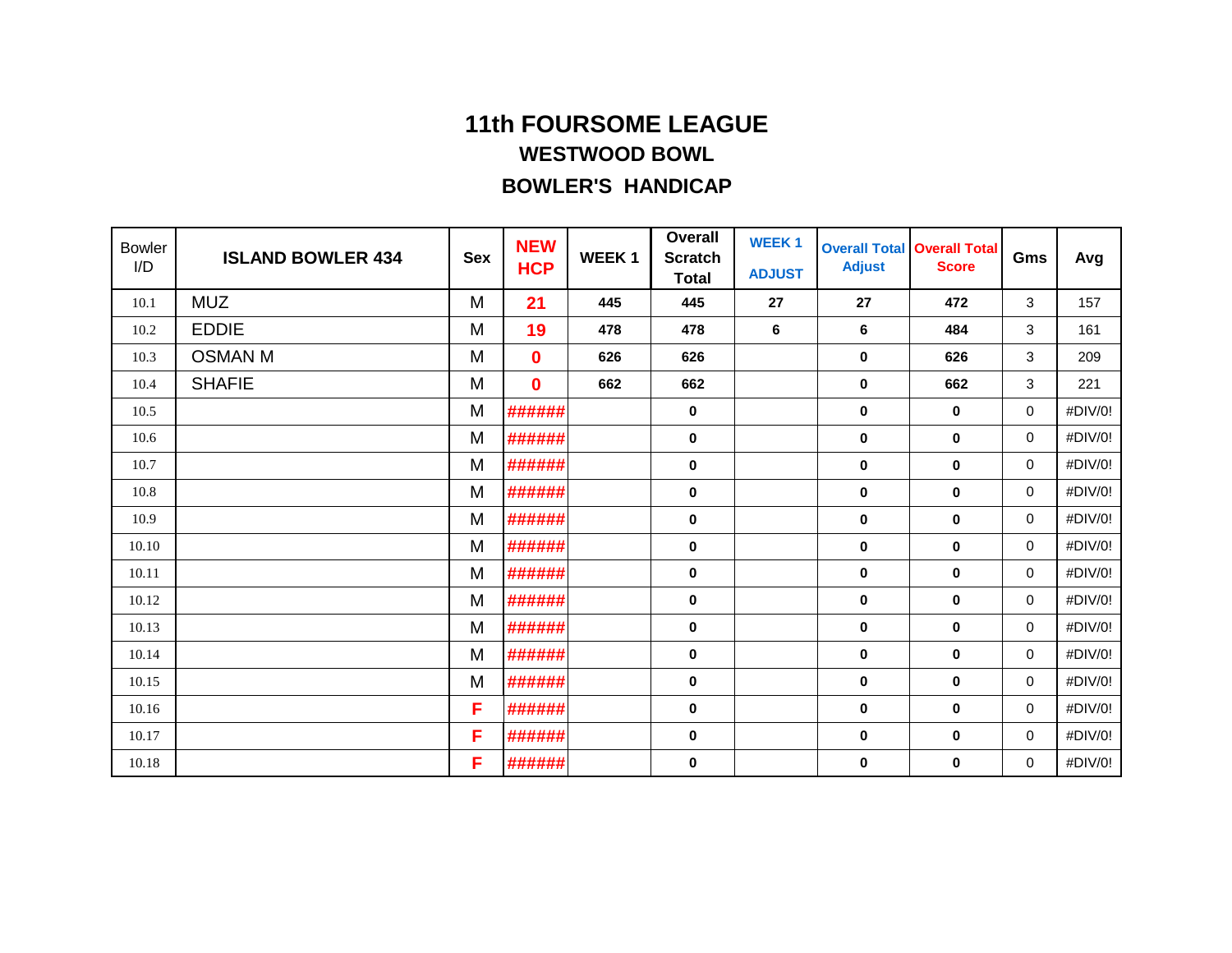| <b>Bowler</b><br>I/D | <b>ISLAND BOWLER 434</b> | <b>Sex</b> | <b>NEW</b><br><b>HCP</b> | <b>WEEK1</b> | <b>Overall</b><br><b>Scratch</b><br><b>Total</b> | <b>WEEK1</b><br><b>ADJUST</b> | <b>Overall Total</b><br><b>Adjust</b> | <b>Overall Total</b><br><b>Score</b> | Gms | Avg     |
|----------------------|--------------------------|------------|--------------------------|--------------|--------------------------------------------------|-------------------------------|---------------------------------------|--------------------------------------|-----|---------|
| 10.1                 | <b>MUZ</b>               | M          | 21                       | 445          | 445                                              | 27                            | 27                                    | 472                                  | 3   | 157     |
| 10.2                 | <b>EDDIE</b>             | M          | 19                       | 478          | 478                                              | 6                             | 6                                     | 484                                  | 3   | 161     |
| 10.3                 | <b>OSMAN M</b>           | M          | $\bf{0}$                 | 626          | 626                                              |                               | $\mathbf 0$                           | 626                                  | 3   | 209     |
| 10.4                 | <b>SHAFIE</b>            | M          | $\bf{0}$                 | 662          | 662                                              |                               | $\mathbf 0$                           | 662                                  | 3   | 221     |
| 10.5                 |                          | M          | ######                   |              | 0                                                |                               | $\mathbf 0$                           | $\mathbf 0$                          | 0   | #DIV/0! |
| 10.6                 |                          | M          | ######                   |              | 0                                                |                               | $\mathbf 0$                           | $\mathbf 0$                          | 0   | #DIV/0! |
| 10.7                 |                          | M          | ######                   |              | 0                                                |                               | $\bf{0}$                              | $\bf{0}$                             | 0   | #DIV/0! |
| 10.8                 |                          | M          | ######                   |              | 0                                                |                               | $\mathbf 0$                           | $\mathbf 0$                          | 0   | #DIV/0! |
| 10.9                 |                          | M          | ######                   |              | 0                                                |                               | $\mathbf 0$                           | $\mathbf 0$                          | 0   | #DIV/0! |
| 10.10                |                          | M          | ######                   |              | 0                                                |                               | $\mathbf 0$                           | $\mathbf 0$                          | 0   | #DIV/0! |
| 10.11                |                          | M          | ######                   |              | 0                                                |                               | $\mathbf 0$                           | $\mathbf 0$                          | 0   | #DIV/0! |
| 10.12                |                          | M          | ######                   |              | 0                                                |                               | $\mathbf 0$                           | $\mathbf 0$                          | 0   | #DIV/0! |
| 10.13                |                          | M          | ######                   |              | $\pmb{0}$                                        |                               | $\mathbf 0$                           | $\mathbf 0$                          | 0   | #DIV/0! |
| 10.14                |                          | M          | ######                   |              | 0                                                |                               | $\mathbf 0$                           | $\mathbf 0$                          | 0   | #DIV/0! |
| 10.15                |                          | M          | ######                   |              | 0                                                |                               | $\mathbf 0$                           | $\mathbf 0$                          | 0   | #DIV/0! |
| 10.16                |                          | F          | ######                   |              | $\bf{0}$                                         |                               | 0                                     | $\mathbf 0$                          | 0   | #DIV/0! |
| 10.17                |                          | F          | ######                   |              | 0                                                |                               | $\bf{0}$                              | 0                                    | 0   | #DIV/0! |
| 10.18                |                          | F          | ######                   |              | 0                                                |                               | 0                                     | 0                                    | 0   | #DIV/0! |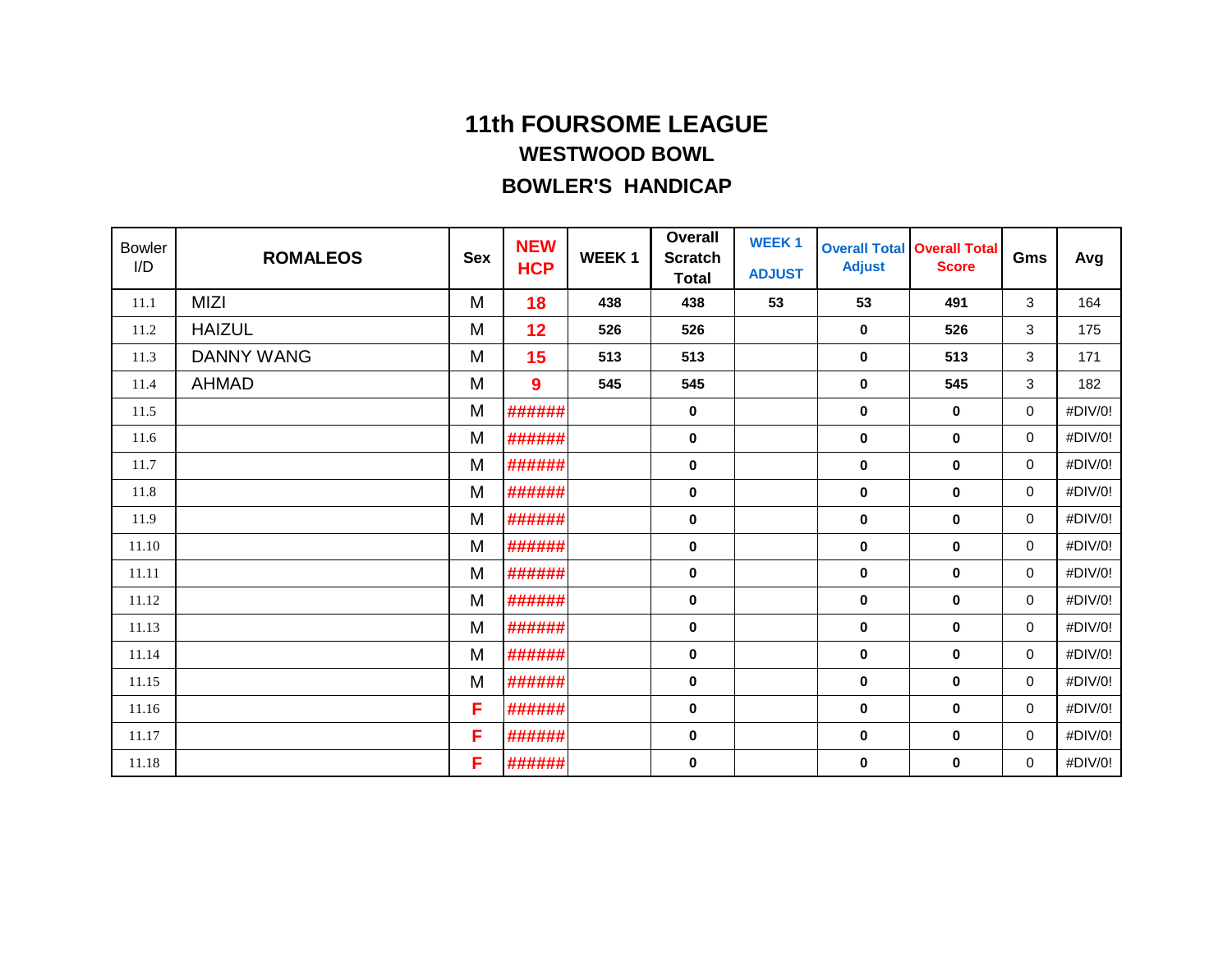| <b>Bowler</b><br>I/D | <b>ROMALEOS</b>   | <b>Sex</b> | <b>NEW</b><br><b>HCP</b> | <b>WEEK1</b> | <b>Overall</b><br><b>Scratch</b><br><b>Total</b> | <b>WEEK1</b><br><b>ADJUST</b> | <b>Adjust</b> | <b>Overall Total Overall Total</b><br><b>Score</b> | Gms         | Avg     |
|----------------------|-------------------|------------|--------------------------|--------------|--------------------------------------------------|-------------------------------|---------------|----------------------------------------------------|-------------|---------|
| 11.1                 | <b>MIZI</b>       | M          | 18                       | 438          | 438                                              | 53                            | 53            | 491                                                | 3           | 164     |
| 11.2                 | <b>HAIZUL</b>     | M          | 12                       | 526          | 526                                              |                               | $\mathbf 0$   | 526                                                | 3           | 175     |
| 11.3                 | <b>DANNY WANG</b> | M          | 15                       | 513          | 513                                              |                               | $\mathbf 0$   | 513                                                | 3           | 171     |
| 11.4                 | <b>AHMAD</b>      | M          | 9                        | 545          | 545                                              |                               | $\mathbf 0$   | 545                                                | 3           | 182     |
| 11.5                 |                   | M          | ######                   |              | $\mathbf 0$                                      |                               | $\mathbf 0$   | $\bf{0}$                                           | 0           | #DIV/0! |
| 11.6                 |                   | M          | ######                   |              | 0                                                |                               | $\mathbf 0$   | $\mathbf 0$                                        | 0           | #DIV/0! |
| 11.7                 |                   | M          | ######                   |              | 0                                                |                               | $\mathbf 0$   | $\mathbf 0$                                        | 0           | #DIV/0! |
| 11.8                 |                   | M          | ######                   |              | 0                                                |                               | $\mathbf 0$   | $\mathbf 0$                                        | 0           | #DIV/0! |
| 11.9                 |                   | M          | ######                   |              | $\pmb{0}$                                        |                               | $\mathbf 0$   | $\mathbf 0$                                        | $\mathbf 0$ | #DIV/0! |
| 11.10                |                   | M          | ######                   |              | 0                                                |                               | $\mathbf 0$   | $\mathbf 0$                                        | 0           | #DIV/0! |
| 11.11                |                   | M          | ######                   |              | 0                                                |                               | $\mathbf 0$   | $\mathbf 0$                                        | 0           | #DIV/0! |
| 11.12                |                   | M          | ######                   |              | 0                                                |                               | $\mathbf 0$   | $\mathbf 0$                                        | 0           | #DIV/0! |
| 11.13                |                   | M          | ######                   |              | 0                                                |                               | $\mathbf 0$   | $\mathbf 0$                                        | 0           | #DIV/0! |
| 11.14                |                   | M          | ######                   |              | 0                                                |                               | $\mathbf 0$   | $\mathbf 0$                                        | 0           | #DIV/0! |
| 11.15                |                   | M          | ######                   |              | 0                                                |                               | $\mathbf 0$   | $\mathbf 0$                                        | 0           | #DIV/0! |
| 11.16                |                   | F          | ######                   |              | 0                                                |                               | 0             | $\mathbf 0$                                        | 0           | #DIV/0! |
| 11.17                |                   | F          | ######                   |              | 0                                                |                               | $\mathbf 0$   | $\mathbf 0$                                        | 0           | #DIV/0! |
| 11.18                |                   | F          | ######                   |              | 0                                                |                               | 0             | 0                                                  | 0           | #DIV/0! |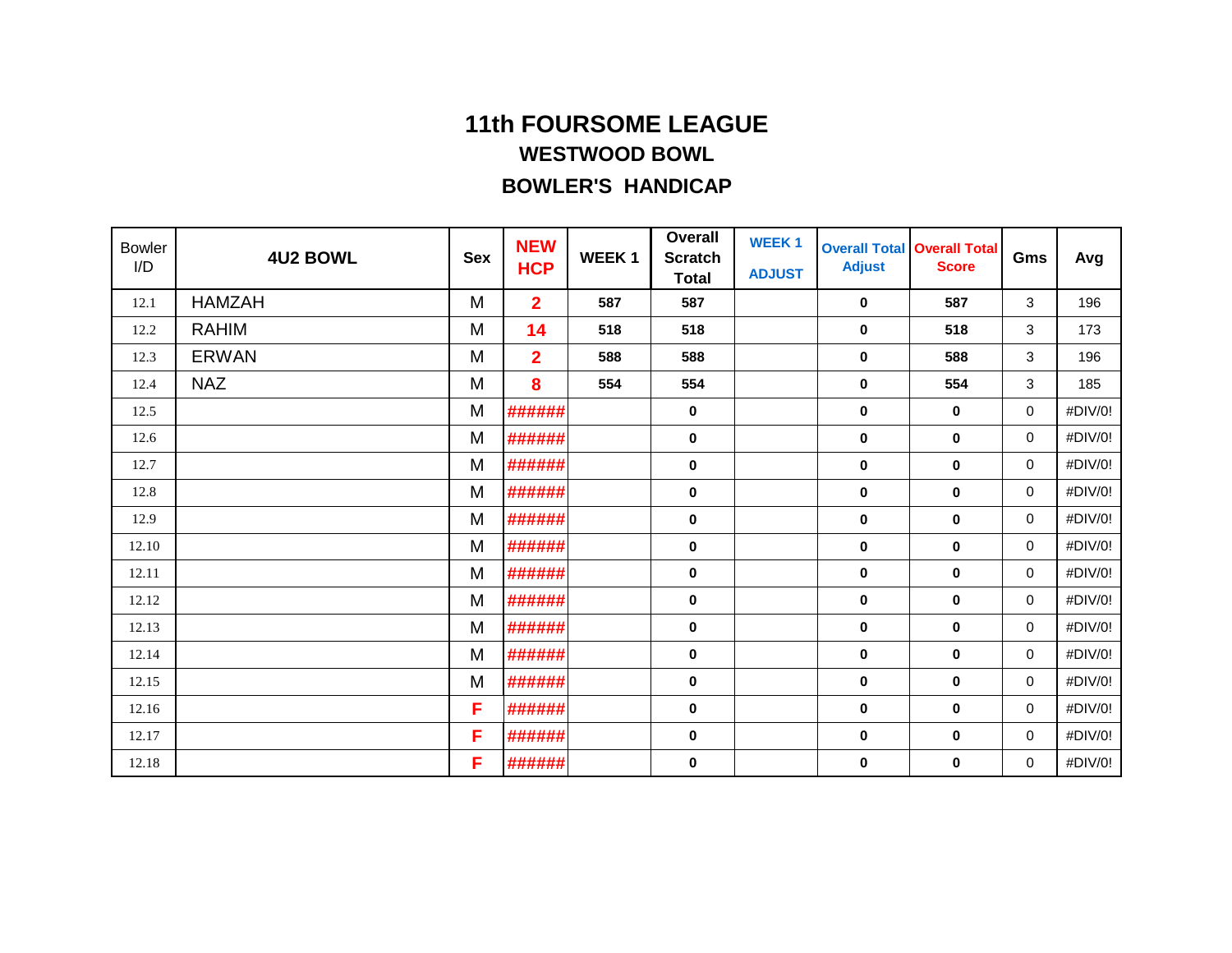| <b>Bowler</b><br>I/D | <b>4U2 BOWL</b> | <b>Sex</b> | <b>NEW</b><br><b>HCP</b> | <b>WEEK1</b> | <b>Overall</b><br><b>Scratch</b><br><b>Total</b> | <b>WEEK1</b><br><b>ADJUST</b> | <b>Adjust</b> | <b>Overall Total Overall Total</b><br><b>Score</b> | Gms         | Avg     |
|----------------------|-----------------|------------|--------------------------|--------------|--------------------------------------------------|-------------------------------|---------------|----------------------------------------------------|-------------|---------|
| 12.1                 | <b>HAMZAH</b>   | M          | $\overline{2}$           | 587          | 587                                              |                               | $\mathbf 0$   | 587                                                | 3           | 196     |
| 12.2                 | <b>RAHIM</b>    | M          | 14                       | 518          | 518                                              |                               | $\pmb{0}$     | 518                                                | 3           | 173     |
| 12.3                 | <b>ERWAN</b>    | M          | $\overline{2}$           | 588          | 588                                              |                               | $\mathbf 0$   | 588                                                | 3           | 196     |
| 12.4                 | <b>NAZ</b>      | M          | 8                        | 554          | 554                                              |                               | $\mathbf 0$   | 554                                                | 3           | 185     |
| 12.5                 |                 | M          | ######                   |              | $\bf{0}$                                         |                               | $\mathbf 0$   | $\mathbf 0$                                        | 0           | #DIV/0! |
| 12.6                 |                 | M          | ######                   |              | 0                                                |                               | $\mathbf 0$   | $\mathbf 0$                                        | 0           | #DIV/0! |
| 12.7                 |                 | M          | ######                   |              | 0                                                |                               | $\mathbf 0$   | $\mathbf 0$                                        | 0           | #DIV/0! |
| 12.8                 |                 | M          | ######                   |              | 0                                                |                               | $\mathbf 0$   | $\mathbf 0$                                        | 0           | #DIV/0! |
| 12.9                 |                 | M          | ######                   |              | $\pmb{0}$                                        |                               | $\mathbf 0$   | $\mathbf 0$                                        | $\mathbf 0$ | #DIV/0! |
| 12.10                |                 | M          | ######                   |              | 0                                                |                               | $\mathbf 0$   | $\mathbf 0$                                        | 0           | #DIV/0! |
| 12.11                |                 | M          | ######                   |              | 0                                                |                               | $\mathbf 0$   | $\mathbf 0$                                        | 0           | #DIV/0! |
| 12.12                |                 | M          | ######                   |              | 0                                                |                               | $\mathbf 0$   | $\mathbf 0$                                        | 0           | #DIV/0! |
| 12.13                |                 | M          | ######                   |              | 0                                                |                               | $\mathbf 0$   | $\mathbf 0$                                        | 0           | #DIV/0! |
| 12.14                |                 | M          | ######                   |              | 0                                                |                               | $\mathbf 0$   | $\mathbf 0$                                        | 0           | #DIV/0! |
| 12.15                |                 | M          | ######                   |              | 0                                                |                               | $\mathbf 0$   | $\mathbf 0$                                        | 0           | #DIV/0! |
| 12.16                |                 | F          | ######                   |              | 0                                                |                               | 0             | $\mathbf 0$                                        | 0           | #DIV/0! |
| 12.17                |                 | F          | ######                   |              | 0                                                |                               | $\mathbf 0$   | $\mathbf 0$                                        | 0           | #DIV/0! |
| 12.18                |                 | F          | ######                   |              | 0                                                |                               | 0             | 0                                                  | 0           | #DIV/0! |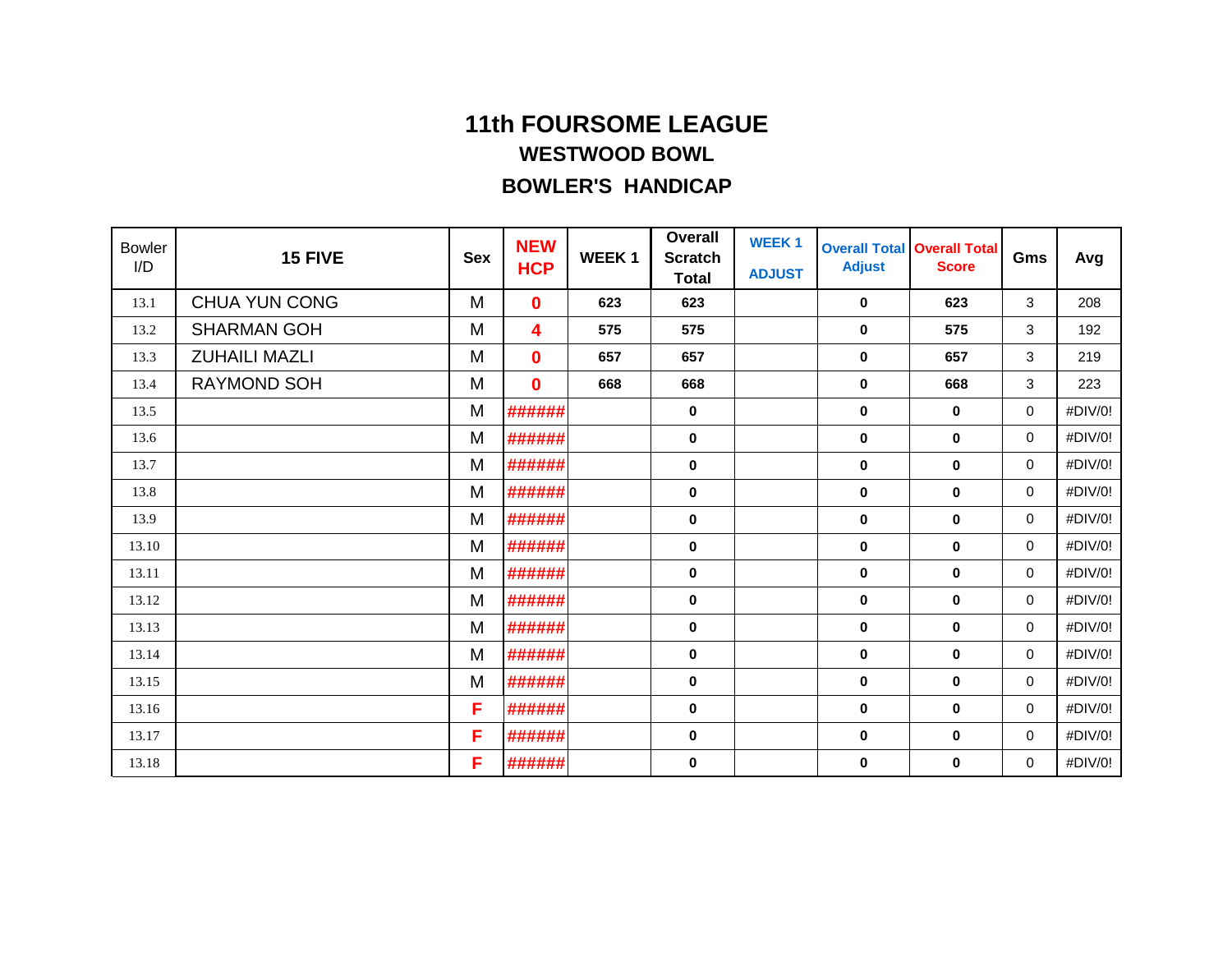| <b>Bowler</b><br>I/D | 15 FIVE              | <b>Sex</b> | <b>NEW</b><br><b>HCP</b> | <b>WEEK1</b> | <b>Overall</b><br><b>Scratch</b><br><b>Total</b> | <b>WEEK1</b><br><b>ADJUST</b> | <b>Adjust</b> | <b>Overall Total Overall Total</b><br><b>Score</b> | Gms         | Avg     |
|----------------------|----------------------|------------|--------------------------|--------------|--------------------------------------------------|-------------------------------|---------------|----------------------------------------------------|-------------|---------|
| 13.1                 | <b>CHUA YUN CONG</b> | M          | $\bf{0}$                 | 623          | 623                                              |                               | 0             | 623                                                | 3           | 208     |
| 13.2                 | <b>SHARMAN GOH</b>   | M          | 4                        | 575          | 575                                              |                               | 0             | 575                                                | 3           | 192     |
| 13.3                 | <b>ZUHAILI MAZLI</b> | M          | $\bf{0}$                 | 657          | 657                                              |                               | 0             | 657                                                | 3           | 219     |
| 13.4                 | <b>RAYMOND SOH</b>   | M          | $\bf{0}$                 | 668          | 668                                              |                               | 0             | 668                                                | 3           | 223     |
| 13.5                 |                      | M          | ######                   |              | 0                                                |                               | 0             | 0                                                  | 0           | #DIV/0! |
| 13.6                 |                      | M          | ######                   |              | $\bf{0}$                                         |                               | 0             | 0                                                  | 0           | #DIV/0! |
| 13.7                 |                      | M          | ######                   |              | $\bf{0}$                                         |                               | 0             | $\bf{0}$                                           | 0           | #DIV/0! |
| 13.8                 |                      | M          | ######                   |              | 0                                                |                               | 0             | 0                                                  | 0           | #DIV/0! |
| 13.9                 |                      | M          | ######                   |              | $\mathbf 0$                                      |                               | 0             | 0                                                  | 0           | #DIV/0! |
| 13.10                |                      | M          | ######                   |              | 0                                                |                               | 0             | 0                                                  | 0           | #DIV/0! |
| 13.11                |                      | M          | ######                   |              | 0                                                |                               | 0             | 0                                                  | 0           | #DIV/0! |
| 13.12                |                      | M          | ######                   |              | 0                                                |                               | 0             | 0                                                  | 0           | #DIV/0! |
| 13.13                |                      | M          | ######                   |              | 0                                                |                               | $\bf{0}$      | $\mathbf 0$                                        | 0           | #DIV/0! |
| 13.14                |                      | M          | ######                   |              | 0                                                |                               | 0             | 0                                                  | 0           | #DIV/0! |
| 13.15                |                      | M          | ######                   |              | 0                                                |                               | 0             | 0                                                  | 0           | #DIV/0! |
| 13.16                |                      | F          | ######                   |              | 0                                                |                               | $\bf{0}$      | $\pmb{0}$                                          | $\mathbf 0$ | #DIV/0! |
| 13.17                |                      | F          | ######                   |              | 0                                                |                               | 0             | 0                                                  | 0           | #DIV/0! |
| 13.18                |                      | F          | ######                   |              | 0                                                |                               | 0             | 0                                                  | 0           | #DIV/0! |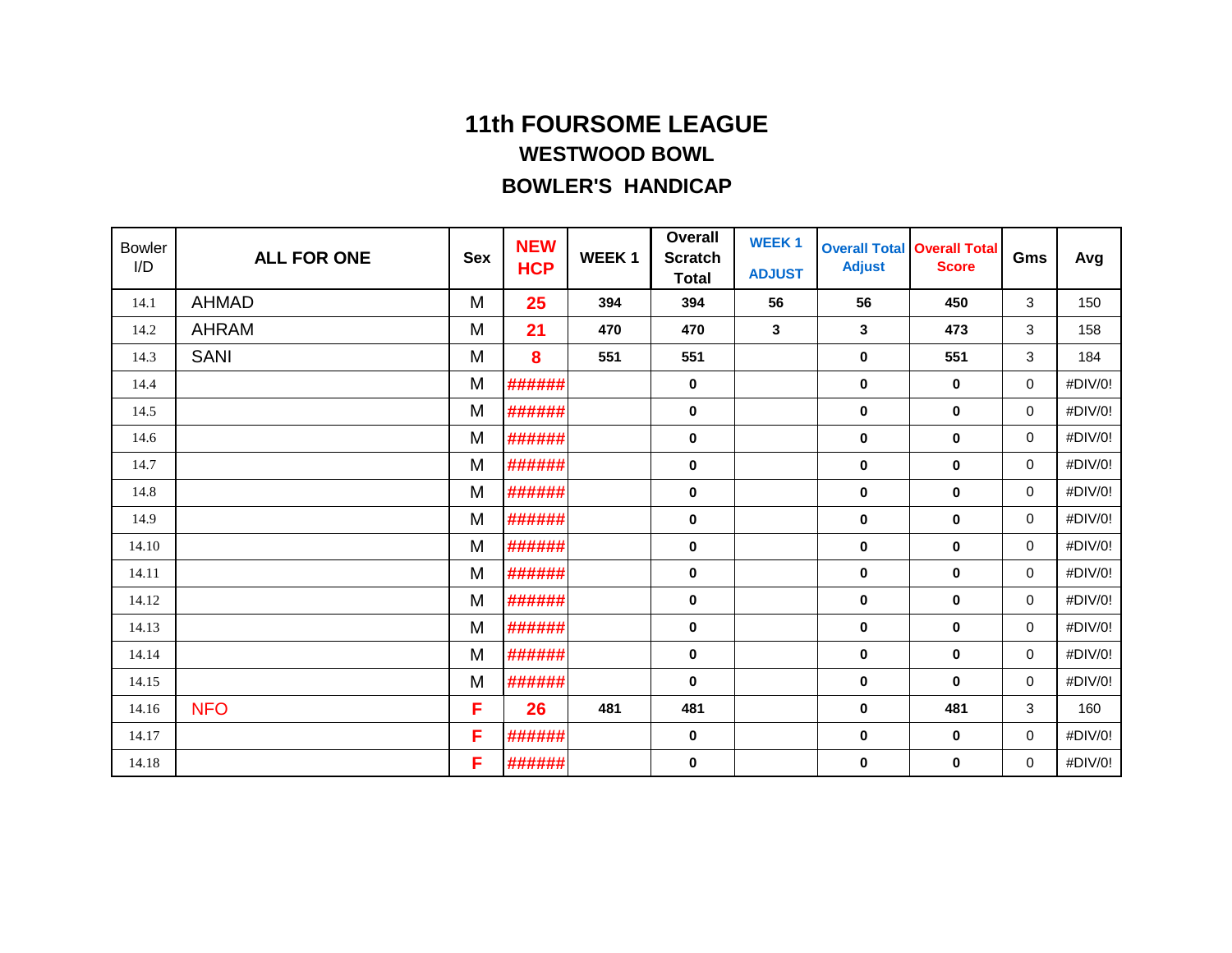| <b>Bowler</b><br>I/D | <b>ALL FOR ONE</b> | <b>Sex</b> | <b>NEW</b><br><b>HCP</b> | <b>WEEK1</b> | <b>Overall</b><br><b>Scratch</b><br><b>Total</b> | <b>WEEK1</b><br><b>ADJUST</b> | <b>Overall Total</b><br><b>Adjust</b> | <b>Overall Total</b><br><b>Score</b> | Gms | Avg     |
|----------------------|--------------------|------------|--------------------------|--------------|--------------------------------------------------|-------------------------------|---------------------------------------|--------------------------------------|-----|---------|
| 14.1                 | <b>AHMAD</b>       | M          | 25                       | 394          | 394                                              | 56                            | 56                                    | 450                                  | 3   | 150     |
| 14.2                 | <b>AHRAM</b>       | M          | 21                       | 470          | 470                                              | 3                             | 3                                     | 473                                  | 3   | 158     |
| 14.3                 | <b>SANI</b>        | M          | 8                        | 551          | 551                                              |                               | $\mathbf 0$                           | 551                                  | 3   | 184     |
| 14.4                 |                    | M          | ######                   |              | 0                                                |                               | $\mathbf 0$                           | $\mathbf 0$                          | 0   | #DIV/0! |
| 14.5                 |                    | M          | ######                   |              | 0                                                |                               | $\mathbf 0$                           | $\mathbf 0$                          | 0   | #DIV/0! |
| 14.6                 |                    | M          | ######                   |              | 0                                                |                               | $\mathbf 0$                           | $\mathbf 0$                          | 0   | #DIV/0! |
| 14.7                 |                    | M          | ######                   |              | 0                                                |                               | $\mathbf 0$                           | $\mathbf 0$                          | 0   | #DIV/0! |
| 14.8                 |                    | M          | ######                   |              | 0                                                |                               | $\mathbf 0$                           | $\mathbf 0$                          | 0   | #DIV/0! |
| 14.9                 |                    | M          | ######                   |              | $\pmb{0}$                                        |                               | $\mathbf 0$                           | $\mathbf 0$                          | 0   | #DIV/0! |
| 14.10                |                    | M          | ######                   |              | 0                                                |                               | $\mathbf 0$                           | $\mathbf 0$                          | 0   | #DIV/0! |
| 14.11                |                    | M          | ######                   |              | 0                                                |                               | $\mathbf 0$                           | $\mathbf 0$                          | 0   | #DIV/0! |
| 14.12                |                    | M          | ######                   |              | 0                                                |                               | $\mathbf 0$                           | 0                                    | 0   | #DIV/0! |
| 14.13                |                    | M          | ######                   |              | 0                                                |                               | $\mathbf 0$                           | $\mathbf 0$                          | 0   | #DIV/0! |
| 14.14                |                    | M          | ######                   |              | 0                                                |                               | $\mathbf 0$                           | $\mathbf 0$                          | 0   | #DIV/0! |
| 14.15                |                    | M          | ######                   |              | 0                                                |                               | $\mathbf 0$                           | $\mathbf 0$                          | 0   | #DIV/0! |
| 14.16                | <b>NFO</b>         | F          | 26                       | 481          | 481                                              |                               | $\mathbf 0$                           | 481                                  | 3   | 160     |
| 14.17                |                    | F          | ######                   |              | 0                                                |                               | $\mathbf 0$                           | $\mathbf 0$                          | 0   | #DIV/0! |
| 14.18                |                    | F          | ######                   |              | 0                                                |                               | $\mathbf 0$                           | $\bf{0}$                             | 0   | #DIV/0! |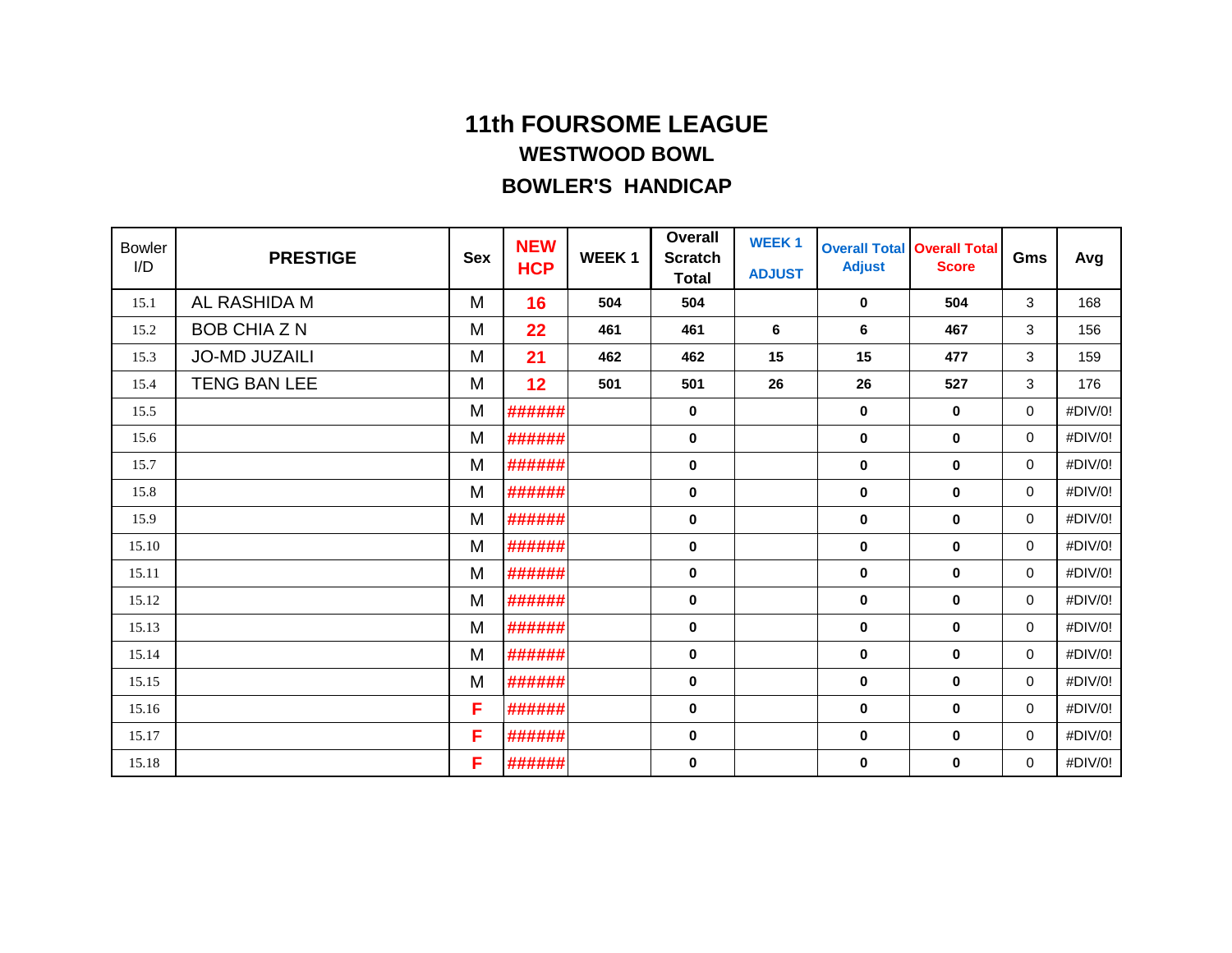| <b>Bowler</b><br>I/D | <b>PRESTIGE</b>      | <b>Sex</b> | <b>NEW</b><br><b>HCP</b> | WEEK <sub>1</sub> | <b>Overall</b><br><b>Scratch</b><br><b>Total</b> | <b>WEEK1</b><br><b>ADJUST</b> | <b>Adjust</b> | <b>Overall Total Overall Total</b><br><b>Score</b> | Gms         | Avg     |
|----------------------|----------------------|------------|--------------------------|-------------------|--------------------------------------------------|-------------------------------|---------------|----------------------------------------------------|-------------|---------|
| 15.1                 | AL RASHIDA M         | M          | 16                       | 504               | 504                                              |                               | 0             | 504                                                | 3           | 168     |
| 15.2                 | <b>BOB CHIA Z N</b>  | M          | 22                       | 461               | 461                                              | 6                             | 6             | 467                                                | 3           | 156     |
| 15.3                 | <b>JO-MD JUZAILI</b> | M          | 21                       | 462               | 462                                              | 15                            | 15            | 477                                                | 3           | 159     |
| 15.4                 | <b>TENG BAN LEE</b>  | M          | 12                       | 501               | 501                                              | 26                            | 26            | 527                                                | 3           | 176     |
| 15.5                 |                      | M          | ######                   |                   | 0                                                |                               | 0             | 0                                                  | 0           | #DIV/0! |
| 15.6                 |                      | M          | ######                   |                   | 0                                                |                               | 0             | 0                                                  | $\mathbf 0$ | #DIV/0! |
| 15.7                 |                      | M          | ######                   |                   | 0                                                |                               | 0             | 0                                                  | $\mathbf 0$ | #DIV/0! |
| 15.8                 |                      | M          | ######                   |                   | 0                                                |                               | 0             | 0                                                  | $\mathbf 0$ | #DIV/0! |
| 15.9                 |                      | M          | ######                   |                   | $\pmb{0}$                                        |                               | $\bf{0}$      | $\pmb{0}$                                          | 0           | #DIV/0! |
| 15.10                |                      | M          | ######                   |                   | 0                                                |                               | 0             | 0                                                  | $\mathbf 0$ | #DIV/0! |
| 15.11                |                      | M          | ######                   |                   | $\bf{0}$                                         |                               | 0             | 0                                                  | $\mathbf 0$ | #DIV/0! |
| 15.12                |                      | M          | ######                   |                   | 0                                                |                               | 0             | 0                                                  | 0           | #DIV/0! |
| 15.13                |                      | M          | ######                   |                   | 0                                                |                               | 0             | 0                                                  | $\mathbf 0$ | #DIV/0! |
| 15.14                |                      | M          | ######                   |                   | 0                                                |                               | 0             | 0                                                  | 0           | #DIV/0! |
| 15.15                |                      | M          | ######                   |                   | $\bf{0}$                                         |                               | 0             | 0                                                  | $\mathbf 0$ | #DIV/0! |
| 15.16                |                      | F          | ######                   |                   | $\mathbf 0$                                      |                               | 0             | $\mathbf 0$                                        | $\mathbf 0$ | #DIV/0! |
| 15.17                |                      | F          | ######                   |                   | 0                                                |                               | 0             | 0                                                  | $\mathbf 0$ | #DIV/0! |
| 15.18                |                      | F          | ######                   |                   | 0                                                |                               | 0             | 0                                                  | 0           | #DIV/0! |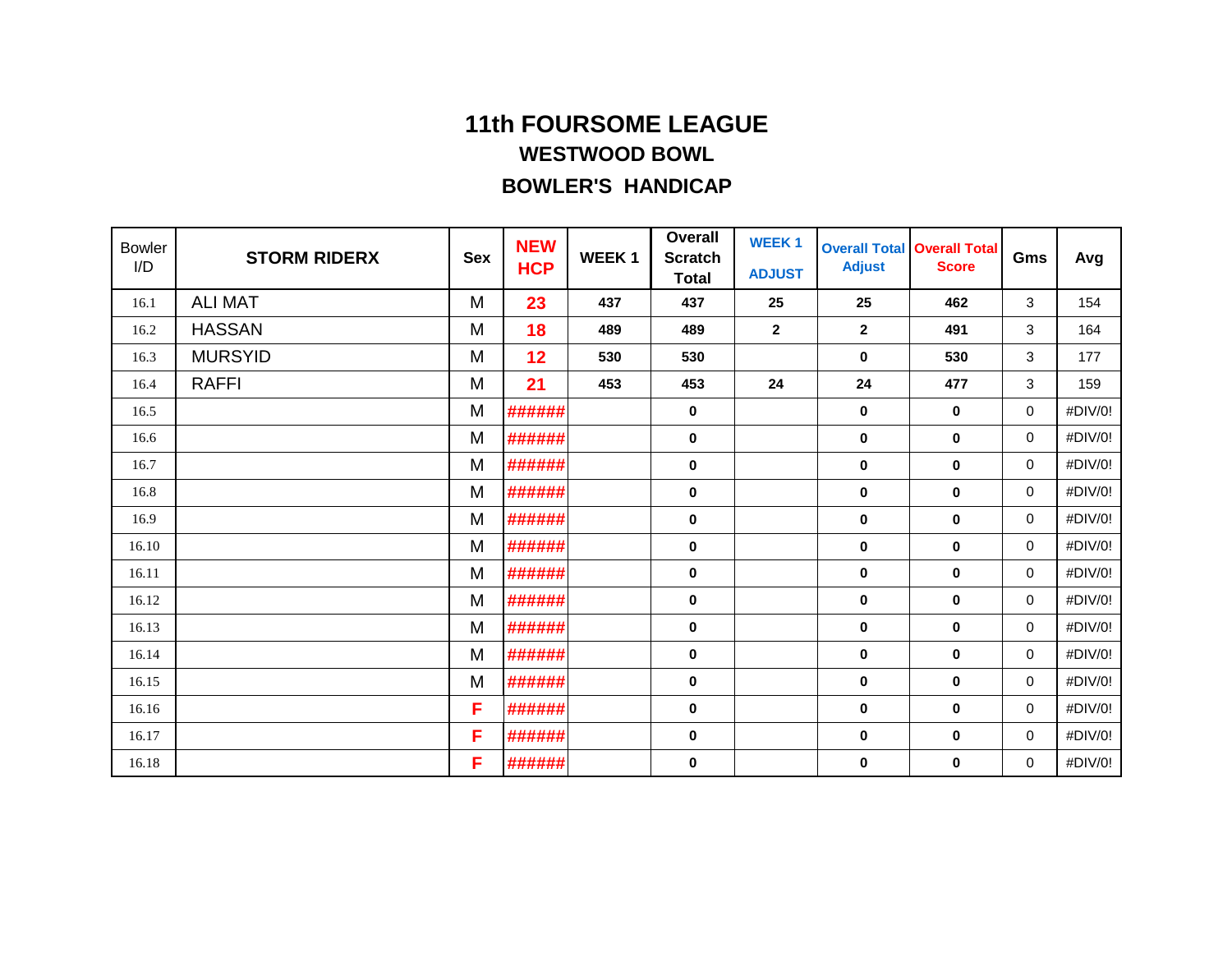| <b>Bowler</b><br>I/D | <b>STORM RIDERX</b> | <b>Sex</b> | <b>NEW</b><br><b>HCP</b> | <b>WEEK1</b> | <b>Overall</b><br><b>Scratch</b><br><b>Total</b> | <b>WEEK1</b><br><b>ADJUST</b> | <b>Adjust</b>    | <b>Overall Total Overall Total</b><br><b>Score</b> | Gms         | Avg     |
|----------------------|---------------------|------------|--------------------------|--------------|--------------------------------------------------|-------------------------------|------------------|----------------------------------------------------|-------------|---------|
| 16.1                 | <b>ALI MAT</b>      | M          | 23                       | 437          | 437                                              | 25                            | 25               | 462                                                | 3           | 154     |
| 16.2                 | <b>HASSAN</b>       | M          | 18                       | 489          | 489                                              | $\mathbf{2}$                  | $\boldsymbol{2}$ | 491                                                | 3           | 164     |
| 16.3                 | <b>MURSYID</b>      | M          | 12                       | 530          | 530                                              |                               | 0                | 530                                                | 3           | 177     |
| 16.4                 | <b>RAFFI</b>        | M          | 21                       | 453          | 453                                              | 24                            | 24               | 477                                                | 3           | 159     |
| 16.5                 |                     | M          | ######                   |              | 0                                                |                               | 0                | 0                                                  | 0           | #DIV/0! |
| 16.6                 |                     | M          | ######                   |              | 0                                                |                               | 0                | 0                                                  | $\mathbf 0$ | #DIV/0! |
| 16.7                 |                     | M          | ######                   |              | $\bf{0}$                                         |                               | 0                | 0                                                  | 0           | #DIV/0! |
| 16.8                 |                     | M          | ######                   |              | 0                                                |                               | 0                | 0                                                  | $\mathbf 0$ | #DIV/0! |
| 16.9                 |                     | M          | ######                   |              | 0                                                |                               | 0                | 0                                                  | $\mathbf 0$ | #DIV/0! |
| 16.10                |                     | M          | ######                   |              | 0                                                |                               | 0                | 0                                                  | $\mathbf 0$ | #DIV/0! |
| 16.11                |                     | M          | ######                   |              | 0                                                |                               | 0                | 0                                                  | 0           | #DIV/0! |
| 16.12                |                     | M          | ######                   |              | 0                                                |                               | 0                | 0                                                  | 0           | #DIV/0! |
| 16.13                |                     | M          | ######                   |              | 0                                                |                               | $\bf{0}$         | $\bf{0}$                                           | $\mathbf 0$ | #DIV/0! |
| 16.14                |                     | M          | ######                   |              | 0                                                |                               | 0                | 0                                                  | $\mathbf 0$ | #DIV/0! |
| 16.15                |                     | M          | ######                   |              | $\bf{0}$                                         |                               | 0                | 0                                                  | $\mathbf 0$ | #DIV/0! |
| 16.16                |                     | F          | ######                   |              | 0                                                |                               | $\bf{0}$         | 0                                                  | $\mathbf 0$ | #DIV/0! |
| 16.17                |                     | F          | ######                   |              | 0                                                |                               | 0                | 0                                                  | $\mathbf 0$ | #DIV/0! |
| 16.18                |                     | F          | ######                   |              | 0                                                |                               | 0                | 0                                                  | 0           | #DIV/0! |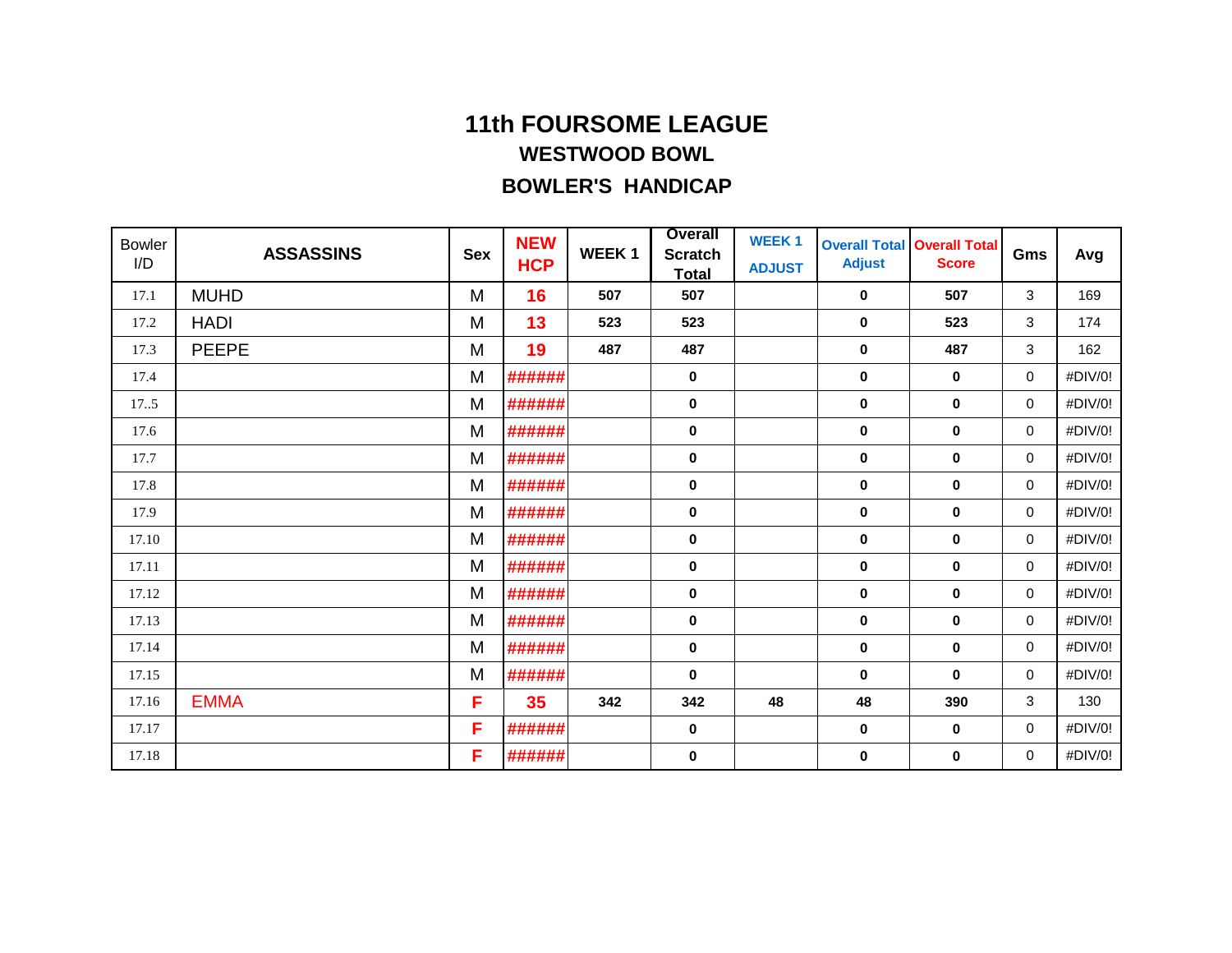| <b>Bowler</b><br>I/D | <b>ASSASSINS</b> | <b>Sex</b> | <b>NEW</b><br><b>HCP</b> | <b>WEEK1</b> | <b>Overall</b><br><b>Scratch</b><br><b>Total</b> | <b>WEEK1</b><br><b>ADJUST</b> | <b>Overall Total</b><br><b>Adjust</b> | <b>Overall Total</b><br><b>Score</b> | Gms         | Avg     |
|----------------------|------------------|------------|--------------------------|--------------|--------------------------------------------------|-------------------------------|---------------------------------------|--------------------------------------|-------------|---------|
| 17.1                 | <b>MUHD</b>      | M          | 16                       | 507          | 507                                              |                               | $\mathbf 0$                           | 507                                  | 3           | 169     |
| 17.2                 | <b>HADI</b>      | M          | 13                       | 523          | 523                                              |                               | $\mathbf 0$                           | 523                                  | 3           | 174     |
| 17.3                 | <b>PEEPE</b>     | M          | 19                       | 487          | 487                                              |                               | $\mathbf 0$                           | 487                                  | 3           | 162     |
| 17.4                 |                  | M          | ######                   |              | 0                                                |                               | $\mathbf 0$                           | $\mathbf 0$                          | 0           | #DIV/0! |
| 17.5                 |                  | M          | ######                   |              | 0                                                |                               | $\mathbf 0$                           | $\bf{0}$                             | 0           | #DIV/0! |
| 17.6                 |                  | M          | ######                   |              | 0                                                |                               | $\mathbf 0$                           | $\mathbf 0$                          | 0           | #DIV/0! |
| 17.7                 |                  | M          | ######                   |              | $\pmb{0}$                                        |                               | $\pmb{0}$                             | $\mathbf 0$                          | $\mathbf 0$ | #DIV/0! |
| 17.8                 |                  | M          | ######                   |              | 0                                                |                               | $\mathbf 0$                           | $\mathbf 0$                          | 0           | #DIV/0! |
| 17.9                 |                  | M          | ######                   |              | 0                                                |                               | $\mathbf 0$                           | $\mathbf 0$                          | 0           | #DIV/0! |
| 17.10                |                  | M          | ######                   |              | 0                                                |                               | $\mathbf 0$                           | $\mathbf 0$                          | 0           | #DIV/0! |
| 17.11                |                  | M          | ######                   |              | $\pmb{0}$                                        |                               | $\mathbf 0$                           | $\mathbf 0$                          | 0           | #DIV/0! |
| 17.12                |                  | M          | ######                   |              | 0                                                |                               | $\mathbf 0$                           | $\mathbf 0$                          | 0           | #DIV/0! |
| 17.13                |                  | M          | ######                   |              | 0                                                |                               | $\mathbf 0$                           | $\mathbf 0$                          | 0           | #DIV/0! |
| 17.14                |                  | M          | ######                   |              | 0                                                |                               | $\mathbf 0$                           | $\mathbf 0$                          | 0           | #DIV/0! |
| 17.15                |                  | M          | ######                   |              | $\bf{0}$                                         |                               | $\mathbf 0$                           | $\mathbf 0$                          | 0           | #DIV/0! |
| 17.16                | <b>EMMA</b>      | F          | 35                       | 342          | 342                                              | 48                            | 48                                    | 390                                  | 3           | 130     |
| 17.17                |                  | F          | ######                   |              | 0                                                |                               | $\mathbf 0$                           | $\mathbf 0$                          | 0           | #DIV/0! |
| 17.18                |                  | F          | ######                   |              | 0                                                |                               | 0                                     | $\mathbf 0$                          | 0           | #DIV/0! |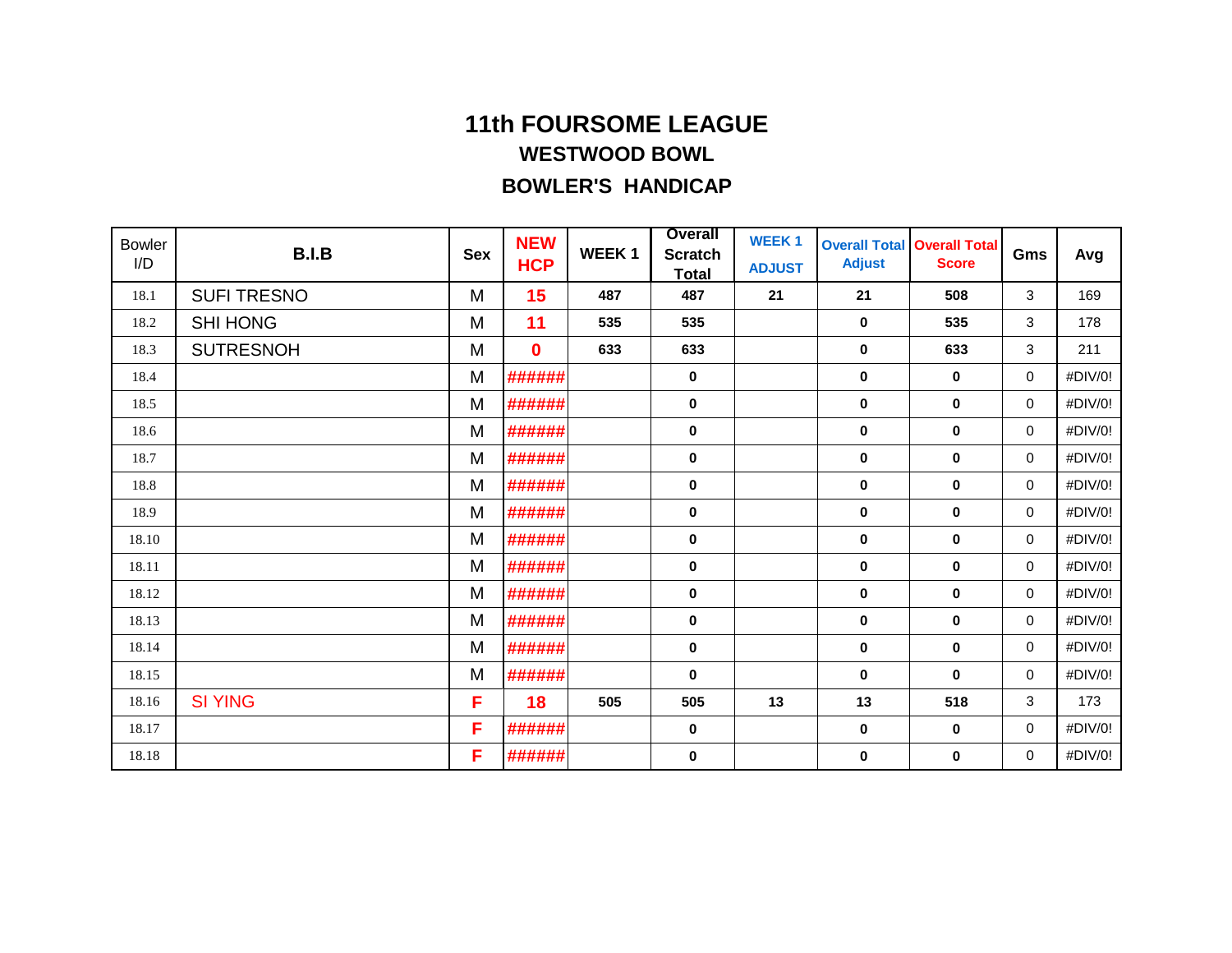| <b>Bowler</b><br>I/D | <b>B.I.B</b>       | <b>Sex</b> | <b>NEW</b><br><b>HCP</b> | <b>WEEK1</b> | <b>Overall</b><br><b>Scratch</b><br><b>Total</b> | <b>WEEK1</b><br><b>ADJUST</b> | <b>Overall Total</b><br><b>Adjust</b> | <b>Overall Total</b><br><b>Score</b> | Gms | Avg     |
|----------------------|--------------------|------------|--------------------------|--------------|--------------------------------------------------|-------------------------------|---------------------------------------|--------------------------------------|-----|---------|
| 18.1                 | <b>SUFI TRESNO</b> | M          | 15                       | 487          | 487                                              | 21                            | 21                                    | 508                                  | 3   | 169     |
| 18.2                 | <b>SHI HONG</b>    | M          | 11                       | 535          | 535                                              |                               | $\mathbf 0$                           | 535                                  | 3   | 178     |
| 18.3                 | <b>SUTRESNOH</b>   | M          | $\bf{0}$                 | 633          | 633                                              |                               | $\mathbf 0$                           | 633                                  | 3   | 211     |
| 18.4                 |                    | M          | ######                   |              | 0                                                |                               | $\mathbf 0$                           | $\bf{0}$                             | 0   | #DIV/0! |
| 18.5                 |                    | M          | ######                   |              | 0                                                |                               | $\bf{0}$                              | $\bf{0}$                             | 0   | #DIV/0! |
| 18.6                 |                    | M          | ######                   |              | 0                                                |                               | $\mathbf 0$                           | $\mathbf 0$                          | 0   | #DIV/0! |
| 18.7                 |                    | M          | ######                   |              | 0                                                |                               | $\mathbf 0$                           | $\mathbf 0$                          | 0   | #DIV/0! |
| 18.8                 |                    | M          | ######                   |              | 0                                                |                               | $\mathbf 0$                           | $\mathbf 0$                          | 0   | #DIV/0! |
| 18.9                 |                    | M          | ######                   |              | 0                                                |                               | $\mathbf 0$                           | $\mathbf 0$                          | 0   | #DIV/0! |
| 18.10                |                    | M          | ######                   |              | 0                                                |                               | $\mathbf 0$                           | $\mathbf 0$                          | 0   | #DIV/0! |
| 18.11                |                    | M          | ######                   |              | 0                                                |                               | $\mathbf 0$                           | $\mathbf 0$                          | 0   | #DIV/0! |
| 18.12                |                    | M          | ######                   |              | 0                                                |                               | $\mathbf 0$                           | $\mathbf 0$                          | 0   | #DIV/0! |
| 18.13                |                    | M          | ######                   |              | 0                                                |                               | $\mathbf 0$                           | $\mathbf 0$                          | 0   | #DIV/0! |
| 18.14                |                    | M          | ######                   |              | $\pmb{0}$                                        |                               | 0                                     | $\mathbf 0$                          | 0   | #DIV/0! |
| 18.15                |                    | M          | ######                   |              | $\bf{0}$                                         |                               | $\mathbf 0$                           | $\mathbf 0$                          | 0   | #DIV/0! |
| 18.16                | <b>SI YING</b>     | F          | 18                       | 505          | 505                                              | 13                            | 13                                    | 518                                  | 3   | 173     |
| 18.17                |                    | F          | ######                   |              | 0                                                |                               | $\mathbf 0$                           | $\mathbf 0$                          | 0   | #DIV/0! |
| 18.18                |                    | F          | ######                   |              | 0                                                |                               | 0                                     | 0                                    | 0   | #DIV/0! |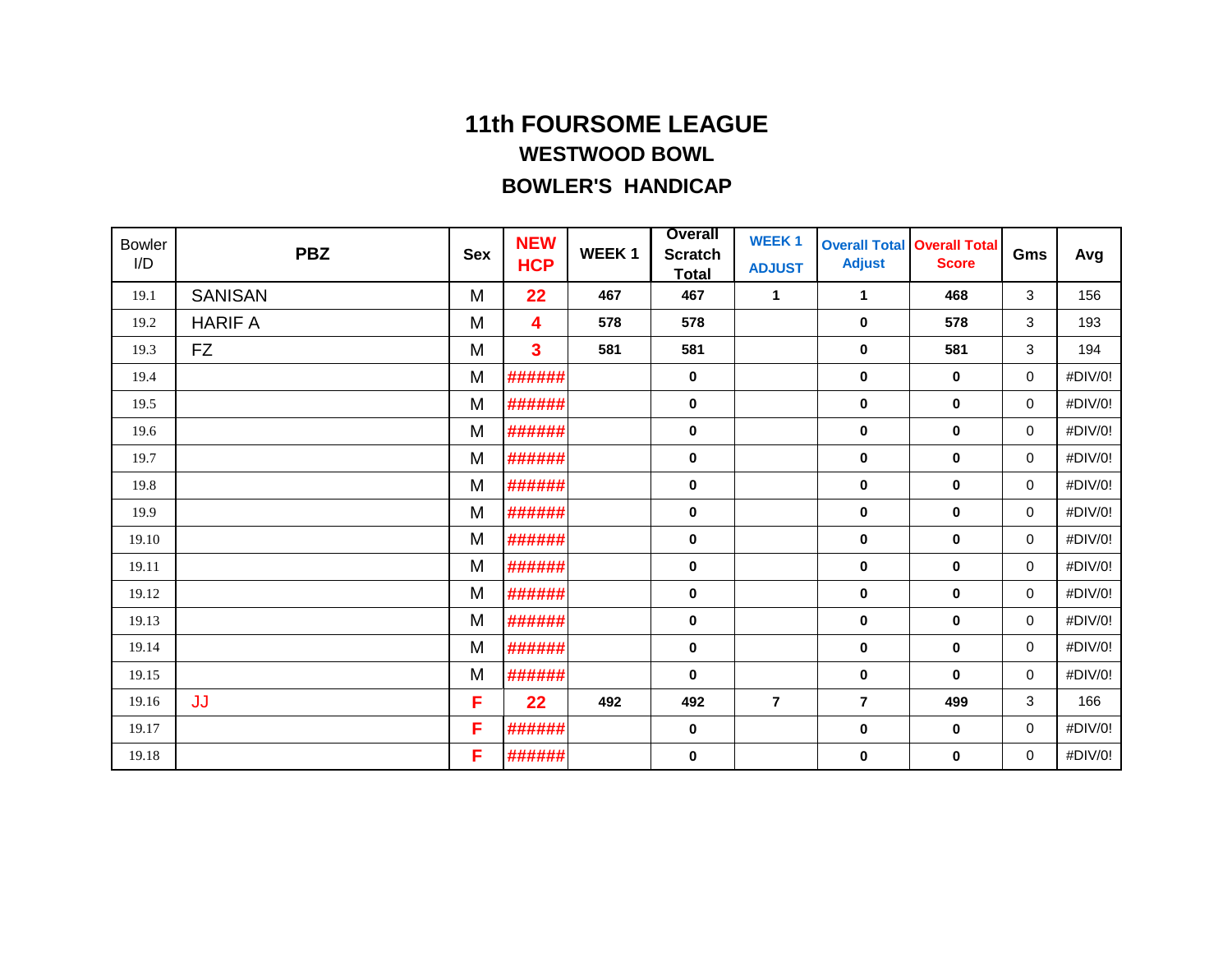| <b>Bowler</b><br>I/D | <b>PBZ</b>     | <b>Sex</b> | <b>NEW</b><br><b>HCP</b> | <b>WEEK1</b> | <b>Overall</b><br><b>Scratch</b><br><b>Total</b> | <b>WEEK1</b><br><b>ADJUST</b> | <b>Adjust</b>  | <b>Overall Total Overall Total</b><br><b>Score</b> | Gms | Avg     |
|----------------------|----------------|------------|--------------------------|--------------|--------------------------------------------------|-------------------------------|----------------|----------------------------------------------------|-----|---------|
| 19.1                 | <b>SANISAN</b> | M          | 22                       | 467          | 467                                              | 1                             | 1              | 468                                                | 3   | 156     |
| 19.2                 | <b>HARIF A</b> | M          | 4                        | 578          | 578                                              |                               | $\mathbf 0$    | 578                                                | 3   | 193     |
| 19.3                 | <b>FZ</b>      | M          | 3                        | 581          | 581                                              |                               | $\pmb{0}$      | 581                                                | 3   | 194     |
| 19.4                 |                | M          | ######                   |              | 0                                                |                               | $\mathbf 0$    | $\bf{0}$                                           | 0   | #DIV/0! |
| 19.5                 |                | M          | ######                   |              | 0                                                |                               | $\mathbf 0$    | $\mathbf 0$                                        | 0   | #DIV/0! |
| 19.6                 |                | M          | ######                   |              | 0                                                |                               | $\mathbf 0$    | $\mathbf 0$                                        | 0   | #DIV/0! |
| 19.7                 |                | M          | ######                   |              | $\pmb{0}$                                        |                               | $\pmb{0}$      | $\mathbf 0$                                        | 0   | #DIV/0! |
| 19.8                 |                | M          | ######                   |              | 0                                                |                               | $\mathbf 0$    | $\mathbf 0$                                        | 0   | #DIV/0! |
| 19.9                 |                | M          | ######                   |              | 0                                                |                               | $\mathbf 0$    | $\mathbf 0$                                        | 0   | #DIV/0! |
| 19.10                |                | M          | ######                   |              | 0                                                |                               | $\mathbf 0$    | $\mathbf 0$                                        | 0   | #DIV/0! |
| 19.11                |                | M          | ######                   |              | $\pmb{0}$                                        |                               | $\pmb{0}$      | $\mathbf 0$                                        | 0   | #DIV/0! |
| 19.12                |                | M          | ######                   |              | 0                                                |                               | $\mathbf 0$    | $\mathbf 0$                                        | 0   | #DIV/0! |
| 19.13                |                | M          | ######                   |              | 0                                                |                               | $\mathbf 0$    | $\mathbf 0$                                        | 0   | #DIV/0! |
| 19.14                |                | M          | ######                   |              | 0                                                |                               | $\mathbf 0$    | 0                                                  | 0   | #DIV/0! |
| 19.15                |                | M          | ######                   |              | $\bf{0}$                                         |                               | $\pmb{0}$      | $\mathbf 0$                                        | 0   | #DIV/0! |
| 19.16                | JJ             | F          | 22                       | 492          | 492                                              | $\overline{7}$                | $\overline{7}$ | 499                                                | 3   | 166     |
| 19.17                |                | F          | ######                   |              | 0                                                |                               | $\mathbf 0$    | $\mathbf 0$                                        | 0   | #DIV/0! |
| 19.18                |                | F          | ######                   |              | 0                                                |                               | 0              | $\mathbf 0$                                        | 0   | #DIV/0! |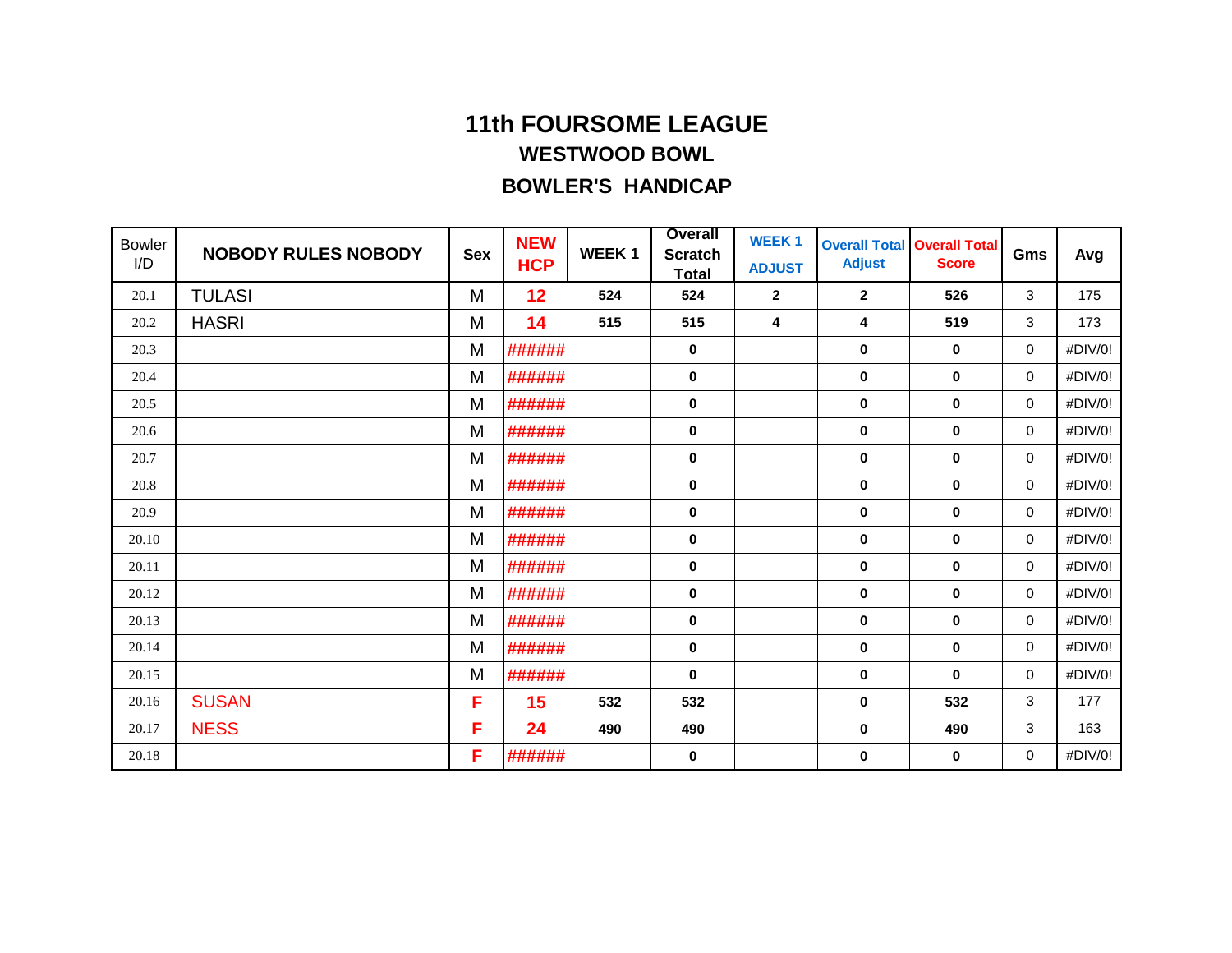| <b>Bowler</b><br>I/D | <b>NOBODY RULES NOBODY</b> | <b>Sex</b> | <b>NEW</b><br><b>HCP</b> | <b>WEEK1</b> | <b>Overall</b><br><b>Scratch</b><br><b>Total</b> | <b>WEEK1</b><br><b>ADJUST</b> | <b>Overall Total</b><br><b>Adjust</b> | <b>Overall Total</b><br><b>Score</b> | Gms         | Avg     |
|----------------------|----------------------------|------------|--------------------------|--------------|--------------------------------------------------|-------------------------------|---------------------------------------|--------------------------------------|-------------|---------|
| 20.1                 | <b>TULASI</b>              | M          | 12                       | 524          | 524                                              | $\mathbf{2}$                  | $\mathbf{2}$                          | 526                                  | 3           | 175     |
| 20.2                 | <b>HASRI</b>               | M          | 14                       | 515          | 515                                              | 4                             | 4                                     | 519                                  | 3           | 173     |
| 20.3                 |                            | M          | ######                   |              | 0                                                |                               | 0                                     | $\mathbf 0$                          | 0           | #DIV/0! |
| 20.4                 |                            | M          | ######                   |              | 0                                                |                               | $\mathbf 0$                           | $\mathbf 0$                          | 0           | #DIV/0! |
| 20.5                 |                            | M          | ######                   |              | 0                                                |                               | 0                                     | $\mathbf 0$                          | 0           | #DIV/0! |
| 20.6                 |                            | M          | ######                   |              | 0                                                |                               | 0                                     | $\bf{0}$                             | $\mathbf 0$ | #DIV/0! |
| 20.7                 |                            | M          | ######                   |              | 0                                                |                               | 0                                     | $\mathbf 0$                          | 0           | #DIV/0! |
| 20.8                 |                            | M          | ######                   |              | 0                                                |                               | $\mathbf 0$                           | $\mathbf 0$                          | $\mathbf 0$ | #DIV/0! |
| 20.9                 |                            | M          | ######                   |              | 0                                                |                               | 0                                     | $\mathbf 0$                          | 0           | #DIV/0! |
| 20.10                |                            | M          | ######                   |              | 0                                                |                               | $\mathbf 0$                           | $\mathbf 0$                          | $\mathbf 0$ | #DIV/0! |
| 20.11                |                            | M          | ######                   |              | 0                                                |                               | 0                                     | $\bf{0}$                             | 0           | #DIV/0! |
| 20.12                |                            | M          | ######                   |              | 0                                                |                               | $\mathbf 0$                           | $\mathbf 0$                          | $\mathbf 0$ | #DIV/0! |
| 20.13                |                            | M          | ######                   |              | 0                                                |                               | 0                                     | $\mathbf 0$                          | 0           | #DIV/0! |
| 20.14                |                            | M          | ######                   |              | 0                                                |                               | 0                                     | $\mathbf 0$                          | $\mathbf 0$ | #DIV/0! |
| 20.15                |                            | M          | ######                   |              | 0                                                |                               | 0                                     | $\mathbf 0$                          | $\mathbf 0$ | #DIV/0! |
| 20.16                | <b>SUSAN</b>               | F          | 15                       | 532          | 532                                              |                               | $\mathbf 0$                           | 532                                  | 3           | 177     |
| 20.17                | <b>NESS</b>                | F          | 24                       | 490          | 490                                              |                               | 0                                     | 490                                  | 3           | 163     |
| 20.18                |                            | F          | ######                   |              | 0                                                |                               | 0                                     | 0                                    | $\mathbf 0$ | #DIV/0! |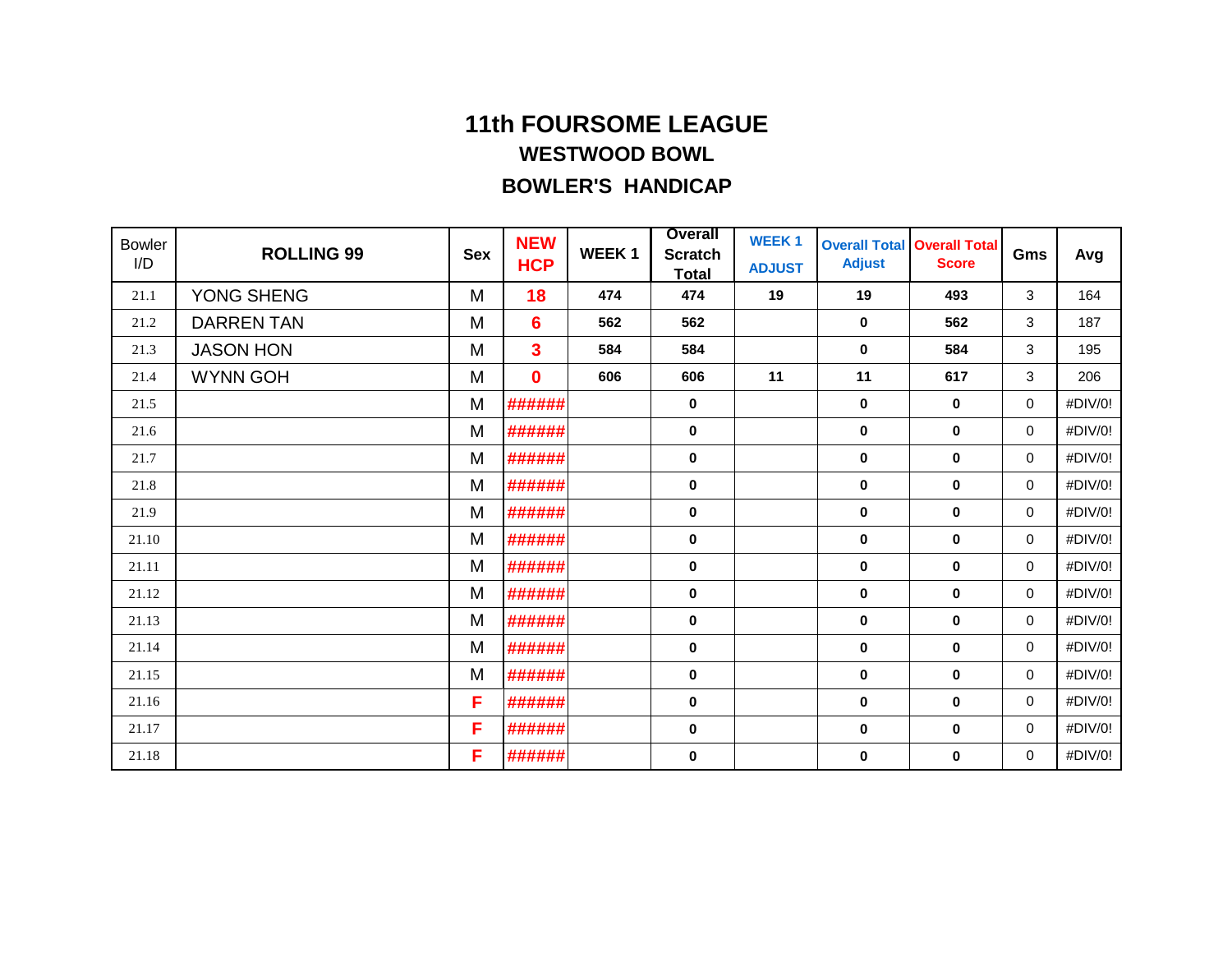| <b>Bowler</b><br>I/D | <b>ROLLING 99</b> | <b>Sex</b> | <b>NEW</b><br><b>HCP</b> | <b>WEEK1</b> | <b>Overall</b><br><b>Scratch</b><br><b>Total</b> | <b>WEEK1</b><br><b>ADJUST</b> | <b>Overall Total</b><br><b>Adjust</b> | <b>Overall Total</b><br><b>Score</b> | Gms         | Avg     |
|----------------------|-------------------|------------|--------------------------|--------------|--------------------------------------------------|-------------------------------|---------------------------------------|--------------------------------------|-------------|---------|
| 21.1                 | YONG SHENG        | M          | 18                       | 474          | 474                                              | 19                            | 19                                    | 493                                  | 3           | 164     |
| 21.2                 | <b>DARREN TAN</b> | M          | $6\phantom{1}6$          | 562          | 562                                              |                               | $\mathbf 0$                           | 562                                  | 3           | 187     |
| 21.3                 | <b>JASON HON</b>  | M          | $\overline{\mathbf{3}}$  | 584          | 584                                              |                               | $\bf{0}$                              | 584                                  | 3           | 195     |
| 21.4                 | <b>WYNN GOH</b>   | M          | $\bf{0}$                 | 606          | 606                                              | 11                            | 11                                    | 617                                  | 3           | 206     |
| 21.5                 |                   | M          | ######                   |              | 0                                                |                               | $\mathbf 0$                           | $\mathbf 0$                          | 0           | #DIV/0! |
| 21.6                 |                   | M          | ######                   |              | 0                                                |                               | $\mathbf 0$                           | $\mathbf 0$                          | 0           | #DIV/0! |
| 21.7                 |                   | M          | ######                   |              | $\pmb{0}$                                        |                               | $\pmb{0}$                             | $\pmb{0}$                            | 0           | #DIV/0! |
| 21.8                 |                   | M          | ######                   |              | 0                                                |                               | $\mathbf 0$                           | $\mathbf 0$                          | 0           | #DIV/0! |
| 21.9                 |                   | M          | ######                   |              | 0                                                |                               | $\mathbf 0$                           | $\mathbf 0$                          | 0           | #DIV/0! |
| 21.10                |                   | M          | ######                   |              | 0                                                |                               | $\mathbf 0$                           | $\mathbf 0$                          | 0           | #DIV/0! |
| 21.11                |                   | M          | ######                   |              | 0                                                |                               | $\mathbf 0$                           | $\mathbf 0$                          | 0           | #DIV/0! |
| 21.12                |                   | M          | ######                   |              | 0                                                |                               | $\mathbf 0$                           | $\mathbf 0$                          | 0           | #DIV/0! |
| 21.13                |                   | M          | ######                   |              | 0                                                |                               | 0                                     | $\mathbf 0$                          | 0           | #DIV/0! |
| 21.14                |                   | M          | ######                   |              | 0                                                |                               | $\mathbf 0$                           | $\mathbf 0$                          | 0           | #DIV/0! |
| 21.15                |                   | M          | ######                   |              | $\bf{0}$                                         |                               | 0                                     | $\mathbf 0$                          | $\mathbf 0$ | #DIV/0! |
| 21.16                |                   | F          | ######                   |              | 0                                                |                               | $\mathbf 0$                           | $\mathbf 0$                          | 0           | #DIV/0! |
| 21.17                |                   | F          | ######                   |              | 0                                                |                               | $\mathbf 0$                           | $\mathbf 0$                          | 0           | #DIV/0! |
| 21.18                |                   | F          | ######                   |              | 0                                                |                               | $\mathbf 0$                           | $\mathbf 0$                          | 0           | #DIV/0! |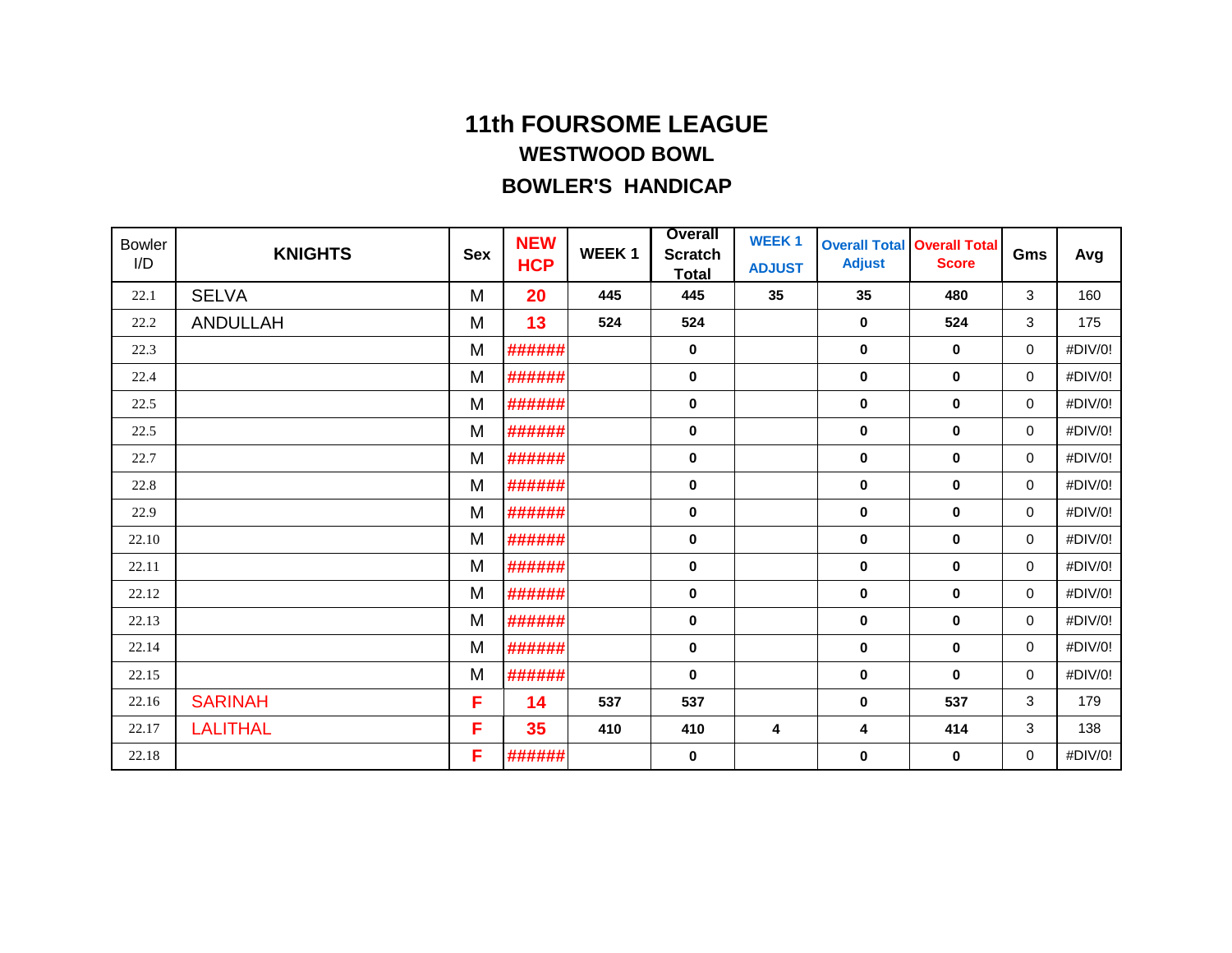| <b>Bowler</b><br>I/D | <b>KNIGHTS</b>  | <b>Sex</b> | <b>NEW</b><br><b>HCP</b> | <b>WEEK1</b> | <b>Overall</b><br><b>Scratch</b><br><b>Total</b> | <b>WEEK1</b><br><b>ADJUST</b> | <b>Adjust</b> | <b>Overall Total Overall Total</b><br><b>Score</b> | Gms         | Avg     |
|----------------------|-----------------|------------|--------------------------|--------------|--------------------------------------------------|-------------------------------|---------------|----------------------------------------------------|-------------|---------|
| 22.1                 | <b>SELVA</b>    | M          | 20                       | 445          | 445                                              | 35                            | 35            | 480                                                | 3           | 160     |
| 22.2                 | <b>ANDULLAH</b> | M          | 13                       | 524          | 524                                              |                               | $\mathbf 0$   | 524                                                | 3           | 175     |
| 22.3                 |                 | M          | ######                   |              | 0                                                |                               | $\mathbf 0$   | $\mathbf 0$                                        | 0           | #DIV/0! |
| 22.4                 |                 | M          | ######                   |              | 0                                                |                               | $\mathbf 0$   | $\bf{0}$                                           | 0           | #DIV/0! |
| 22.5                 |                 | M          | ######                   |              | 0                                                |                               | $\mathbf 0$   | $\mathbf 0$                                        | 0           | #DIV/0! |
| 22.5                 |                 | M          | ######                   |              | 0                                                |                               | $\mathbf 0$   | $\bf{0}$                                           | 0           | #DIV/0! |
| 22.7                 |                 | M          | ######                   |              | $\pmb{0}$                                        |                               | $\mathbf 0$   | $\mathbf 0$                                        | $\mathbf 0$ | #DIV/0! |
| 22.8                 |                 | M          | ######                   |              | 0                                                |                               | $\bf{0}$      | $\bf{0}$                                           | 0           | #DIV/0! |
| 22.9                 |                 | M          | ######                   |              | 0                                                |                               | $\mathbf 0$   | $\mathbf 0$                                        | 0           | #DIV/0! |
| 22.10                |                 | M          | ######                   |              | 0                                                |                               | $\mathbf 0$   | $\bf{0}$                                           | 0           | #DIV/0! |
| 22.11                |                 | M          | ######                   |              | 0                                                |                               | $\mathbf 0$   | $\mathbf 0$                                        | 0           | #DIV/0! |
| 22.12                |                 | M          | ######                   |              | 0                                                |                               | $\bf{0}$      | $\bf{0}$                                           | 0           | #DIV/0! |
| 22.13                |                 | M          | ######                   |              | 0                                                |                               | $\bf{0}$      | $\mathbf 0$                                        | 0           | #DIV/0! |
| 22.14                |                 | M          | ######                   |              | 0                                                |                               | $\mathbf 0$   | $\mathbf 0$                                        | 0           | #DIV/0! |
| 22.15                |                 | M          | ######                   |              | $\bf{0}$                                         |                               | $\pmb{0}$     | $\mathbf 0$                                        | 0           | #DIV/0! |
| 22.16                | <b>SARINAH</b>  | F          | 14                       | 537          | 537                                              |                               | $\mathbf 0$   | 537                                                | 3           | 179     |
| 22.17                | <b>LALITHAL</b> | F          | 35                       | 410          | 410                                              | 4                             | 4             | 414                                                | 3           | 138     |
| 22.18                |                 | F          | ######                   |              | 0                                                |                               | 0             | $\bf{0}$                                           | 0           | #DIV/0! |